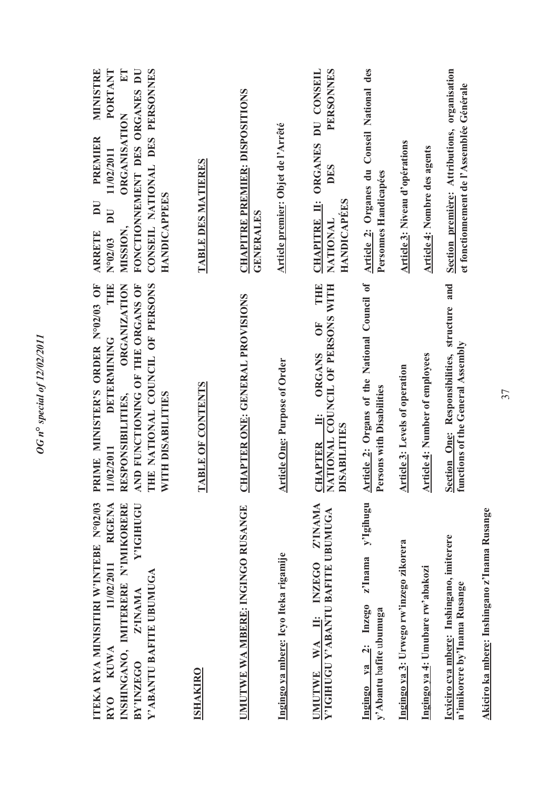| ITEKA RYA MINISITIRI W'INTEBE N°02/03<br>INSHINGANO, IMITERERE N'IMIKORERE<br><b>RIGENA</b><br>Y'IGIHUGU<br>11/02/2011<br>Y'ABANTU BAFITE UBUMUGA<br>Z'INAMA<br><b>KUWA</b><br>BY'INZEGO<br>RY <sub>0</sub> | RIME MINISTER'S ORDER Nº02/03 OF<br>THE NATIONAL COUNCIL OF PERSONS<br>THE<br>AND FUNCTIONING OF THE ORGANS OF<br><b>ORGANIZATION</b><br><b>DETERMINING</b><br>WITH DISABILITES<br>RESPONSIBILITIES,<br>11/02/2011<br>$\Delta$ | $E$ T<br>CONSEIL NATIONAL DES PERSONNES<br>MINISTRE<br>PORTANT<br>FONCTIONNEMENT DES ORGANES DU<br>ORGANISATION<br><b>PREMIER</b><br>11/02/2011<br><b>HANDICAPPEES</b><br>$\overline{\mathbf{D}}$<br>$\overline{\mathbf{D}}$<br>MISSION,<br><b>ARRETE</b><br>N°02/03 |
|-------------------------------------------------------------------------------------------------------------------------------------------------------------------------------------------------------------|--------------------------------------------------------------------------------------------------------------------------------------------------------------------------------------------------------------------------------|----------------------------------------------------------------------------------------------------------------------------------------------------------------------------------------------------------------------------------------------------------------------|
| <b>ISHAKIRO</b>                                                                                                                                                                                             | TABLE OF CONTENTS                                                                                                                                                                                                              | TABLE DES MATIERES                                                                                                                                                                                                                                                   |
| UMUTWE WA MBERE: INGINGO RUSANGE                                                                                                                                                                            | <b>CHAPTER ONE: GENERAL PROVISIONS</b>                                                                                                                                                                                         | <b>CHAPITRE PREMIER: DISPOSITIONS</b><br><b>GENERALES</b>                                                                                                                                                                                                            |
| Ingingo ya mbere: Icyo Iteka rigamije                                                                                                                                                                       | <b>Article One: Purpose of Order</b>                                                                                                                                                                                           | Article premier: Objet de l'Arrêté                                                                                                                                                                                                                                   |
| Z'INAMA<br>Y'IGIHUGU Y'ABANTU BAFITE UBUMUGA<br>WA II: INZEGO<br><b>UMUTWE</b>                                                                                                                              | $\begin{tabular}{ll} \underline{\text{CHAPTER}} & \underline{\text{II}}: & \text{OREANS} & \text{OF} & \text{THE} \\ \text{NATIONAL COUNCIL OF FERSONS WITH} \end{tabular}$                                                    | PERSONNES<br>CHAPITRE II: ORGANES DU CONSEIL<br>DES<br><b>HANDICAPEES</b><br>NATIONAL                                                                                                                                                                                |
| y'Igihugu<br>z'Inama<br>ya 2: Inzego<br>y'Abantu bafite ubumuga<br>Ingingo                                                                                                                                  | Article 2: Organs of the National Council of<br>Persons with Disabilities                                                                                                                                                      | Article 2: Organes du Conseil National des<br>Personnes Handicapées                                                                                                                                                                                                  |
| Ingingo ya 3: Urwego rw'inzego zikorera                                                                                                                                                                     | <b>Article 3: Levels of operation</b>                                                                                                                                                                                          | <b>Article 3: Niveau d'opérations</b>                                                                                                                                                                                                                                |
| Ingingo ya 4: Umubare rw'abakozi                                                                                                                                                                            | <b>Article 4: Number of employees</b>                                                                                                                                                                                          | <b>Article 4: Nombre des agents</b>                                                                                                                                                                                                                                  |
| Icyiciro cya mbere: Inshingano, imiterere<br>n'imikorere by'Inama Rusange                                                                                                                                   | <b>Section One:</b> Responsibilities, structure and<br>functions of the General Assembly                                                                                                                                       | Section première: Attributions, organisation<br>et fonctionnement de l'Assemblée Générale                                                                                                                                                                            |
|                                                                                                                                                                                                             |                                                                                                                                                                                                                                |                                                                                                                                                                                                                                                                      |

*OG n***°** *special of 12/02/2011* 

OG n° special of 12/02/2011

Akiciro ka mbere: Inshingano z'Inama Rusange **Akiciro ka mbere: Inshingano z'Inama Rusange**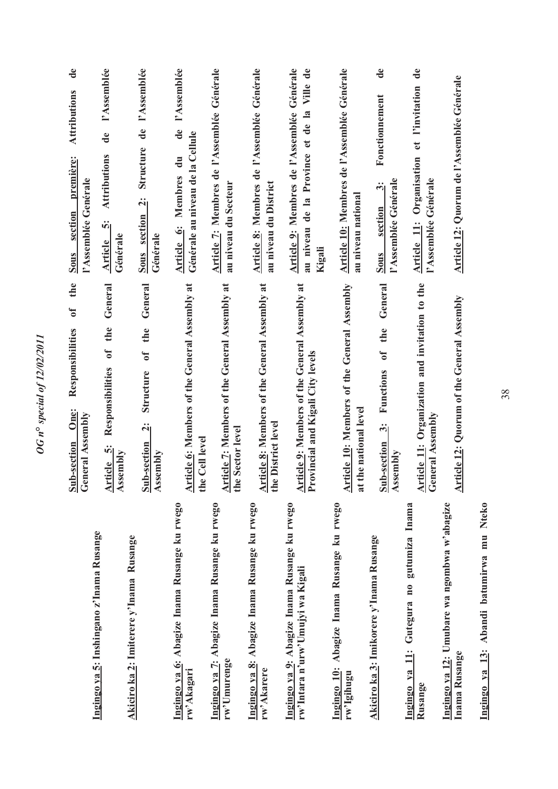|                                                                                     | the<br>$\sigma$<br>Responsibilities<br>One:<br>Sub-section                                          | $\mathbf{d}\mathbf{e}$<br><b>Attributions</b><br>première:<br>section<br>Sous                         |
|-------------------------------------------------------------------------------------|-----------------------------------------------------------------------------------------------------|-------------------------------------------------------------------------------------------------------|
|                                                                                     | <b>General Assembly</b>                                                                             | l'Assemblée Genérale                                                                                  |
| Ingingo ya 5: Inshingano z'Inama Rusange<br>Akiciro ka 2: Imiterere y'Inama Rusange | General<br>the<br>$\mathbf{f}$<br>Responsibilities<br>ή<br>Assembly<br>Article                      | l'Assemblée<br>de<br><b>Attributions</b><br>ທີ່<br>Générale<br>Article                                |
|                                                                                     | General<br>the<br>$\mathfrak{b}$<br>Structure<br>$\ddot{\mathbf{q}}$<br>Sub-section<br>Assembly     | l'Assemblée<br>Structure de<br><u> منا</u><br>Sous section<br>Générale                                |
| Ingingo ya 6: Abagize Inama Rusange ku rwego<br>rw'Akagari                          | Article 6: Members of the General Assembly at<br>the Cell level                                     | de l'Assemblée<br>Générale au niveau de la Cellule<br>Article 6: Membres du                           |
| Ingingo ya 7: Abagize Inama Rusange ku rwego<br>rw'Umurenge                         | <b>Article 7: Members of the General Assembly at</b><br>the Sector level                            | Article 7: Membres de l'Assemblée Générale<br>au niveau du Secteur                                    |
| Ingingo ya 8: Abagize Inama Rusange ku rwego<br>rw'Akarere                          | Article 8: Members of the General Assembly at<br>the District level                                 | Article 8: Membres de l'Assemblée Générale<br>au niveau du District                                   |
| Ingingo ya 9: Abagize Inama Rusange ku rwego<br>rw'Intara n'urw'Umujyi wa Kigali    | Article 9: Members of the General Assembly at<br>Provincial and Kigali City levels                  | Article 9: Membres de l'Assemblée Générale<br>Ville de<br>au niveau de la Province et de la<br>Kigali |
| Ingingo 10: Abagize Inama Rusange ku rwego<br>rw'Igihugu                            | Article 10: Members of the General Assembly<br>the national level<br>$\overline{\mathbf{a}}$        | Article 10: Membres de l'Assemblée Générale<br>au niveau national                                     |
| Akiciro ka 3: Imikorere y'Inama Rusange                                             | General<br>the<br>$\mathbf{f}$<br>Functions<br>$\ddot{\dot{\mathbf{c}}}$<br>Sub-section<br>Assembly | $\mathbf{d}\mathbf{e}$<br>Fonctionnement<br>l'Assemblée Générale<br>$\ddot{\cdot}$<br>section<br>Sous |
| gutumiza Inama<br>Ingingo ya 11: Gutegura no<br>Rusange                             | Article 11: Organization and invitation to the<br>General Assembly                                  | $\rm de$<br>et l'invitation<br>Organisation<br>l'Assemblée Générale<br>Article 11:                    |
| Ingingo ya 12: Umubare wa ngombwa w'abagize<br>Inama Rusange                        | <b>Article 12: Quorum of the General Assembly</b>                                                   | Article 12: Quorum de l'Assemblée Générale                                                            |

Ingingo ya 13: Abandi batumirwa mu Nteko **Ingingo ya 13: Abandi batumirwa mu Nteko**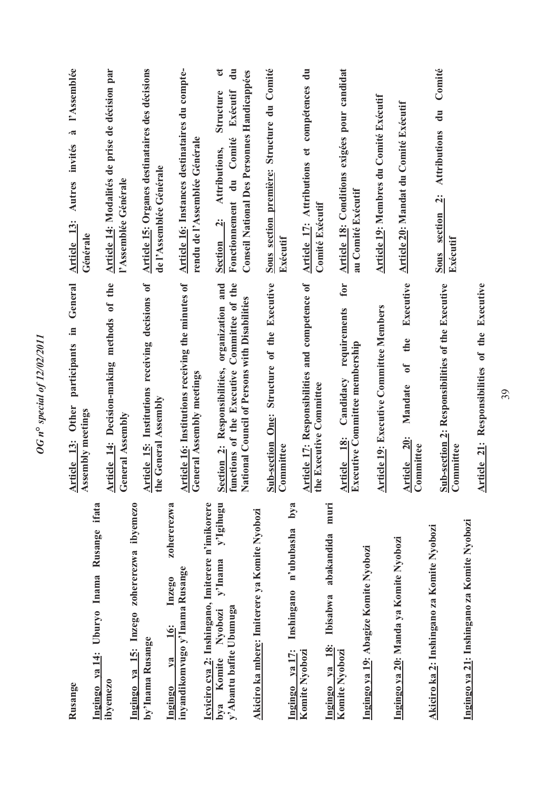| Rusange                                                                     | participants in General<br><b>Other</b><br>Assembly meetings<br>Article 13:                                      | l'Assemblée<br>$\tilde{\mathbf{z}}$<br>Autres invités<br><b>Article</b> 13:<br>Générale                                                    |
|-----------------------------------------------------------------------------|------------------------------------------------------------------------------------------------------------------|--------------------------------------------------------------------------------------------------------------------------------------------|
| Ingingo ya 14: Uburyo Inama Rusange ifata<br>ibyemezo                       | Article 14: Decision-making methods of the                                                                       | Article 14: Modalités de prise de décision par<br>l'Assemblée Générale                                                                     |
| Ingingo ya 15: Inzego zohererezwa ibyemezo                                  | General Assembly                                                                                                 |                                                                                                                                            |
| by'Inama Rusange                                                            | Article 15: Institutions receiving decisions of<br>the General Assembly                                          | <b>Article 15: Organes destinataires des décisions</b><br>de l'Assemblée Générale                                                          |
| zohererezwa<br>Inzego<br><b>16:</b><br>V2<br>Ingingo                        |                                                                                                                  |                                                                                                                                            |
| inyandikomvugo y'lnama Rusange                                              | Article 16: Institutions receiving the minutes of<br>General Assembly meetings                                   | Article 16: Instances destinataires du compte-<br>rendu de l'Assemblée Générale                                                            |
| Icyiciro cya 2: Inshingano, Imiterere n'imikorere                           |                                                                                                                  |                                                                                                                                            |
| y'Igihugu<br>y'Inama<br>y'Abantu bafite Ubumuga<br>Nyobozi<br>Komite<br>bya | Section 2: Responsibilities, organization and<br>functions of the Executive Committee of the<br>organization and | đ<br>$\mathbf{d}\mathbf{u}$<br>Exécutif<br>Structure<br>Fonctionnement du Comité<br>Attributions,<br>$\ddot{\mathbf{c}}$<br><b>Section</b> |
|                                                                             | ational Council of Persons with Disabilities<br>Z                                                                | Conseil National Des Personnes Handicappées                                                                                                |
| Akiciro ka mbere: Imiterere ya Komite Nyobozi                               |                                                                                                                  |                                                                                                                                            |
|                                                                             | <b>Sub-section One:</b> Structure of the Executive<br>Committee<br>ommittee                                      | Sous section première: Structure du Comité<br>Exécutif                                                                                     |
| bya<br>n'ububasha<br>Inshingano<br>Ingingo ya 17:                           |                                                                                                                  |                                                                                                                                            |
| Komite Nyobozi                                                              | Article 17: Responsibilities and competence of<br>the Executive Committee                                        | $\ddot{=}$<br>Article 17: Attributions et compétences<br>Comité Exécutif                                                                   |
| muri<br>abakandida<br>Ibisabwa<br><b>18:</b><br>Ingingo ya                  |                                                                                                                  |                                                                                                                                            |
| Komite Nyobozi                                                              | for<br>requirements<br>Executive Committee membership<br>Candidacy<br>Article 18:                                | Article 18: Conditions exigées pour candidat<br>au Comité Exécutif                                                                         |
| Ingingo ya 19: Abagize Komite Nyobozi                                       |                                                                                                                  |                                                                                                                                            |
|                                                                             | <b>Article 19: Executive Committee Members</b>                                                                   | Article 19: Membres du Comité Exécutif                                                                                                     |
| Ingingo ya 20: Manda ya Komite Nyobozi                                      | Executive<br>the<br>$\mathbf{f}$<br>Mandate<br><b>20:</b><br>ommittee<br>Article<br>Committ                      | Article 20: Mandat du Comité Exécutif                                                                                                      |
| Akiciro ka 2: Inshingano za Komite Nyobozi                                  |                                                                                                                  |                                                                                                                                            |
|                                                                             | <b>Sub-section 2: Responsibilities of the Executive</b><br>Committee<br>ommittee                                 | Comité<br>$\ddot{a}$<br><b>Attributions</b><br>$\ddot{a}$<br><b>Sous</b> section<br>Exécutif                                               |
| Ingingo ya 21: Inshingano za Komite Nyobozi                                 |                                                                                                                  |                                                                                                                                            |
|                                                                             | Article 21: Responsibilities of the Executive                                                                    |                                                                                                                                            |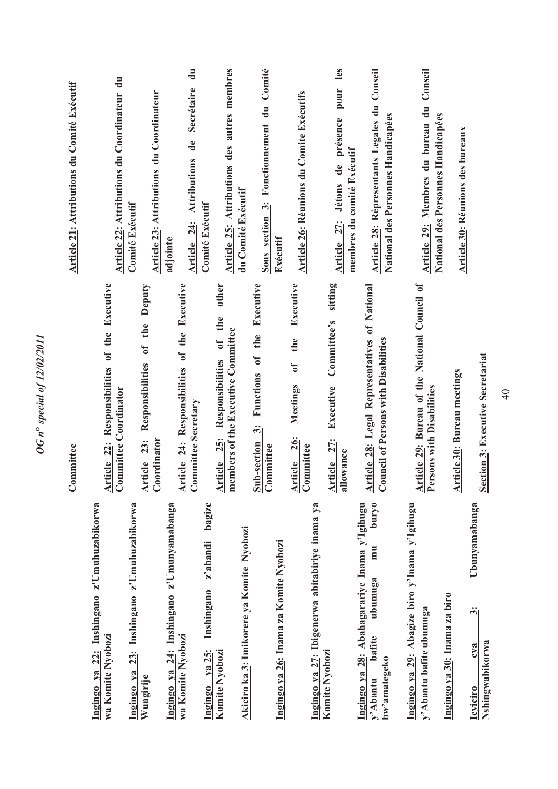|                                                                              | Committee                                                                                                                | Article 21: Attributions du Comité Exécutif                                        |
|------------------------------------------------------------------------------|--------------------------------------------------------------------------------------------------------------------------|------------------------------------------------------------------------------------|
| Ingingo ya 22: Inshingano z'Umuhuzabikorwa<br>wa Komite Nyobozi              | Responsibilities of the Executive<br><b>Committee Coordinator</b><br>Article 22:                                         | Article 22: Attributions du Coordinateur du                                        |
| 23: Inshingano z'Umuhuzabikorwa<br>Ingingo ya                                |                                                                                                                          | Comité Exécutif                                                                    |
| Wungirije                                                                    | Responsibilities of the Deputy<br>Coordinator<br>Article 23:                                                             | Article 23: Attributions du Coordinateur                                           |
| Ingingo ya 24: Inshingano z'Umunyamabanga                                    |                                                                                                                          | adjointe                                                                           |
| wa Komite Nyobozi                                                            | <b>Article 24:</b> Responsibilities of the Executive<br>Committee Secretary                                              | $\mathbf{d}$ u<br>Secrétaire<br>Article 24: Attributions de                        |
| bagize<br>z'abandi<br>Inshingano<br>ya 25:<br>Ingingo                        |                                                                                                                          | <b>Comité Exécutif</b>                                                             |
| Komite Nyobozi                                                               | other<br>the<br>members of the Executive Committee<br>$\mathfrak{h}$<br>Responsibilities<br><b>25:</b><br><b>Article</b> | Article 25: Attributions des autres membres                                        |
| Akiciro ka 3: Imikorere ya Komite Nyobozi                                    |                                                                                                                          | du Comité Exécutif                                                                 |
|                                                                              | Executive<br>the<br>$\sigma$<br>Functions<br>$\ddot{\dot{\mathbf{c}}}$<br><b>Sub-section</b><br>Committee                | Comité<br>Sous section 3: Fonctionnement du                                        |
| Ingingo ya 26: Inama za Komite Nyobozi                                       |                                                                                                                          | Exécutif                                                                           |
| Ingingo ya 27: Ibigenerwa abitabiriye inama ya                               | Executive<br>the<br>$\mathfrak{b}$<br>Meetings<br><b>26:</b><br>ommittee<br>Article<br>Commit                            | Article 26: Réunions du Comite Exécutifs                                           |
| Komite Nyobozi                                                               | sitting<br>Committee's<br>Executive<br>Article 27:<br>llowance<br>ಡ                                                      | les<br>pour<br>Article 27: Jétons de présence                                      |
| Ingingo ya 28: Abahagarariye Inama y'Igihugu                                 | Article 28: Legal Representatives of National                                                                            | membres du comité Exécutif                                                         |
| <b>puryo</b><br>mu<br>ubumuga<br>bafite<br>bw'amategeko<br>y'Abantu          | <b>Council of Persons with Disabilities</b>                                                                              | Article 28: Répresentants Legales du Conseil<br>National des Personnes Handicapées |
| Ingingo ya 29: Abagize biro y'Inama y'Igihugu                                |                                                                                                                          |                                                                                    |
| y'Abantu bafite ubumuga                                                      | <b>Article 29: Bureau of the National Council of</b><br>Persons with Disabilitiae<br>ersons with Disabilities            | Conseil<br>Article 29: Membres du bureau du<br>National des Personnes Handicapées  |
| Ingingo ya 30: Inama za biro                                                 | <b>Article 30: Bureau meetings</b>                                                                                       | Article 30: Réunions des bureaux                                                   |
| Ubunyamabanga<br>$\ddot{\dot{\delta}}$<br>c <sub>va</sub><br><b>Icviciro</b> |                                                                                                                          |                                                                                    |
| Nshingwabikorwa                                                              | <b>Section 3: Executive Secretariat</b>                                                                                  |                                                                                    |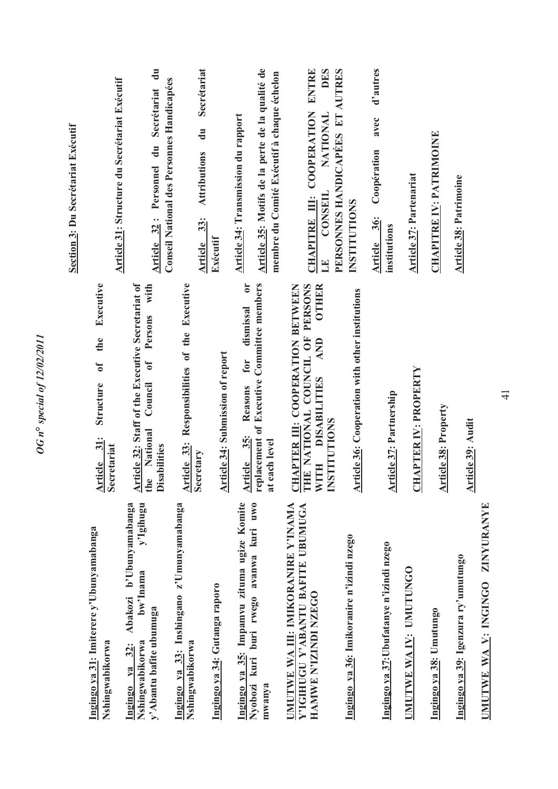|                                                                                                                  |                                                                                                                                                                                                    | Section 3: Du Secrétariat Exécutif                                                            |
|------------------------------------------------------------------------------------------------------------------|----------------------------------------------------------------------------------------------------------------------------------------------------------------------------------------------------|-----------------------------------------------------------------------------------------------|
| Ingingo ya 31: Imiterere y'Ubunyamabanga<br>Nshingwabikorwa                                                      | Executive<br>the<br>0f<br>Structure<br>Article 31:<br>Secretariat                                                                                                                                  | <b>Article 31: Structure du Secrétariat Exécutif</b>                                          |
| y'Igihugu<br>Abakozi b'Ubunyamabanga<br>bw'Inama<br>y'Abantu bafite ubumuga<br>Nshingwabikorwa<br>Ingingo ya 32: | Article 32: Staff of the Executive Secretariat of<br>with<br>Persons<br>ð<br>Council<br>National<br><b>Disabilities</b><br>the                                                                     | Article 32: Personnel du Secrétariat du<br>Conseil National des Personnes Handicapées         |
| Ingingo ya 33: Inshingano z'Umunyamabanga<br>Nshingwabikorwa                                                     | Responsibilities of the Executive<br>Article 33:                                                                                                                                                   | Secrétariat<br>$\mathbf{d}$ u<br><b>Attributions</b><br>Article 33:                           |
| Ingingo ya 34: Gutanga raporo                                                                                    | <b>Article 34: Submission of report</b>                                                                                                                                                            | Exécutif                                                                                      |
| Ingingo ya 35: Impamvu zituma ugize Komite<br>Nyobozi kuri buri rwego avanwa kuri uwo                            | $\mathbf{C}$<br>replacement of Executive Committee members<br>dismissal<br>for<br>Reasons<br>35:<br><b>Article</b>                                                                                 | <b>Article 34: Transmission du rapport</b>                                                    |
| mwanya                                                                                                           | at each level                                                                                                                                                                                      | Article 35: Motifs de la perte de la qualité de<br>membre du Comité Exécutif à chaque échelon |
| <b>UMUTWE WA III: IMIKORANIRE Y'INAMA</b><br>Y'IGIHUGU Y'ABANTU BAFITE UBUMUGA<br>HAMWE N'IZINDI NZECO           | THE NATIONAL COUNCIL OF PERSONS<br><b>OTHER</b><br><b>CHAPTER III: COOPERATION BETWEEN<br/>THE NATIONAL COUNCIL OF PERSONS</b><br>AND<br><b>DISABILITIES</b><br><b>INSTITUTIONS</b><br><b>WITH</b> | ENTRE<br>DES<br>CHAPITRE III: COOPERATION<br>NATIONAL<br>CONSEIL<br>E                         |
| Ingingo ya 36: Imikoranire n'izindi nzego                                                                        | <b>Article 36: Cooperation with other institutions</b>                                                                                                                                             | PERSONNES HANDICAPEES ET AUTRES<br><b>INSTITUTIONS</b>                                        |
| Ingingo ya 37: Ubufatanye n'izindi nzego                                                                         | <b>Article 37: Partnership</b>                                                                                                                                                                     | d'autres<br>avec<br>Coopération<br>36:<br>institutions<br>Article                             |
| UMUTWE WA IV: UMUTUNGO                                                                                           | <b>CHAPTER IV: PROPERTY</b>                                                                                                                                                                        | <b>Article 37: Partenariat</b>                                                                |
| Ingingo ya 38: Umutungo                                                                                          | <b>Article 38: Property</b>                                                                                                                                                                        | <b>CHAPITRE IV: PATRIMOINE</b>                                                                |
| Ingingo ya 39: Igenzura ry'umutungo                                                                              | Article 39: Audit                                                                                                                                                                                  | <b>Article 38: Patrimoine</b>                                                                 |
| <b>INITWE WA V. INGINGO ZINVITRANYE</b>                                                                          |                                                                                                                                                                                                    |                                                                                               |

*OG n***°** *special of 12/02/2011* 

OG n° special of 12/02/2011

**UMUTWE WA V: INGINGO ZINYURANYE TIAIT** עונע<br>ל J ١ ַ Į. .<br>اخ  $\frac{1}{2}$ ו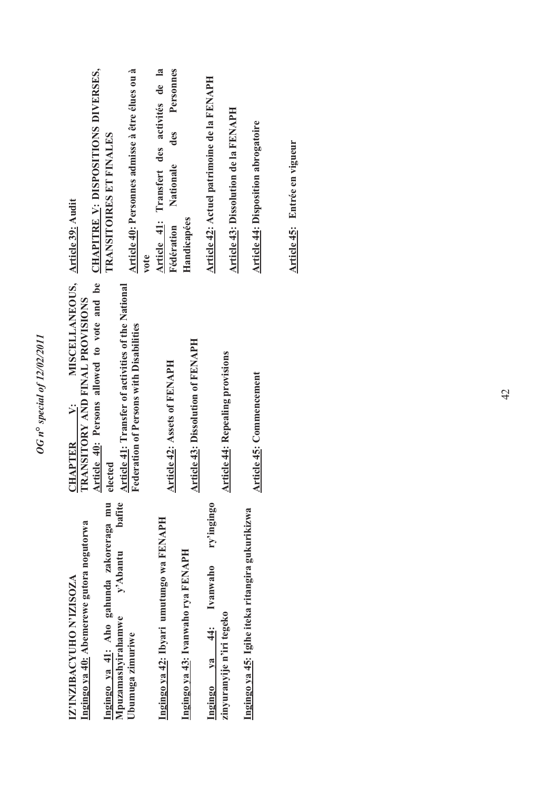| IZ'INZIBACYUHO N'IZISOZA                                     | MISCELLANEOUS, Article 39: Audit<br>CHAPTER V:                                                                                 |                                                            |
|--------------------------------------------------------------|--------------------------------------------------------------------------------------------------------------------------------|------------------------------------------------------------|
| Ingingo ya 40: Abemerewe gutora nogutorwa                    | Article 40: Persons allowed to vote and be <b>CHAPITRE Y: DISPOSITIONS DIVERSES</b> ,<br><b>RANSITORY AND FINAL PROVISIONS</b> |                                                            |
| Ingingo ya 41: Aho gahunda zakoreraga mu                     | elected                                                                                                                        | TRANSITOIRES ET FINALES                                    |
| bafite<br>y'Abantu<br>Mpuzamashyirahamwe<br>Ubumuga zimuriwe | Article 41: Transfer of activities of the National<br>Federation of Persons with Disabilities                                  | Article 40: Personnes admisse à être élues ou à<br>vote    |
| Ingingo ya 42: Ibyari umutungo wa FENAPH                     | <b>Article 42: Assets of FENAPH</b>                                                                                            | Article 41: Transfert des activités de la                  |
| Ingingo ya 43: Ivanwaho rya FENAPH                           | <b>Article 43: Dissolution of FENAPH</b>                                                                                       | Personnes<br>des<br>Nationale<br>Handicapées<br>Fédération |
| ry'ingingo<br>Ingingo ya 44: Ivanwaho                        |                                                                                                                                | Article 42: Actuel patrimoine de la FENAPH                 |
| zinyuranyije n'iri tegeko                                    | <b>Article 44: Repealing provisions</b>                                                                                        | Article 43: Dissolution de la FENAPH                       |
| Ingingo ya 45: Igihe iteka ritangira gukurikizwa             | Article 45: Commencement                                                                                                       | <b>Article 44: Disposition abrogatoire</b>                 |
|                                                              |                                                                                                                                | Article 45: Entrée en vigueur                              |

*OG n***°** *special of 12/02/2011* 

OG n° special of 12/02/2011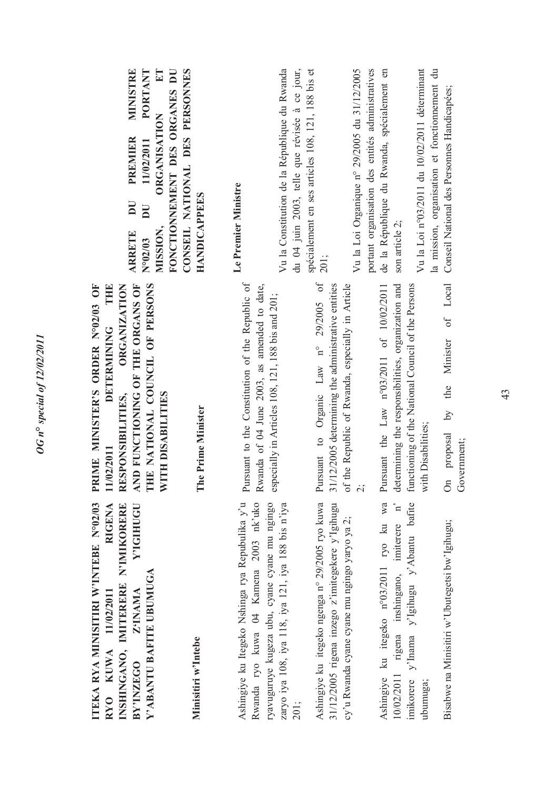| ET<br>MINISTRE<br><b>PORTANT</b><br>FONCTIONNEMENT DES ORGANES DU<br><b>ORGANISATION</b><br><b>PREMIER</b><br>11/02/2011<br>$\overline{\mathbf{D}}$<br>$\overline{\mathbf{D}}$<br>MISSION,<br><b>ARRETE</b><br>N°02/03 | CONSEIL NATIONAL DES PERSONNES<br><b>HANDICAPPEES</b> | Vu la Constitution de la République du Rwanda<br>du 04 juin 2003, telle que révisée à ce jour,<br>Le Premier Ministre                                                                                   | spécialement en ses articles 108, 121, 188 bis et<br>Vu la Loi Organique nº 29/2005 du 31/12/2005<br>201;                                                    | portant organisation des entités administratives<br>de la République du Rwanda, spécialement en<br>Vu la Loi nº03/2011 du 10/02/2011 déterminant<br>son article 2;         | la mission, organisation et fonctionnement du<br>Conseil National des Personnes Handicapées;              |
|------------------------------------------------------------------------------------------------------------------------------------------------------------------------------------------------------------------------|-------------------------------------------------------|---------------------------------------------------------------------------------------------------------------------------------------------------------------------------------------------------------|--------------------------------------------------------------------------------------------------------------------------------------------------------------|----------------------------------------------------------------------------------------------------------------------------------------------------------------------------|-----------------------------------------------------------------------------------------------------------|
| THE NATIONAL COUNCIL OF PERSONS<br>AND FUNCTIONING OF THE ORGANS OF<br><b>ORGANIZATION</b><br>PRIME MINISTER'S ORDER Nº02/03 OF<br>THE<br><b>DETERMINING</b><br>WITH DISABILITES<br>RESPONSIBILITIES,<br>11/02/2011    | The Prime Minister                                    | Pursuant to the Constitution of the Republic of<br>Rwanda of 04 June 2003, as amended to date,<br>especially in Articles 108, 121, 188 bis and 201;                                                     | Pursuant to Organic Law nº 29/2005 of<br>31/12/2005 determining the administrative entities<br>of the Republic of Rwanda, especially in Article<br>$\dot{c}$ | determining the responsibilities, organization and<br>Pursuant the Law n°03/2011 of 10/02/2011<br>functioning of the National Council of the Persons<br>with Disabilities; | Local<br>$\sigma f$<br>Minister<br>the<br>$\overline{\mathcal{S}}$<br>proposal<br>Government;<br>$\delta$ |
| ITEKA RYA MINISITIRI W'INTEBE N°02/03<br>Y'IGIHUGU<br>RIGENA<br>INSHINGANO, IMITERERE N'IMIKORERE<br>Y'ABANTU BAFITE UBUMUGA<br>Z'INAMA<br>RYO KUWA 11/02/2011<br>BY'INZEGO                                            | Minisitiri w'Intebe                                   | Ashingiye ku Itegeko Nshinga rya Repubulika y'u<br>Rwanda ryo kuwa 04 Kamena 2003 nk'uko<br>ryavuguruye kugeza ubu, cyane cyane mu ngingo<br>zaryo iya 108, iya 118, iya 121, iya 188 bis n'iya<br>201; | Ashingiye ku itegeko ngenga n° 29/2005 ryo kuwa<br>31/12/2005 rigena inzego z'imitegekere y'Igihugu<br>cy'u Rwanda cyane cyane mu ngingo yaryo ya 2;         | y'Inama y'Igihugu y'Abantu bafite<br>Ashingiye ku itegeko n°03/2011 ryo ku wa<br>rigena inshingano, imiterere n'<br>10/02/2011<br>imikorere<br>ubumuga;                    | Bisabwe na Minisitiri w'Ubutegetsi bw'Igihugu;                                                            |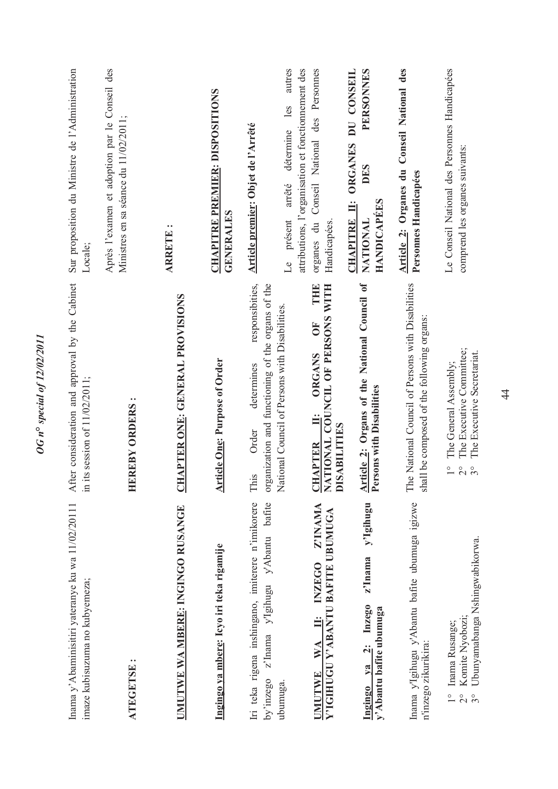| Sur proposition du Ministre de l'Administration<br>Locale;<br>After consideration and approval by the Cabinet<br>in its session of 11/02/2011; | Après l'examen et adoption par le Conseil des<br>Ministres en sa séance du 11/02/2011;<br><b>HEREBY ORDERS:</b> | $\ddot{\phantom{0}}$<br><b>ARRETE</b><br><b>CHAPTER ONE: GENERAL PROVISIONS</b> | <b>CHAPITRE PREMIER: DISPOSITIONS</b><br><b>GENERALES</b><br><b>Article One: Purpose of Order</b> | autres<br>attributions, l'organisation et fonctionnement des<br>les<br>Article premier: Objet de l'Arrêté<br>détermine<br>arrêté<br>présent<br>$\mathbb{R}$<br>responsibities,<br>organization and functioning of the organs of the<br>National Council of Persons with Disabilities.<br>determines<br>Order | organes du Conseil National des Personnes<br>Handicapées.<br>THE<br>NATIONAL COUNCIL OF PERSONS WITH<br>OF<br><b>ORGANS</b><br>$\ddot{=}$ | PERSONNES<br>DU CONSEIL<br><b>ORGANES</b><br>DES<br><b>HANDICAPEES</b><br>CHAPITRE II:<br>NATIONAL<br>Article 2: Organs of the National Council of<br>Persons with Dischafted<br>ersons with Disabilities | Article 2: Organes du Conseil National des<br>Personnes Handicapées<br>The National Council of Persons with Disabilities<br>shall be composed of the following organs: | Le Conseil National des Personnes Handicapées<br>comprend les organes suivants:<br>The Executive Committee;<br>The Executive Secretariat.<br>The General Assembly; |
|------------------------------------------------------------------------------------------------------------------------------------------------|-----------------------------------------------------------------------------------------------------------------|---------------------------------------------------------------------------------|---------------------------------------------------------------------------------------------------|--------------------------------------------------------------------------------------------------------------------------------------------------------------------------------------------------------------------------------------------------------------------------------------------------------------|-------------------------------------------------------------------------------------------------------------------------------------------|-----------------------------------------------------------------------------------------------------------------------------------------------------------------------------------------------------------|------------------------------------------------------------------------------------------------------------------------------------------------------------------------|--------------------------------------------------------------------------------------------------------------------------------------------------------------------|
|                                                                                                                                                |                                                                                                                 |                                                                                 |                                                                                                   | This                                                                                                                                                                                                                                                                                                         | <b>DISABILITIES</b><br><b>CHAPTER</b>                                                                                                     |                                                                                                                                                                                                           |                                                                                                                                                                        | $\frac{0}{1}$<br>$2^{\circ}$                                                                                                                                       |
| Inama y' Abaminisitiri yateranye ku wa 11/02/20111<br>imaze kubisuzuma no kubyemeza;                                                           | <b>ATEGETSE</b>                                                                                                 | UMUTWE WA MBERE: INGINGO RUSANGE                                                | Ingingo ya mbere: Icyo iri teka rigamije                                                          | Iri teka rigena inshingano, imiterere n'imikorere<br>bafite<br>y'Abantu<br>y'Igihugu<br>z'Inama<br>by'inzego<br>ubumuga                                                                                                                                                                                      | Z'INAMA<br>Y'IGIHUGU Y'ABANTU BAFITE UBUMUGA<br><b>INZEGO</b><br>Ë<br>WA<br><b>UMUTWE</b>                                                 | y'Igihugu<br>z'Inama<br>Ingingo ya 2: Inzego<br>y'Abantu bafite ubumuga                                                                                                                                   | Inama y'Igihugu y'Abantu bafite ubumuga igizwe<br>n'inzego zikurikira:                                                                                                 | Ubunyamabanga Nshingwabikorwa.<br>Komite Nyobozi;<br>Inama Rusange;<br>$\frac{1}{2}$<br>$\frac{1}{2}$<br>$3^\circ$                                                 |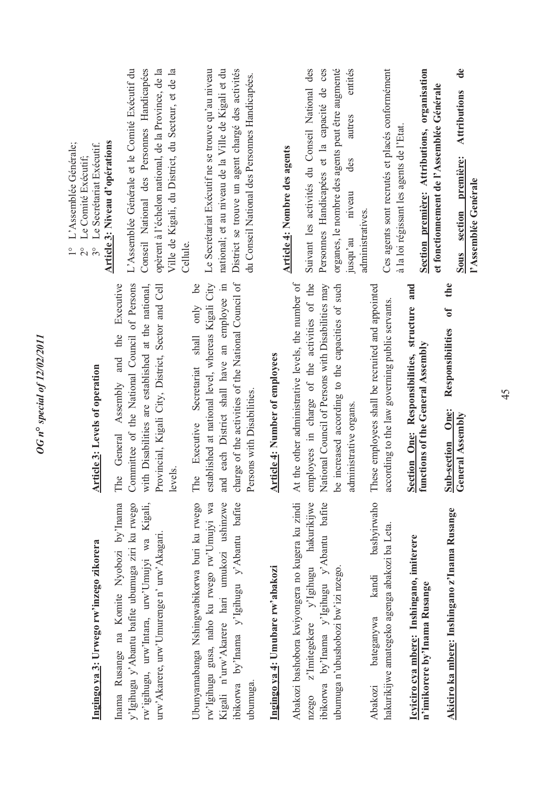| J<br>ļ      |
|-------------|
| i<br>D<br>i |
| J<br>l<br>١ |
| i           |
| į<br>i      |

y'Igihugu y'Abantu bafite ubumuga ziri ku rwego Inama Rusange na Komite Nyobozi by'Inama Inama Rusange na Komite Nyobozi by'Inama y'Igihugu y'Abantu bafite ubumuga ziri ku rwego rw'igihugu, urw'Intara, urw'Umujyi wa Kigali, rw'igihugu, urw'Intara, urw'Umujyi wa Kigali, urw'Akarere, urw'Umurenge n' urw'Akagari. urw'Akarere, urw'Umurenge n' urw'Akagari. Ubunyamabanga Nshingwabikorwa buri ku rwego rw'Igihugu gusa, naho ku rwego rw'Umujyi wa Kigali n'urw'Akarere hari umukozi ushinzwe Ubunyamabanga Nshingwabikorwa buri ku rwego rw'Igihugu gusa, naho ku rwego rw'Umujyi wa Kigali n'urw'Akarere hari umukozi ushinzwe ibikorwa by'Inama y'Igihugu y'Abantu bafite ibikorwa by'Inama y'Igihugu y'Abantu bafite ubumuga.

## Ingingo ya 4: Umubare rw'abakozi **Ingingo ya 4: Umubare rw'abakozi**

Abakozi bashobora kwiyongera no kugera ku zindi nzego z'Imitegekere y'Igihugu hakurikijwe Abakozi bashobora kwiyongera no kugera ku zindi nzego z'Imitegekere y'Igihugu hakurikijwe ibikorwa by'lnama y'Igihugu y'Abantu bafite ibikorwa by'Inama y'Igihugu y'Abantu bafite ubumuga n'ubushobozi bw'izi nzego. ubumuga n'ubushobozi bw'izi nzego. bashyirwaho Abakozi bateganywa kandi bashyirwaho hakurikijwe amategeko agenga abakozi ba Leta. hakurikijwe amategeko agenga abakozi ba Leta. kandi bateganywa Abakozi

**Icyiciro cya mbere: Inshingano, imiterere**  Icyiciro cya mbere: Inshingano, imiterere n'imikorere by'Inama Rusange **n'imikorere by'Inama Rusange** Akiciro ka mbere: Inshingano z'Inama Rusange **Akiciro ka mbere: Inshingano z'Inama Rusange**

### **Article 3: Levels of operation**  Article 3: Levels of operation

Committee of the National Council of Persons with Disabilities are established at the national, The General Assembly and the Executive Committee of the National Council of Persons with Disabilities are established at the national, Provincial, Kigali City, District, Sector and Cell Provincial, Kigali City, District, Sector and Cell The General Assembly and the Executive levels.

charge of the activities of the National Council of established at national level, whereas Kigali City and each District shall have an employee in The Executive Secretariat shall only be established at national level, whereas Kigali City and each District shall have an employee in charge of the activities of the National Council of The Executive Secretariat shall only be Persons with Disabilities. Persons with Disabilities.

### **Article 4: Number of employees Article 4: Number of employees**

employees in charge of the activities of the National Council of Persons with Disabilities may be increased according to the capacities of such At the other administrative levels, the number of At the other administrative levels, the number of employees in charge of the activities of the National Council of Persons with Disabilities may be increased according to the capacities of such administrative organs. administrative organs.

These employees shall be recruited and appointed These employees shall be recruited and appointed according to the law governing public servants. according to the law governing public servants.

**Section One: Responsibilities, structure and Section One: Responsibilities, structure and functions of the General Assembly functions of the General Assembly**

**Sub-section One: Responsibilities of the**  Responsibilities of **Sub-section One:**<br>General Assembly **General Assembly** 

the

- 1° L'Assemblée Générale; 1° L'Assemblée Générale;
	- 2° Le Comité Exécutif; 2° Le Comité Exécutif;
- 3° Le Secrétariat Exécutif. 3° Le Secrétariat Exécutif.

### Article 3: Niveau d'opérations **Article 3: Niveau d'opérations**

opèrent à l'échelon national, de la Province, de la L'Assemblée Générale et le Comité Exécutif du Conseil National des Personnes Handicapées Conseil National des Personnes Handicapées opèrent à l'échelon national, de la Province, de la Ville de Kigali, du District, du Secteur, et de la Ville de Kigali, du District, du Secteur, et de la L'Assemblée Générale et le Comité Exécutif du Cellule.

Le Secrétariat Exécutif ne se trouve qu'au niveau national; et au niveau de la Ville de Kigali et du District se trouve un agent chargé des activités Le Secrétariat Exécutif ne se trouve qu'au niveau national; et au niveau de la Ville de Kigali et du District se trouve un agent chargé des activités du Conseil National des Personnes Handicapées. du Conseil National des Personnes Handicapées.

### **Article 4: Nombre des agents**  Article 4: Nombre des agents

Suivant les activités du Conseil National des Personnes Handicapées et la capacité de ces organes, le nombre des agents peut être augmenté organes, le nombre des agents peut être augmenté jusqu'au niveau des autres entités Suivant les activités du Conseil National des Personnes Handicapées et la capacité de ces entités autres  $\mathrm{des}$ niveau administratives. administratives. jusqu'au

Ces agents sont recrutés et placés conformément Ces agents sont recrutés et placés conformément à la loi régissant les agents de l'Etat. à la loi régissant les agents de l'Etat.

**Section première: Attributions, organisation**  Section première: Attributions, organisation et fonctionnement de l'Assemblée Générale **et fonctionnement de l'Assemblée Générale**

**Sous section première: Attributions de**  Attributions de Sous section première: l'Assemblée Genérale **l'Assemblée Genérale**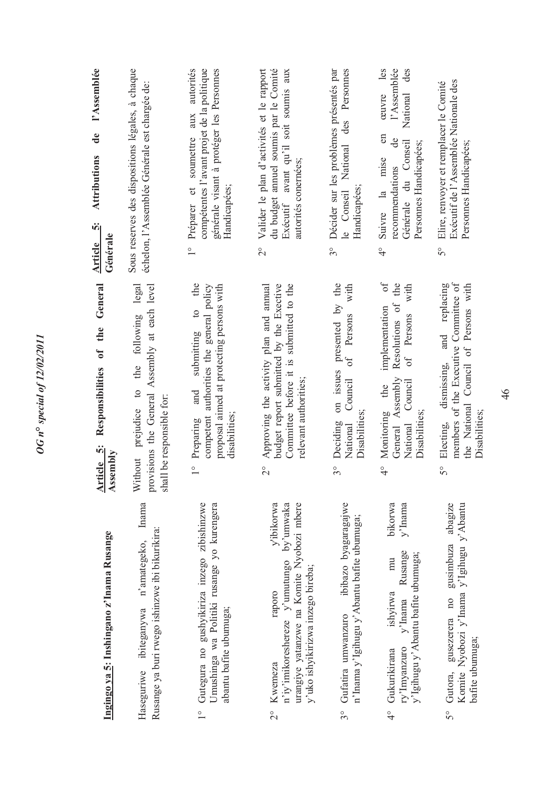| l'Assemblée<br>$\mathbf{d}\mathbf{e}$<br><b>Attributions</b><br>ທີ່<br>Générale<br><b>Article</b> | Sous reserves des dispositions légales, à chaque<br>échelon, l'Assemblée Générale est chargée de:                               | autorités<br>générale visant à protéger les Personnes<br>compétentes l'avant projet de la politique<br>soumettre aux<br>Handicapées;<br>Préparer et<br>$\frac{1}{1}$ | du budget annuel soumis par le Comité<br>Valider le plan d'activités et le rapport<br>avant qu'il soit soumis aux<br>autorités conernées;<br>Exécutif<br>$\frac{1}{2}$            | Personnes<br>Décider sur les problèmes présentés par<br>des<br>National<br>Handicapées;<br>le Conseil<br>$3^{\circ}$           | les<br>l'Assemblée<br>National des<br>œuvre<br>$\epsilon$<br>de<br>Générale du Conseil<br>Personnes Handicapées;<br>mise<br>recommendations<br>Suivre la<br>$\frac{1}{4}$ | Exécutif de l'Assemblée Nationale des<br>Elire, renvoyer et remplacer le Comité<br>Personnes Handicapées;<br>50                                            |
|---------------------------------------------------------------------------------------------------|---------------------------------------------------------------------------------------------------------------------------------|----------------------------------------------------------------------------------------------------------------------------------------------------------------------|-----------------------------------------------------------------------------------------------------------------------------------------------------------------------------------|--------------------------------------------------------------------------------------------------------------------------------|---------------------------------------------------------------------------------------------------------------------------------------------------------------------------|------------------------------------------------------------------------------------------------------------------------------------------------------------|
| General<br>Responsibilities of the<br>Article 5:<br>Assembly                                      | legal<br>provisions the General Assembly at each level<br>the following<br>prejudice to<br>shall be responsible for:<br>Without | submitting to the<br>proposal aimed at protecting persons with<br>competent authorities the general policy<br>and<br>disabilities;<br>Preparing<br>$\frac{1}{2}$     | Approving the activity plan and annual<br>budget report submitted by the Exective<br>Committee before it is submitted to the<br>relevant authorities;<br>$\overline{\mathcal{C}}$ | on issues presented by the<br>with<br>Persons<br>$\sigma$ f<br>Council<br>Disabilities;<br>Deciding<br>National<br>$3^{\circ}$ | $\sigma$<br>Resolutions of the<br>with<br>implementation<br>of Persons<br>General Assembly<br>Council<br>Monitoring the<br>Disabilities;<br>National<br>$\frac{1}{4}$     | members of the Executive Committee of<br>and replacing<br>the National Council of Persons with<br>dismissing,<br>Disabilities;<br>Electing,<br>$5^{\circ}$ |
| Ingingo ya 5: Inshingano z'Inama Rusange                                                          | Inama<br>Rusange ya buri rwego ishinzwe ibi bikurikira:<br>n'amategeko,<br>Haseguriwe ibiteganywa                               | Gutegura no gushyikiriza inzego zibishinzwe<br>Umushinga wa Politiki rusange yo kurengera<br>abantu bafite ubumuga;                                                  | by'umwaka<br>urangiye yatanzwe na Komite Nyobozi mbere<br>v'ibikorwa<br>n'iy'imikoreshereze y'umutungo<br>y'uko ishyikirizwa inzego bireba;<br>raporo<br>Kwemeza<br>$\frac{1}{2}$ | ibibazo byagaragajwe<br>n'Inama y'Igihugu y'Abantu bafite ubumuga;<br>Gufatira umwanzuro<br>$3^\circ$                          | bikorwa<br>$y'$ Inama<br>Rusange<br>y'Igihugu y'Abantu bafite ubumuga;<br>mu<br>ishyirwa<br>$v'$ Inama<br>ry'Imyanzuro<br>Gukurikirana<br>$\frac{6}{4}$                   | Komite Nyobozi y'Inama y'Igihugu y'Abantu<br>abagize<br>gusimbuza<br>gusezerera no<br>bafite ubumuga;<br>Gutora,<br>50                                     |

**OG** n<sup>o</sup> special of 12/02/2011 *OG n***°** *special of 12/02/2011*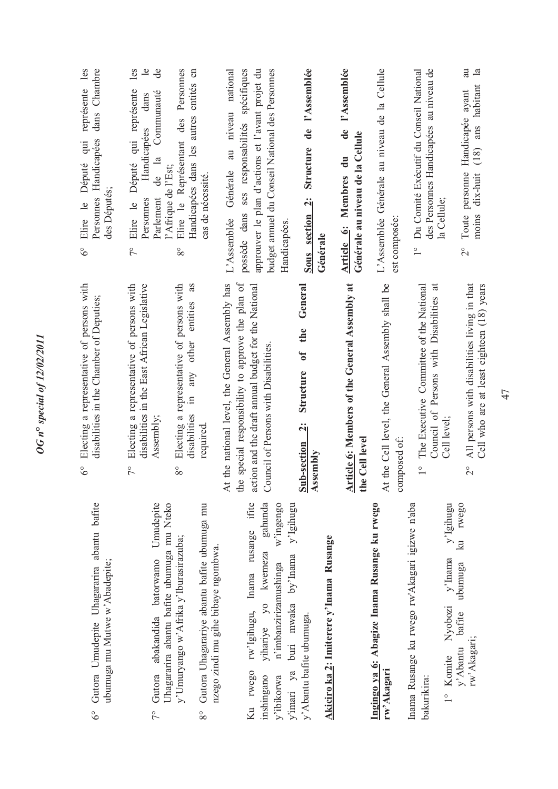| représente les<br>dans Chambre<br>Personnes Handicapées<br>Député qui<br>des Députés;<br>Elire le<br>$\delta^{\circ}$ | les<br>$\mathbf{e}$<br>ಕಿ<br>Elire le Représentant des Personnes<br>Handicapées dans les autres entités en<br>Député qui représente<br>de la Communauté<br>dans<br>Handicapées<br>l'Afrique de l'Est;<br>Parlement<br>Personnes<br>Elire le<br>$\tilde{7}^{\circ}$<br>$8^{\circ}$ | possède dans ses responsabilités spécifiques<br>budget annuel du Conseil National des Personnes<br>approuver le plan d'actions et l'avant projet du<br>national<br>au niveau<br>Générale<br>cas de nécessité.<br>L'Assemblée<br>Handicapées.         | Structure de l'Assemblée<br>Sous section 2:<br>Générale                                                                | l'Assemblée<br>de<br>Générale au niveau de la Cellule<br>Article 6: Membres du | L'Assemblée Générale au niveau de la Cellule<br>est composée:    | des Personnes Handicapées au niveau de<br>Du Comité Exécutif du Conseil National<br>la Cellule;<br>$\frac{1}{\sqrt{2}}$     | au<br>$\mathbf{a}$<br>$(18)$ ans habitant<br>Handicapée ayant<br>Toute personne<br>dix-huit<br>moins<br>$\overset{\circ}{\sim}$ |
|-----------------------------------------------------------------------------------------------------------------------|-----------------------------------------------------------------------------------------------------------------------------------------------------------------------------------------------------------------------------------------------------------------------------------|------------------------------------------------------------------------------------------------------------------------------------------------------------------------------------------------------------------------------------------------------|------------------------------------------------------------------------------------------------------------------------|--------------------------------------------------------------------------------|------------------------------------------------------------------|-----------------------------------------------------------------------------------------------------------------------------|---------------------------------------------------------------------------------------------------------------------------------|
| Electing a representative of persons with<br>disabilities in the Chamber of Deputies;<br>$\delta^{\circ}$             | Electing a representative of persons with<br>as<br>disabilities in the East African Legislative<br>Electing a representative of persons with<br>other entities<br>any<br>$\Xi$<br>disabilities<br>Assembly;<br>$\tilde{7}$<br>$8^{\circ}$                                         | e special responsibility to approve the plan of<br>At the national level, the General Assembly has<br>action and the draft annual budget for the National<br>Council of Persons with Disabilities.<br>required.<br>€                                 | General<br>the<br>ð<br>Structure<br>$\ddot{\mathbf{a}}$<br>Sub-section<br>Assembly                                     | <b>Article 6: Members of the General Assembly at</b><br>the Cell level         | At the Cell level, the General Assembly shall be<br>composed of: | Council of Persons with Disabilities at<br>The Executive Committee of the National<br>Cell level;<br>$\overline{1}$         | All persons with disabilities living in that<br>Cell who are at least eighteen (18) years<br>$\overline{C}$                     |
| Gutora Umudepite Uhagararira abantu bafite<br>ubumuga mu Mutwe w'Abadepite;<br>$\delta^{\circ}$                       | Umudepite<br>Uhagararira abantu bafite ubumuga mu Nteko<br>y'Umuryango w'Afrika y'Iburasirazuba;<br>Gutora abakandida batorwamo<br>$\sqrt{2}$                                                                                                                                     | gahunda<br>rw'lgihugu, Inama rusange ifite<br>w'ingengo<br>Gutora Uhagarariye abantu bafite ubumuga mu<br>nzego zindi mu gihe bibaye ngombwa.<br>yihariye yo kwemeza<br>n'imbanzirizamushinga<br>Ku rwego<br>inshingano<br>y'ibikorwa<br>$8^{\circ}$ | y'Igihugu<br>Akiciro ka 2: Imiterere y'Inama Rusange<br>buri mwaka by'Inama<br>y' Abantu bafite ubumuga.<br>y'imari ya |                                                                                | Ingingo ya 6: Abagize Inama Rusange ku rwego<br>rw'Akagari       | y'Igihugu<br>Inama Rusange ku rwego rw'Akagari igizwe n'aba<br>y'Inama<br>Nyobozi<br>Komite<br>bakurikira:<br>$\frac{1}{1}$ | ku rwego<br>ubumuga<br>bafite<br>rw'Akagari;<br>y'Abantu                                                                        |

# **Akiciro ka 2: Imiterere y'Inama Rusange** Akiciro ka 2: Imit

## **Ingingo ya 6: Abagize Inama Rusange ku rwego**  Ingingo ya 6: Aba<br>rw'Akagari **rw'Akagari**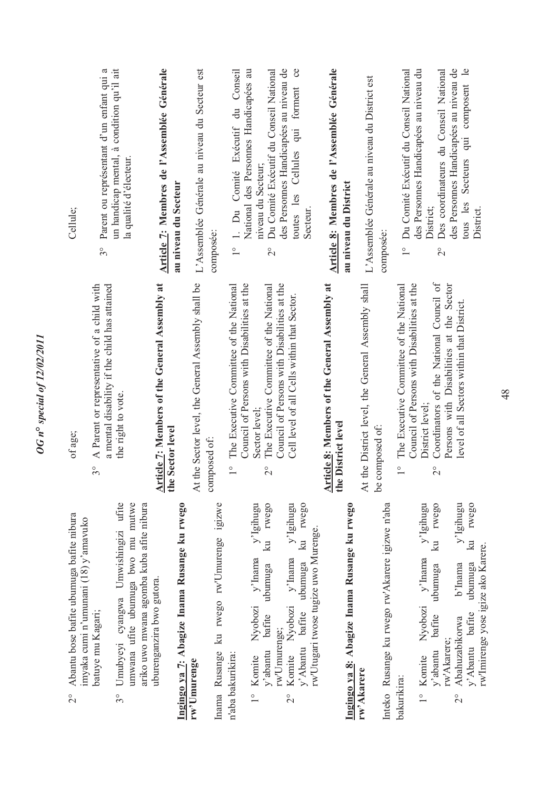| Cellule;                                                                                          | Parent ou représentant d'un enfant qui a<br>$3^{\circ}$                                                  | un handicap mental, à condition qu'il ait<br>la qualité d'électeur.                                                                 | Article 7: Membres de l'Assemblée Générale<br>au niveau du Secteur       | L'Assemblée Générale au niveau du Secteur est               | composée:                                    | Conseil<br>National des Personnes Handicapées au<br>1. Du Comité Exécutif du<br>$\overset{\circ}{\phantom{0}}$   | niveau du Secteur;                                         | Du Comité Exécutif du Conseil National<br>$\overline{c}$                                                 | des Personnes Handicapées au niveau de<br>$\infty$<br>qui forment<br>toutes les Cellules | Secteur.                                                                       | Article 8: Membres de l'Assemblée Générale                          | au niveau du District                        | L'Assemblée Générale au niveau du District est                   | composée:                                       | Du Comité Exécutif du Conseil National<br>$\overline{1}^{\circ}$                                        | des Personnes Handicapées au niveau du<br>District;           | Des coordinateurs du Conseil National<br>$\frac{1}{2}$                | des Personnes Handicapées au niveau de                                                | $\mathbf{e}$<br>Secteurs qui composent<br>tous les<br>District.                           |
|---------------------------------------------------------------------------------------------------|----------------------------------------------------------------------------------------------------------|-------------------------------------------------------------------------------------------------------------------------------------|--------------------------------------------------------------------------|-------------------------------------------------------------|----------------------------------------------|------------------------------------------------------------------------------------------------------------------|------------------------------------------------------------|----------------------------------------------------------------------------------------------------------|------------------------------------------------------------------------------------------|--------------------------------------------------------------------------------|---------------------------------------------------------------------|----------------------------------------------|------------------------------------------------------------------|-------------------------------------------------|---------------------------------------------------------------------------------------------------------|---------------------------------------------------------------|-----------------------------------------------------------------------|---------------------------------------------------------------------------------------|-------------------------------------------------------------------------------------------|
| of age;                                                                                           | A Parent or representative of a child with<br>a mental disability if the child has attained<br>$3^\circ$ | the right to vote.                                                                                                                  | <b>Article 7: Members of the General Assembly at</b><br>the Sector level | At the Sector level, the General Assembly shall be          | composed of:                                 | Council of Persons with Disabilities at the<br>The Executive Committee of the National<br>$\overline{1}^{\circ}$ | Sector level;                                              | Council of Persons with Disabilities at the<br>The Executive Committee of the National<br>$\overline{c}$ | Cell level of all Cells within that Sector.                                              |                                                                                | Article 8: Members of the General Assembly at<br>the District level |                                              | the District level, the General Assembly shall<br>$\overline{A}$ | composed of:<br>ക                               | Council of Persons with Disabilities at the<br>The Executive Committee of the National<br>$\frac{1}{1}$ | District level;                                               | Coordinators of the National Council of<br>$\overline{\mathcal{C}}$   | Persons with Disabilities at the Sector<br>level of all Sectors within that District. |                                                                                           |
| Abantu bose bafite ubumuga bafite nibura<br>imyaka cumi n'umunani (18) y'amavuko<br>$\frac{1}{2}$ | batuye mu Kagari;                                                                                        | Umubyeyi cyangwa Umwishingizi ufite<br>umwana ufite ubumuga bwo mu mutwe<br>ariko uwo mwana agomba kuba afite nibura<br>$3^{\circ}$ | uburenganzira bwo gutora.                                                | Ingingo ya 7: Abagize Inama Rusange ku rwego<br>rw'Umurenge | ku rwego rw'Umurenge igizwe<br>Inama Rusange | n'aba bakurikira:                                                                                                | y'Igihugu<br>y'Inama<br>Nyobozi<br>Komite<br>$\frac{1}{1}$ | rwego<br>$\Xi$<br>ubumuga<br>bafite<br>rw'Umurenge;<br>y'abantu                                          | y'Igihugu<br>$v'$ Inama<br>Nyobozi<br>Komite<br>$\frac{1}{2}$                            | ku rwego<br>rw'Utugari twose tugize uwo Murenge.<br>bafite ubumuga<br>y'Abantu |                                                                     | Ingingo ya 8: Abagize Inama Rusange ku rwego | rw'Akarere                                                       | Inteko Rusange ku rwego rw'Akarere igizwe n'aba | bakurikira:                                                                                             | y'Igihugu<br>$y'$ Inama<br>Nyobozi<br>Komite<br>$\frac{1}{1}$ | rwego<br>$\mathbb{E}$<br>ubumuga<br>bafite<br>rw'Akarere;<br>y'abantu | y'Igihugu<br>b'Inama<br>Abahuzabikorwa<br>$\overline{C}$                              | rwego<br>$\mathbb{R}$<br>rw'Imirenge yose igize ako Karere.<br>ubumuga<br>y'Abantu bafite |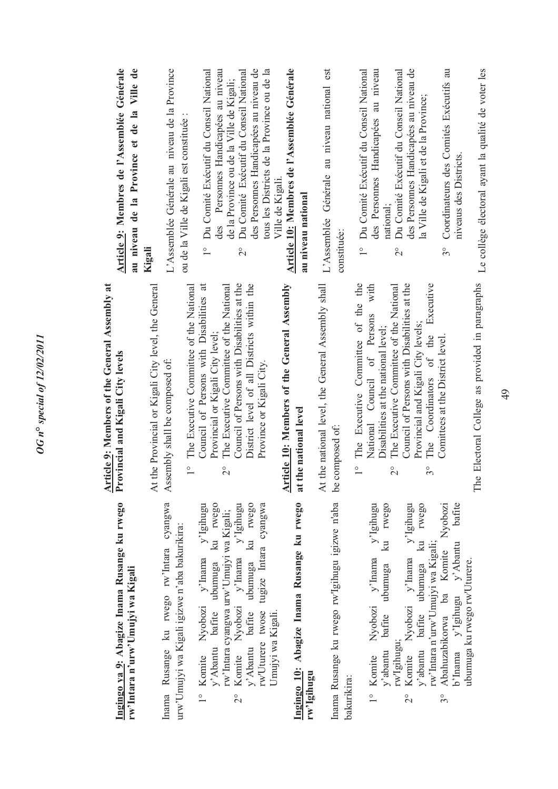| Article 9: Membres de l'Assemblée Générale<br>au niveau de la Province et de la Ville de  | L'Assemblée Générale au niveau de la Province<br>ou de la Ville de Kigali est constituée :<br>Kigali                                              | des Personnes Handicapées au niveau<br>Du Comité Exécutif du Conseil National<br>Du Comité Exécutif du Conseil National<br>des Personnes Handicapées au niveau de<br>tous les Districts de la Province ou de la<br>de la Province ou de la Ville de Kigali;<br>$\frac{1}{1}$<br>$\overset{\circ}{\sim}$ | Article 10: Membres de l'Assemblée Générale<br>Ville de Kigali.<br>au niveau national      | L'Assemblée Générale au niveau national est<br>constituée:              | des Personnes Handicapées au niveau<br>des Personnes Handicapées au niveau de<br>Coordinateurs des Comités Exécutifs au<br>Du Comité Exécutif du Conseil National<br>Du Comité Exécutif du Conseil National<br>la Ville de Kigali et de la Province;<br>niveaus des Districts.<br>national;<br>$\frac{1}{1}$<br>$\overset{\circ}{\sim}$<br>$3^{\circ}$                                                                              |
|-------------------------------------------------------------------------------------------|---------------------------------------------------------------------------------------------------------------------------------------------------|---------------------------------------------------------------------------------------------------------------------------------------------------------------------------------------------------------------------------------------------------------------------------------------------------------|--------------------------------------------------------------------------------------------|-------------------------------------------------------------------------|-------------------------------------------------------------------------------------------------------------------------------------------------------------------------------------------------------------------------------------------------------------------------------------------------------------------------------------------------------------------------------------------------------------------------------------|
| <b>Article 9: Members of the General Assembly at</b><br>Provincial and Kigali City levels | At the Provincial or Kigali City level, the General<br>The Executive Committee of the National<br>Assembly shall be composed of:<br>$\frac{1}{1}$ | Council of Persons with Disabilities at the<br>District level of all Districts within the<br>Council of Persons with Disabilities at<br>The Executive Committee of the National<br>Provincial or Kigali City level;<br>Province or Kigali City.<br>$\overline{c}$                                       | <b>Article 10: Members of the General Assembly</b><br>the national level<br>$\overline{a}$ | At the national level, the General Assembly shall<br>composed of:<br>be | The Executive Committee of the the<br>Council of Persons with Disabilities at the<br>Executive<br>with<br>The Executive Committee of the National<br>National Council of Persons<br>Provincial and Kigali City levels;<br>Disabilities at the national level;<br>The Coordinators of the<br>Comittees at the District level<br>$\frac{1}{\sqrt{2}}$<br>$\overset{\circ}{\sim}$<br>$3^{\circ}$                                       |
| Ingingo ya 9: Abagize Inama Rusange ku rwego<br>rw'Intara n'urw'Umujyi wa Kigali          | Inama Rusange ku rwego rw'Intara cyangwa<br>urw'Umujyi wa Kigali igizwe n'aba bakurikira:                                                         | y'Abantu bafite ubumuga ku rwego<br>bafite ubumuga ku rwego<br>Komite Nyobozi y'Inama y'Igihugu<br>y'Igihugu<br>rw'Uturere twose tugize Intara cyangwa<br>rw'Intara cyangwa urw'Umujyi wa Kigali;<br>Komite Nyobozi y'Inama<br>y'Abantu<br>$\frac{1}{1}$<br>$\overline{c}$                              | Ingingo 10: Abagize Inama Rusange ku rwego<br>Umujyi wa Kigali.<br>rw'Igihugu              | Inama Rusange ku rwego rw'Igihugu igizwe n'aba<br>bakurikira:           | bafite<br>rwego<br>y'Igihugu<br>rwego<br>y'Igihugu<br>Nyobozi<br>k <sub>u</sub><br>$\overline{\mathbf{z}}$<br>rw'Intara n'urw'Umujyi wa Kigali;<br>b'Inama y'Igihugu y'Abantu<br>Abahuzabikorwa ba Komite<br>Komite Nyobozi y'Inama<br>Nyobozi y'Inama<br>ubumuga ku rwego rw'Uturere.<br>y'abantu bafite ubumuga<br>bafite ubumuga<br>rw'Igihugu<br>y'abantu<br>Komite<br>$\frac{1}{2}$<br>$\overline{\mathcal{C}}$<br>$3^{\circ}$ |

*OG n***°** *special of 12/02/2011* 

**OG** n° special of 12/02/2011

The Electoral College as provided in paragraphs Le collège électoral ayant la qualité de voter les The Electoral College as provided in paragraphs

Le collège électoral ayant la qualité de voter les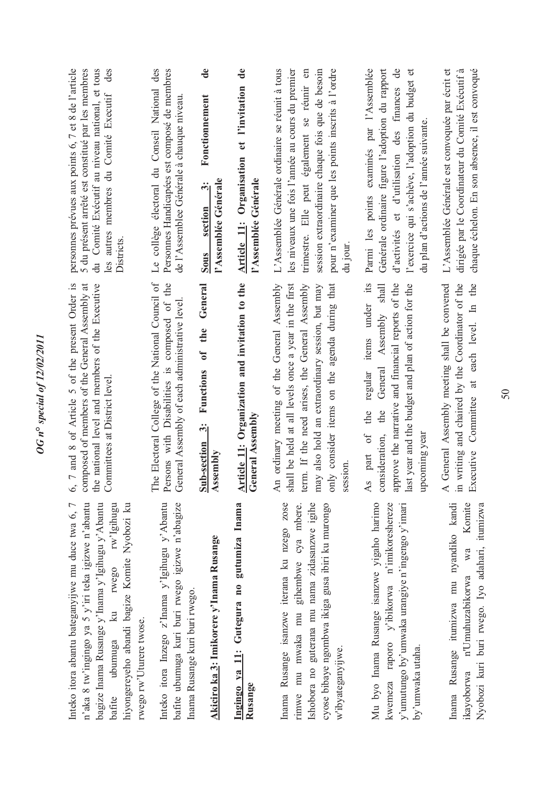| ı                                        |
|------------------------------------------|
| ۳                                        |
| ۶<br>Š                                   |
| $\overline{\phantom{0}}$                 |
| Ù                                        |
| $\tilde{\mathcal{L}}$<br>ì               |
|                                          |
| $\mathbf{s}$<br>$\overline{\phantom{0}}$ |
| $\tilde{\bullet}$<br>ì                   |
|                                          |
| ١<br>,<br>۹                              |
| ٢                                        |
| $\tilde{a}$<br>١                         |
|                                          |
|                                          |
| ĭ                                        |
|                                          |
|                                          |
| š                                        |
|                                          |
| ŧ<br>5                                   |
|                                          |
| ı<br>)                                   |
| $\boldsymbol{z}$                         |
|                                          |
|                                          |
|                                          |
|                                          |
|                                          |

Inteko itora abantu bateganyijwe mu duce twa 6, 7 Inteko itora abantu bateganyijwe mu duce twa 6, 7 n'aka 8 tw'ingingo ya 5 y'iri teka igizwe n'abantu bagize Inama Rusange y'Inama y'Igihugu y'Abantu bafite ubumuga ku rwego rw'Igihugu hiyongereyeho abandi bagize Komite Nyobozi ku n'aka 8 tw'ingingo ya 5 y'iri teka igizwe n'abantu bagize Inama Rusange y'Inama y'Igihugu y'Abantu rwego rw'Igihugu hiyongereyeho abandi bagize Komite Nyobozi ku  $k_{\rm H}$ rwego rw'Uturere twose. rwego rw'Uturere twose. ubumuga bafite

Inteko itora Inzego z'Inama y'Igihugu y'Abantu bafite ubumuga kuri buri rwego igizwe n'abagize bafite ubumuga kuri buri rwego igizwe n'abagize Inteko itora Inzego z'Inama y'Igihugu y'Abantu Inama Rusange kuri buri rwego. Inama Rusange kuri buri rwego.

# Akiciro ka 3: Imikorere y'Inama Rusange **Akiciro ka 3: Imikorere y'Inama Rusange**

## **Ingingo ya 11: Gutegura no gutumiza Inama**  Ingingo ya 11: Gutegura no gutumiza Inama **Rusange**

Inama Rusange isanzwe iterana ku nzego zose Inama Rusange isanzwe iterana ku nzego zose rimwe mu mwaka mu gihembwe cya mbere. shobora no guterana mu nama zidasanzwe igihe Ishobora no guterana mu nama zidasanzwe igihe cyose bibaye ngombwa ikiga gusa ibiri ku murongo gihembwe cya mbere. cyose bibaye ngombwa ikiga gusa ibiri ku murongo rimwe mu mwaka mu w'ibyateganyijwe. w'ibyateganyijwe.

Mu byo Inama Rusange isanzwe yigaho harimo kwemeza raporo y'ibikorwa n'imikoreshereze y'umutungo by'umwaka urangiye n'ingengo y'imari Mu byo Inama Rusange isanzwe yigaho harimo kwemeza raporo y'ibikorwa n'imikoreshereze y'umutungo by'umwaka urangiye n'ingengo y'imari by'umwaka utaha. by'umwaka utaha.

Inama Rusange itumizwa mu nyandiko kandi Komite ikayoborwa n'Umuhuzabikorwa wa Komite Nyobozi kuri buri rwego. Iyo adahari, itumizwa Inama Rusange itumizwa mu nyandiko kandi Nyobozi kuri buri rwego. Iyo adahari, itumizwa  $W<sub>a</sub>$ n'Umuhuzabikorwa ikayoborwa

6, 7 and 8 of Article 5 of the present Order is composed of members of the General Assembly at the national level and members of the Executive 6, 7 and 8 of Article 5 of the present Order is composed of members of the General Assembly at the national level and members of the Executive Committees at District level. Committees at District level. The Electoral College of the National Council of Persons with Disabilities is composed of the The Electoral College of the National Council of Persons with Disabilities is composed of the General Assembly of each administrative level. General Assembly of each administrative level.

Sub-section 3: Functions of the General **Sub-section 3: Functions of the General Assembly** 

### Article 11: Organization and invitation to the **Article 11: Organization and invitation to the General Assembly General Assembly**

An ordinary meeting of the General Assembly An ordinary meeting of the General Assembly shall be held at all levels once a year in the first shall be held at all levels once a year in the first term. If the need arises, the General Assembly may also hold an extraordinary session, but may only consider items on the agenda during that term. If the need arises, the General Assembly may also hold an extraordinary session, but may only consider items on the agenda during that session. As part of the regular items under its approve the narrative and financial reports of the last year and the budget and plan of action for the consideration, the General Assembly shall As part of the regular items under its consideration, the General Assembly shall approve the narrative and financial reports of the last year and the budget and plan of action for the upcoming year upcoming year A General Assembly meeting shall be convened in writing and chaired by the Coordinator of the Executive Committee at each level. In the A General Assembly meeting shall be convened in writing and chaired by the Coordinator of the Executive Committee at each level. In the

des personnes prévues aux points 6, 7 et 8 de l'article 5 du présent arrêté est constitué par les membres du Comité Exécutif au niveau national, et tous du Comité Exécutif au niveau national, et tous les autres membres du Comité Executif des personnes prévues aux points 6, 7 et 8 de l'article 5 du présent arrêté est constitué par les membres les autres membres du Comité Executif Districts.

Le collège électoral du Conseil National des Personnes Handicapées est composé de membres Le collège électoral du Conseil National des Personnes Handicapées est composé de membres de l'Assemblee Générale à chauque niveau. de l'Assemblee Générale à chauque niveau.

#### de **Sous section 3: Fonctionnement de**  Fonctionnement **l'Assemblée Générale**  'Assemblée Générale Sous section 3:

### Article 11: Organisation et l'invitation de **Article 11: Organisation et l'invitation de l'Assemblée Générale**  l'Assemblée Générale

session extraordinaire chaque fois que de besoin L'Assemblée Générale ordinaire se réunit à tous les niveaux une fois l'année au cours du premier trimestre. Elle peut également se réunir en pour n'examiner que les points inscrits à l'ordre L'Assemblée Générale ordinaire se réunit à tous les niveaux une fois l'année au cours du premier trimestre. Elle peut également se réunir en session extraordinaire chaque fois que de besoin pour n'examiner que les points inscrits à l'ordre du jour.

Parmi les points examinés par l'Assemblée Parmi les points examinés par l'Assemblée Générale ordinaire figure l'adoption du rapport d'activités et d'utilisation des finances de d'activités et d'utilisation des finances de l'exercice qui s'achève, l'adoption du budget et l'exercice qui s'achève, l'adoption du budget et Générale ordinaire figure l'adoption du rapport du plan d'actions de l'année suivante. du plan d'actions de l'année suivante.

L'Assemblée Générale est convoquée par écrit et L'Assemblée Générale est convoquée par écrit et dirigée par le Coordinateur du Comité Exécutif à dirigée par le Coordinateur du Comité Exécutif à chaque échelon. En son absence, il est convoqué chaque échelon. En son absence, il est convoqué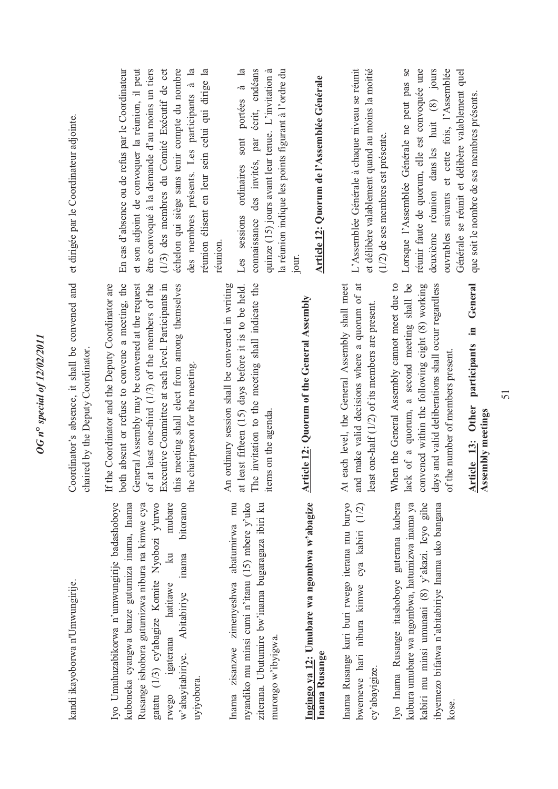### *OG n***°** *special of 12/02/2011*  OG n° special of 12/02/2011

kandi ikayoborwa n'Umwungirije. kandi ikayoborwa n'Umwungirije.

Iyo Umuhuzabikorwa n'umwungirije badashoboye kuboneka cyangwa banze gutumiza inama, Inama Rusange ishobora gutumizwa nibura na kimwe cya gatatu (1/3) cy'abagize Komite Nyobozi y'urwo gatatu (1/3) cy'abagize Komite Nyobozi y'urwo mubare rwego igaterana hatitawe ku mubare w'abayitabiriye. Abitabiriye inama bitoramo lyo Umuhuzabikorwa n'umwungirije badashoboye kuboneka cyangwa banze gutumiza inama, Inama Rusange ishobora gutumizwa nibura na kimwe cya bitoramo  $\overline{\mathbf{a}}$ w'abayitabiriye. Abitabiriye inama igaterana hatitawe uyiyobora. rwego

Inama zisanzwe zimenyeshwa abatumirwa mu ziterana. Ubutumire bw'inama bugaragaza ibiri ku Inama zisanzwe zimenyeshwa abatumirwa mu nyandiko mu minsi cumi n'itanu (15) mbere y'uko ziterana. Ubutumire bw'inama bugaragaza ibiri ku nyandiko mu minsi cumi n'itanu (15) mbere y'uko murongo w'ibyigwa. murongo w'ibyigwa.

### Ingingo ya 12: Umubare wa ngombwa w'abagize **Ingingo ya 12: Umubare wa ngombwa w'abagize Inama Rusange**  Inama Rusange

Inama Rusange kuri buri rwego iterana mu buryo Inama Rusange kuri buri rwego iterana mu buryo bwemewe hari nibura kimwe cya kabiri (1/2) bwemewe hari nibura kimwe cya kabiri (1/2) cy'abayigize. cy'abayigize.

Iyo Inama Rusange itashoboye guterana kubera kubura umubare wa ngombwa, hatumizwa inama ya kabiri mu minsi umunani (8) y'akazi. Icyo gihe kabiri mu minsi umunani (8) y'akazi. Icyo gihe ibyemezo bifatwa n'abitabiriye Inama uko bangana ibyemezo bifatwa n'abitabiriye Inama uko bangana Iyo Inama Rusange itashoboye guterana kubera kubura umubare wa ngombwa, hatumizwa inama ya kose.

Coordinator's absence, it shall be convened and et dirigée par le Coordinateur adjointe. et dirigée par le Coordinateur adjointe. Coordinator's absence, it shall be convened and chaired by the Deputy Coordinator. chaired by the Deputy Coordinator.

both absent or refuse to convene a meeting, the General Assembly may be convened at the request of at least one-third (1/3) of the members of the If the Coordinator and the Deputy Coordinator are both absent or refuse to convene a meeting, the General Assembly may be convened at the request of at least one-third (1/3) of the members of the Executive Committee at each level. Participants in Executive Committee at each level. Participants in this meeting shall elect from among themselves If the Coordinator and the Deputy Coordinator are this meeting shall elect from among themselves the chairperson for the meeting. the chairperson for the meeting.

at least fifteen (15) days before it is to be held. The invitation to the meeting shall indicate the An ordinary session shall be convened in writing at least fifteen (15) days before it is to be held. The invitation to the meeting shall indicate the An ordinary session shall be convened in writing items on the agenda. items on the agenda.

# **Article 12: Quorum of the General Assembly**  Article 12: Quorum of the General Assembly

and make valid decisions where a quorum of at At each level, the General Assembly shall meet and make valid decisions where a quorum of at At each level, the General Assembly shall meet least one-half (1/2) of its members are present. least one-half (1/2) of its members are present.

lack of a quorum, a second meeting shall be convened within the following eight (8) working days and valid deliberations shall occur regardless When the General Assembly cannot meet due to lack of a quorum, a second meeting shall be convened within the following eight (8) working days and valid deliberations shall occur regardless When the General Assembly cannot meet due to of the number of members present. of the number of members present.

**Article 13: Other participants in General**  Article 13: Other participants in General **Assembly meetings**  Assembly meetings

En cas d'absence ou de refus par le Coordinateur et son adjoint de convoquer la réunion, il peut être convoqué à la demande d'au moins un tiers (1/3) des membres du Comité Exécutif de cet échelon qui siège sans tenir compte du nombre échelon qui siège sans tenir compte du nombre des membres présents. Les participants à la des membres présents. Les participants à la éunion élisent en leur sein celui qui dirige la réunion élisent en leur sein celui qui dirige la En cas d'absence ou de refus par le Coordinateur et son adjoint de convoquer la réunion, il peut être convoqué à la demande d'au moins un tiers (1/3) des membres du Comité Exécutif de cet réunion. Les sessions ordinaires sont portées à la Les sessions ordinaires sont portées à la connaissance des invités, par écrit, endéans connaissance des invités, par écrit, endéans quinze  $(15)$  jours avant leur tenue. L'invitation à quinze (15) jours avant leur tenue. L'invitation à la réunion indique les points figurant à l'ordre du la réunion indique les points figurant à l'ordre du jour.

# Article 12: Quorum de l'Assemblée Générale **Article 12: Quorum de l'Assemblée Générale**

L'Assemblée Générale à chaque niveau se réunit et délibère valablement quand au moins la moitié L'Assemblée Générale à chaque niveau se réunit et délibère valablement quand au moins la moitié (1/2) de ses membres est présente. (1/2) de ses membres est présente.

réunir faute de quorum, elle est convoquée une Lorsque l'Assemblée Générale ne peut pas se réunir faute de quorum, elle est convoquée une deuxième réunion dans les huit (8) jours puvrables suivants et cette fois, l'Assemblée ouvrables suivants et cette fois, l'Assemblée Générale se réunit et délibère valablement quel Lorsque l'Assemblée Générale ne peut pas se deuxième réunion dans les huit  $(8)$  jours Générale se réunit et délibère valablement quel que soit le nombre de ses membres présents. que soit le nombre de ses membres présents.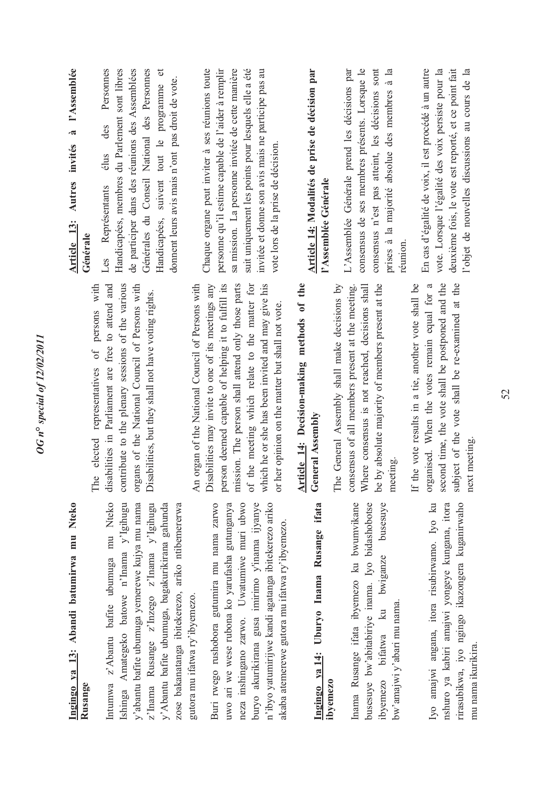## **Ingingo ya 13: Abandi batumirwa mu Nteko**  Ingingo ya 13: Abandi batumirwa mu Nteko **Rusange**

Ishinga Amategeko batowe n'Inama y'Igihugu y'abantu bafite ubumuga yemerewe kujya mu nama Intumwa z'Abantu bafite ubumuga mu Nteko Ishinga Amategeko batowe n'Inama y'Igihugu y'abantu bafite ubumuga yemerewe kujya mu nama z'lnama Rusange z'lnzego z'lnama y'lgihugu z'Inama Rusange z'Inzego z'Inama y'Igihugu y'Abantu bafite ubumuga, bagakurikirana gahunda zose bakanatanga ibitekerezo, ariko ntibemererwa Intumwa z'Abantu bafite ubumuga mu Nteko y'Abantu bafite ubumuga, bagakurikirana gahunda zose bakanatanga ibitekerezo, ariko ntibemererwa gutora mu ifatwa ry'ibyemezo. gutora mu ifatwa ry'ibyemezo.

Buri rwego rushobora gutumira mu nama zarwo uwo ari we wese rubona ko yarufasha gutunganya uwo ari we wese rubona ko yarufasha gutunganya neza inshingano zarwo. Uwatumiwe muri ubwo buryo akurikirana gusa imirimo y'inama ijyanye n'ibyo yatumirijwe kandi agatanga ibitekerezo ariko Buri rwego rushobora gutumira mu nama zarwo neza inshingano zarwo. Uwatumiwe muri ubwo buryo akurikirana gusa imirimo y'inama ijyanye n'ibyo yatumirijwe kandi agatanga ibitekerezo ariko akaba atemerewe gutora mu ifatwa ry'ibyemezo. akaba atemerewe gutora mu ifatwa ry'ibyemezo.

## **Ingingo ya 14: Uburyo Inama Rusange ifata**  Ingingo ya 14: Uburyo Inama Rusange ifata **ibyemezo**

Inama Rusange ifata ibyemezo ku bwumvikane Inama Rusange ifata ibyemezo ku bwumvikane busesuye bw'abitabiriye inama. Iyo bidashobotse busesuye bw'abitabiriye inama. Iyo bidashobotse ibyemezo bifatwa ku bwiganze busesuye ibyemezo bifatwa ku bwiganze busesuye bw'amajwi y'abari mu nama. bw'amajwi y'abari mu nama.

rirasubikwa, iyo ngingo ikazongera kuganirwaho Iyo amajwi angana, itora risubirwamo. Iyo ku nshuro ya kabiri amajwi yongeye kungana, itora nshuro ya kabiri amajwi yongeye kungana, itora rirasubikwa, iyo ngingo ikazongera kuganirwaho Iyo amajwi angana, itora risubirwamo. Iyo ku mu nama ikurikira. mu nama ikurikira

The elected representatives of persons with disabilities in Parliament are free to attend and contribute to the plenary sessions of the various contribute to the plenary sessions of the various organs of the National Council of Persons with disabilities in Parliament are free to attend and organs of the National Council of Persons with The elected representatives of persons with Disabilities, but they shall not have voting rights. Disabilities, but they shall not have voting rights.

An organ of the National Council of Persons with Disabilities may invite to one of its meetings any person deemed capable of helping it to fulfill its mission. The person shall attend only those parts mission. The person shall attend only those parts of the meeting which relate to the matter for which he or she has been invited and may give his Disabilities may invite to one of its meetings any person deemed capable of helping it to fulfill its of the meeting which relate to the matter for which he or she has been invited and may give his An organ of the National Council of Persons with or her opinion on the matter but shall not vote. or her opinion on the matter but shall not vote.

### **Article 14: Decision-making methods of the**  Article 14: Decision-making methods of the **General Assembly General Assembly**

The General Assembly shall make decisions by consensus of all members present at the meeting. Where consensus is not reached, decisions shall be by absolute majority of members present at the be by absolute majority of members present at the Where consensus is not reached, decisions shall The General Assembly shall make decisions by consensus of all members present at the meeting. meeting.

organised. When the votes remain equal for a If the vote results in a tie, another vote shall be organised. When the votes remain equal for a second time, the vote shall be postponed and the second time, the vote shall be postponed and the subject of the vote shall be re-examined at the If the vote results in a tie, another vote shall be subject of the vote shall be re-examined at the next meeting. next meeting.

### **Article 13: Autres invités à l'Assemblée**  Autres invités à l'Assemblée Article 13: **Générale**

Les Représentants élus des Personnes Handicapées, membres du Parlement sont libres de participer dans des réunions des Assemblées Générales du Conseil National des Personnes Handicapées, suivent tout le programme et Personnes Handicapées, membres du Parlement sont libres de participer dans des réunions des Assemblées Générales du Conseil National des Personnes Handicapées, suivent tout le programme et donnent leurs avis mais n'ont pas droit de vote. donnent leurs avis mais n'ont pas droit de vote. des élus Représentants Les

Chaque organe peut inviter à ses réunions toute personne qu'il estime capable de l'aider à remplir sa mission. La personne invitée de cette manière suit uniquement les points pour lesquels elle a été invitée et donne son avis mais ne participe pas au Chaque organe peut inviter à ses réunions toute personne qu'il estime capable de l'aider à remplir sa mission. La personne invitée de cette manière suit uniquement les points pour lesquels elle a été invitée et donne son avis mais ne participe pas au vote lors de la prise de décision. vote lors de la prise de décision.

#### **Article 14: Modalités de prise de décision par**  Article 14: Modalités de prise de décision par **l'Assemblée Générale**  l'Assemblée Générale

prises à la majorité absolue des membres à la L'Assemblée Générale prend les décisions par consensus de ses membres présents. Lorsque le consensus de ses membres présents. Lorsque le consensus n'est pas atteint, les décisions sont consensus n'est pas atteint, les décisions sont prises à la majorité absolue des membres à la L'Assemblée Générale prend les décisions par réunion. En cas d'égalité de voix, il est procédé à un autre En cas d'égalité de voix, il est procédé à un autre vote. Lorsque l'égalité des voix persiste pour la vote. Lorsque l'égalité des voix persiste pour la deuxième fois, le vote est reporté, et ce point fait deuxième fois, le vote est reporté, et ce point fait l'objet de nouvelles discussions au cours de la l'objet de nouvelles discussions au cours de la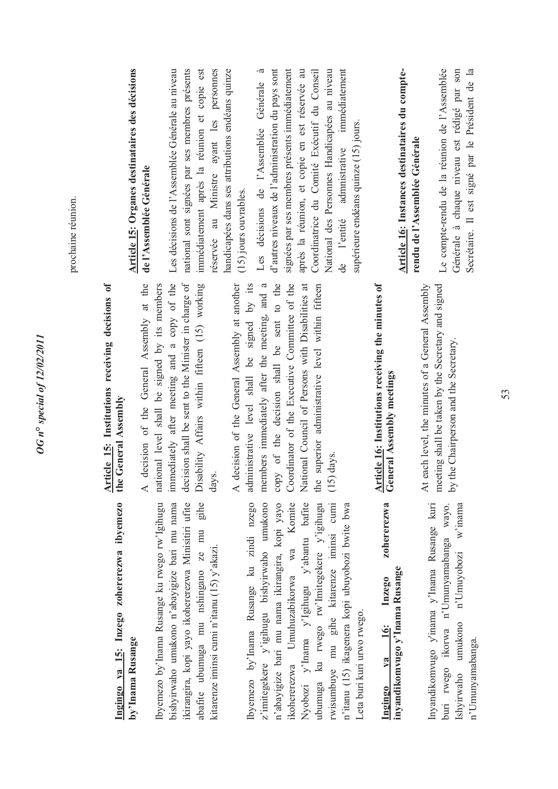prochaine réunion. prochaine réunion.

### Ingingo ya 15: Inzego zohererezwa ibyemezo **Ingingo ya 15: Inzego zohererezwa ibyemezo**  by'Inama Rusange **by'Inama Rusange**

gihe bishyirwaho umukono n'abayigize bari mu nama byemezo by'Inama Rusange ku rwego rw'Igihugu Ibyemezo by'Inama Rusange ku rwego rw'Igihugu bishyirwaho umukono n'abayigize bari mu nama ikirangira, kopi yayo ikohererezwa Minisitiri ufite ikirangira, kopi yayo ikohererezwa Minisitiri ufite abafite ubumuga mu nshingano ze mu gihe abafite ubumuga mu nshingano ze mu kitarenze iminsi cumi n'itanu (15) y'akazi. kitarenze iminsi cumi n'itanu (15) y'akazi. Ibyemezo by'Inama Rusange ku zindi nzego z'imitegekere y'igihugu bishyirwaho umukono n'abayigize bari mu nama ikirangira, kopi yayo ikohererezwa Umuhuzabikorwa wa Komite Nyobozi y'Inama y'Igihugu y'abantu bafite ubumuga ku rwego rw'lmitegekere y'igihugu rwisumbuye mu gihe kitarenze iminsi cumi Ibyemezo by'Inama Rusange ku zindi nzego z'imitegekere y'igihugu bishyirwaho umukono n'abayigize bari mu nama ikirangira, kopi yayo ikohererezwa Umuhuzabikorwa wa Komite Nyobozi y'Inama y'Igihugu y'abantu bafite ubumuga ku rwego rw'Imitegekere y'igihugu rwisumbuye mu gihe kitarenze iminsi cumi n'itanu (15) ikagenera kopi ubuyobozi bwite bwa n'itanu (15) ikagenera kopi ubuyobozi bwite bwa Leta buri kuri urwo rwego. Leta buri kuri urwo rwego.

#### zohererezwa **Ingingo ya 16: Inzego zohererezwa inyandikomvugo y'Inama Rusange**  inyandikomvugo y'Inama Rusange Inzego va 16: **Ingingo**

Inyandikomvugo y'inama y'Inama Rusange kuri ikorwa n'Umunyamabanga wayo. buri rwego ikorwa n'Umunyamabanga wayo. Ishyirwaho umukono n'Umuyobozi w'inama Inyandikomvugo y'inama y'Inama Rusange kuri umukono n'Umuyobozi w'inama n'Umunyamabanga. n'Umunyamabanga. buri rwego Ishyirwaho

### **Article 15: Institutions receiving decisions of**  Article 15: Institutions receiving decisions of **the General Assembly**  the General Assembly

immediately after meeting and a copy of the A decision of the General Assembly at the decision shall be sent to the Minister in charge of A decision of the General Assembly at the national level shall be signed by its members immediately after meeting and a copy of the decision shall be sent to the Minister in charge of Disability Affairs within fifteen (15) working Disability Affairs within fifteen (15) working national level shall be signed by its members days.

members immediately after the meeting, and a copy of the decision shall be sent to the Coordinator of the Executive Committee of the the superior administrative level within fifteen A decision of the General Assembly at another administrative level shall be signed by its administrative level shall be signed by its members immediately after the meeting, and a copy of the decision shall be sent to the Coordinator of the Executive Committee of the National Council of Persons with Disabilities at National Council of Persons with Disabilities at the superior administrative level within fifteen A decision of the General Assembly at another (15) days.

## **Article 16: Institutions receiving the minutes of Article 16:** Institutions receiving the minutes of<br>General Assembly meetings **General Assembly meetings**

At each level, the minutes of a General Assembly meeting shall be taken by the Secretary and signed meeting shall be taken by the Secretary and signed At each level, the minutes of a General Assembly by the Chairperson and the Secretary. by the Chairperson and the Secretary.

### **Article 15: Organes destinataires des décisions**  Article 15: Organes destinataires des décisions de l'Assemblée Générale **de l'Assemblée Générale**

Les décisions de l'Assemblée Générale au niveau national sont signées par ses membres présents immédiatement après la réunion et copie est réservée au Ministre ayant les personnes handicapées dans ses attributions endéans quinze Les décisions de l'Assemblée Générale au niveau national sont signées par ses membres présents immédiatement après la réunion et copie est éservée au Ministre ayant les personnes handicapées dans ses attributions endéans quinze (15) jours ouvrables. (15) jours ouvrables.

Les décisions de l'Assemblée Générale à d'autres niveaux de l'administration du pays sont d'autres niveaux de l'administration du pays sont signées par ses membres présents immédiatement signées par ses membres présents immédiatement après la réunion, et copie en est réservée au Coordinatrice du Comité Exécutif du Conseil National des Personnes Handicapées au niveau de l'entité admnistrative immédiatement après la réunion, et copie en est réservée au Coordinatrice du Comité Exécutif du Conseil National des Personnes Handicapées au niveau immédiatement Les décisions de l'Assemblée Générale supérieure endéans quinze (15) jours. supérieure endéans quinze (15) jours. admnistrative de l'entité

#### Article 16: Instances destinataires du compte-**Article 16: Instances destinataires du compterendu de l'Assemblée Générale**  rendu de l'Assemblée Générale

Le compte-rendu de la réunion de l'Assemblée Le compte-rendu de la réunion de l'Assemblée Générale à chaque niveau est rédigé par son Secrétaire. Il est signé par le Président de la Secrétaire. Il est signé par le Président de la Générale à chaque niveau est rédigé par son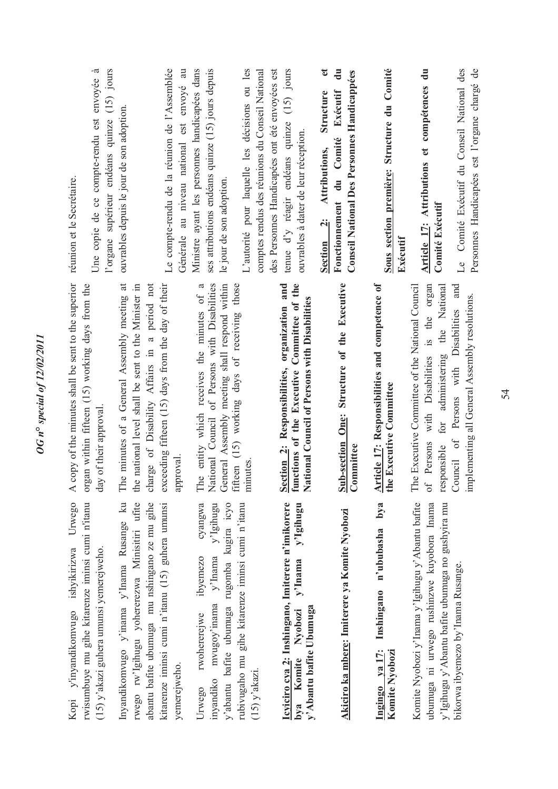| l'organe supérieur endéans quinze (15) jours<br>Une copie de ce compte-rendu est envoyée à<br>réunion et le Secrétaire.                                  | Le compte-rendu de la réunion de l'Assemblée<br>Générale au niveau national est envoyé au<br>ouvrables depuis le jour de son adoption.                                                                                  | ses attributions endéans quinze (15) jours depuis<br>L'autorité pour laquelle les décisions ou les<br>Ministre ayant les personnes handicapées dans<br>comptes rendus des réunions du Conseil National<br>le jour de son adoption. | tenue d'y réagir endéans quinze (15) jours<br>des Personnes Handicapées ont été envoyées est<br>ouvrables à dater de leur réception.                           | đ<br>$\ddot{a}$<br><b>Conseil National Des Personnes Handicappées</b><br>Exécutif<br>Structure<br>Fonctionnement du Comité<br>Attributions,<br>Section 2: | Sous section première: Structure du Comité<br>Exécutif                         | Article 17: Attributions et compétences du<br><b>Comité Exécutif</b>                                                                                   | Comité Exécutif du Conseil National des<br>Personnes Handicapées est l'organe chargé de<br>$L_{\rm e}$ |
|----------------------------------------------------------------------------------------------------------------------------------------------------------|-------------------------------------------------------------------------------------------------------------------------------------------------------------------------------------------------------------------------|------------------------------------------------------------------------------------------------------------------------------------------------------------------------------------------------------------------------------------|----------------------------------------------------------------------------------------------------------------------------------------------------------------|-----------------------------------------------------------------------------------------------------------------------------------------------------------|--------------------------------------------------------------------------------|--------------------------------------------------------------------------------------------------------------------------------------------------------|--------------------------------------------------------------------------------------------------------|
| copy of the minutes shall be sent to the superior<br>gan within fifteen (15) working days from the<br>day of their approval<br>$\blacktriangleleft$<br>ð | charge of Disability Affairs in a period not<br>exceeding fifteen (15) days from the day of their<br>The minutes of a General Assembly meeting at<br>e national level shall be sent to the Minister in<br>approval<br>ච | General Assembly meeting shall respond within<br>The entity which receives the minutes of a<br>National Council of Persons with Disabilities<br>fifteen (15) working days of receiving those<br>minutes                            | organization and<br>Committee of the<br>ational Council of Persons with Disabilities<br><b>Section 2:</b> Responsibilities,<br>functions of the Executive<br>Z | <b>Sub-section One: Structure of the Executive</b><br>Committee                                                                                           | rticle 17: Responsibilities and competence of<br>le Executive Committee<br>◁ਜ਼ | Disabilities is the organ<br>The Executive Committee of the National Council<br>administering the National<br>with<br>for<br>of Persons<br>responsible | and<br>implementing all General Assembly resolutions.<br>Persons with Disabilities<br>Council of       |
| Urwego<br>rwisumbuye mu gihe kitarenze iminsi cumi n'itanu<br>Kopi y'inyandikomvugo ishyikirizwa<br>$(15)$ y'akazi guhera umunsi yemerejweho.            | rwego rw'lgihugu yohererezwa Minisitiri ufite<br>Inyandikomvugo y'inama y'Inama Rusange ku<br>abantu bafite ubumuga mu nshingano ze mu gihe<br>kitarenze iminsi cumi n'itanu (15) guhera umunsi<br>yemerejweho.         | cyangwa<br>y'Igihugu<br>y'abantu bafite ubumuga rugomba kugira icyo<br>rubivugaho mu gihe kitarenze iminsi cumi n'itanu<br>y'Inama<br>ibyemezo<br>mvugoy'inama<br>rwohererejwe<br>$(15)$ y'akazi.<br>inyandiko<br>Urwego           | Icyiciro cya 2: Inshingano, Imiterere n'imikorere<br>y'lgihugu<br>y'Inama<br>y'Abantu bafite Ubumuga<br>bya Komite Nyobozi                                     | Akiciro ka mbere: Imiterere ya Komite Nyobozi                                                                                                             | bya<br>n'ububasha<br>Inshingano<br>Ingingo ya 17:<br>Komite Nyobozi            | Komite Nyobozi y'Inama y'Igihugu y'Abantu bafite<br>y'Igihugu y'Abantu bafite ubumuga no gushyira mu<br>ubumuga ni urwego rushinzwe kuyobora Inama     | bikorwa ibyemezo by' Inama Rusange.                                                                    |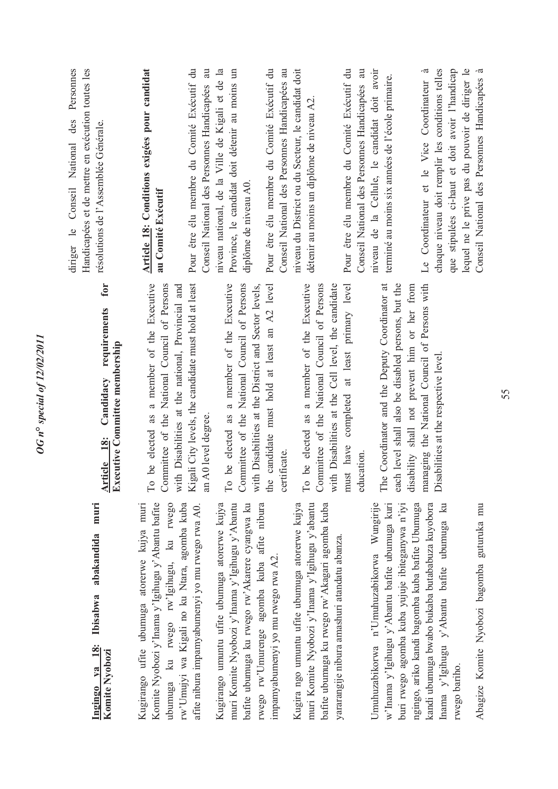| muri<br>abakandida<br>Ibisabwa<br>ya 18:<br>Komite Nyobozi<br>Ingingo                                                                                                                              | for<br>requirements<br>Article 18: Candidacy requir<br>Executive Committee membership                                                                                                                   | diriger le Conseil National des Personnes<br>Handicapées et de mettre en exécution toutes les<br>résolutions de l'Assemblée Générale. |
|----------------------------------------------------------------------------------------------------------------------------------------------------------------------------------------------------|---------------------------------------------------------------------------------------------------------------------------------------------------------------------------------------------------------|---------------------------------------------------------------------------------------------------------------------------------------|
| Komite Nyobozi y'Inama y'Igihugu y'Abantu bafite<br>ku rwego rw'Igihugu, ku rwego<br>Kugirango ufite ubumuga atorerwe kujya muri<br>rw'Umujyi wa Kigali no ku Ntara, agomba kuba<br>ubumuga        | To be elected as a member of the Executive<br>Kigali City levels, the candidate must hold at least<br>Committee of the National Council of Persons<br>with Disabilities at the national, Provincial and | Article 18: Conditions exigées pour candidat<br>Pour être élu membre du Comité Exécutif du<br>au Comité Exécutif                      |
| afite nibura impamyabumenyi yo mu rwego rwa A0.                                                                                                                                                    | an A0 level degree.                                                                                                                                                                                     | Conseil National des Personnes Handicapées au                                                                                         |
| rwego rw'Umurenge agomba kuba afite nibura<br>Kugirango umuntu ufite ubumuga atorerwe kujya<br>muri Komite Nyobozi y'Inama y'Igihugu y'Abantu<br>bafite ubumuga ku rwego rw'Akarere cyangwa ku     | To be elected as a member of the Executive<br>Committee of the National Council of Persons<br>with Disabilities at the District and Sector levels,                                                      | Province, le candidat doit détenir au moins un<br>niveau national, de la Ville de Kigali et de la<br>diplôme de niveau A0.            |
| impamyabumenyi yo mu rwego rwa A2.                                                                                                                                                                 | the candidate must hold at least an A2 level                                                                                                                                                            | Pour être élu membre du Comité Exécutif du                                                                                            |
|                                                                                                                                                                                                    | certificate.                                                                                                                                                                                            | Conseil National des Personnes Handicapées au                                                                                         |
| muri Komite Nyobozi y'Inama y'Igihugu y'abantu<br>Kugira ngo umuntu ufite ubumuga atorerwe kujya<br>bafite ubumuga ku rwego rw'Akagari agomba kuba<br>yararangije nibura amashuri atandatu abanza. | To be elected as a member of the Executive<br>Committee of the National Council of Persons<br>with Disabilities at the Cell level, the candidate                                                        | niveau du District ou du Secteur, le candidat doit<br>détenir au moins un diplôme de niveau A2.                                       |
|                                                                                                                                                                                                    | must have completed at least primary level<br>education.                                                                                                                                                | Pour être élu membre du Comité Exécutif du<br>Conseil National des Personnes Handicapées au                                           |
| Umuhuzabikorwa n'Umuhuzabikorwa Wungirije<br>w'Inama y'Igihugu y'Abantu bafite ubumuga kuri                                                                                                        | each level shall also be disabled persons, but the<br>The Coordinator and the Deputy Coordinator at                                                                                                     | niveau de la Cellule, le candidat doit avoir<br>terminé au moins six années de l'école primaire.                                      |
| buri rwego agomba kuba yujuje ibiteganywa n'iyi<br>kandi ubumuga bwabo bukaba butababuza kuyobora<br>ngingo, ariko kandi bagomba kuba bafite Ubumuga                                               | managing the National Council of Persons with<br>disability shall not prevent him or her from                                                                                                           | Le Coordinateur et le Vice Coordinateur à                                                                                             |
| Inama y'Igihugu y'Abantu bafite ubumuga ku                                                                                                                                                         | Disabilities at the respective level.                                                                                                                                                                   | chaque niveau doit remplir les conditions telles<br>que stipulées ci-haut et doit avoir l'handicap                                    |
| rwego bariho.                                                                                                                                                                                      |                                                                                                                                                                                                         | lequel ne le prive pas du pouvoir de diriger le                                                                                       |
| Abagize Komite Nyobozi bagomba guturuka mu                                                                                                                                                         |                                                                                                                                                                                                         | Conseil National des Personnes Handicapées à                                                                                          |

*OG n***°** *special of 12/02/2011* 

**OG** n° special of 12/02/2011

Abagize Komite Nyobozi bagomba guturuka mu Abagize Komite Nyobozi bagomba guturuka mu 55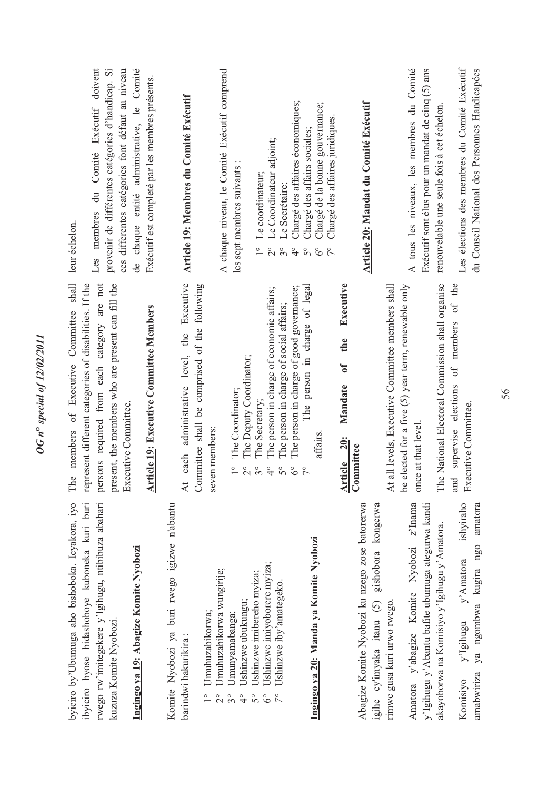| de chaque entité administrative, le Comité<br>Les membres du Comité Exécutif doivent<br>provenir de différentes catégories d'handicap. Si<br>ces differentes catégories font défaut au niveau<br>Exécutif est completé par les membres présents.<br>leur échelon.                | A chaque niveau, le Comité Exécutif comprend<br>Article 19: Membres du Comité Exécutif                                                   | Le Coordinateur adjoint;<br>les sept membres suivants :<br>Le coordinateur;<br>Le Secrétaire;<br>$\frac{1}{1}$<br>$\overset{\circ}{\sim}$<br>$\mathcal{S}^{\circ}$                                                                                          | Chargé des affaires économiques;<br>Chargé de la bonne gouvernance;<br>Chargé des affaires juridiques.<br>Chargé des affairs sociales;<br>$\frac{1}{4}$<br>$\mathcal{S}^{\circ}$<br>$\delta^{\circ}$<br>$\tilde{7}^{\circ}$ | Article 20: Mandat du Comité Exécutif<br>Executive                                             | A tous les niveaux, les membres du Comité<br>Exécutif sont élus pour un mandat de cinq (5) ans                                 | Les élections des membres du Comité Exécutif<br>du Conseil National des Personnes Handicapées<br>renouvelable une seule fois à cet échelon.      |
|----------------------------------------------------------------------------------------------------------------------------------------------------------------------------------------------------------------------------------------------------------------------------------|------------------------------------------------------------------------------------------------------------------------------------------|-------------------------------------------------------------------------------------------------------------------------------------------------------------------------------------------------------------------------------------------------------------|-----------------------------------------------------------------------------------------------------------------------------------------------------------------------------------------------------------------------------|------------------------------------------------------------------------------------------------|--------------------------------------------------------------------------------------------------------------------------------|--------------------------------------------------------------------------------------------------------------------------------------------------|
| The members of Executive Committee shall<br>present, the members who are present can fill the<br>represent different categories of disabilities. If the<br>persons required from each category are not<br><b>Article 19: Executive Committee Members</b><br>Executive Committee. | each administrative level, the Executive<br>Committee shall be comprised of the following<br>seven members:<br>$\overline{\mathbf{A}}$ t | The person in charge of economic affairs;<br>The person in charge of social affairs;<br>The Deputy Coordinator;<br>The Coordinator;<br>The Secretary;<br>$\frac{1}{1}$<br>$\overline{\mathcal{C}}$<br>$3^{\circ}$<br>$\frac{1}{4}$<br>$\mathcal{S}^{\circ}$ | The person in charge of good governance;<br>The person in charge of legal<br>affairs<br>$\delta^{\circ}$<br>$\tilde{7}^{\circ}$                                                                                             | the<br>$\mathbf{0}^{\mathbf{f}}$<br>Mandate<br>rticle 20:<br>ommittee<br>ব∣∪                   | be elected for a five (5) year term, renewable only<br>At all levels, Executive Committee members shall<br>once at that level. | The National Electoral Commission shall organise<br>and supervise elections of members of the<br>Executive Committee.                            |
| byiciro by'Ubumuga aho bishoboka. Icyakora, iyo<br>ibyiciro byose bidashoboye kuboneka kuri buri<br>rwego rw'imitegekere y'Igihugu, ntibibuza abahari<br>Ingingo ya 19: Abagize Komite Nyobozi<br>kuzuza Komite Nyobozi.                                                         | Komite Nyobozi ya buri rwego igizwe n'abantu<br>Umuhuzabikorwa wungirije;<br>Umuhuzabikorwa;<br>barindwi bakurikira:                     | Ushinzwe imiyoborere myiza;<br>Ushinzwe imibereho myiza;<br>Ushinzwe iby'amategeko<br>Ushinzwe ubukungu;<br>Umunyamabanga;<br>$\frac{1}{4}$<br>$\overline{5}^{\circ}$<br>$\delta^{\circ}$                                                                   | Ingingo ya 20: Manda ya Komite Nyobozi                                                                                                                                                                                      | Abagize Komite Nyobozi ku nzego zose batorerwa<br>igihe cy'imyaka itanu (5) gishobora kongerwa | Amatora y'abagize Komite Nyobozi z'Inama<br>y'Igihugu y'Abantu bafite ubumuga ategurwa kandi<br>rimwe gusa kuri urwo rwego.    | ishviraho<br>amatora<br>akayoborwa na Komisiyo y'Igihugu y'Amatora.<br>ya ngombwa kugira ngo<br>y'Amatora<br>y'Igihugu<br>amabwiriza<br>Komisiyo |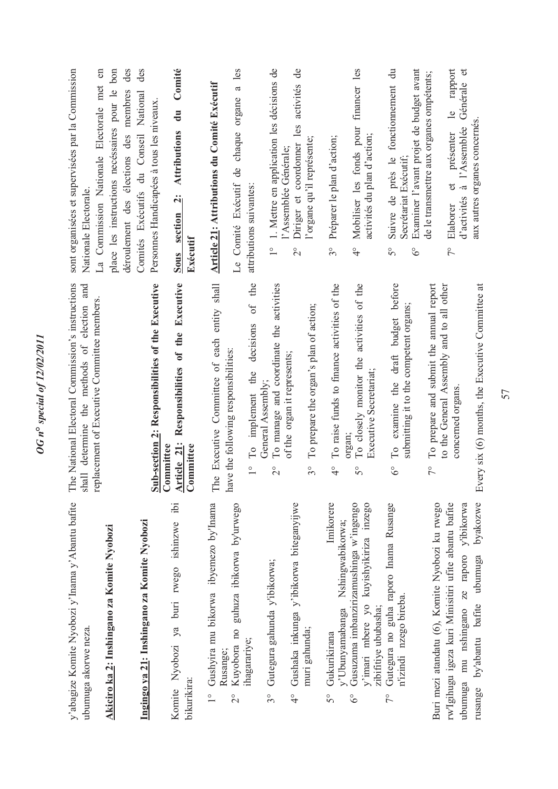|                                                                                                                                                                        | Ë                                                                                                      |                                                                                                                                            |
|------------------------------------------------------------------------------------------------------------------------------------------------------------------------|--------------------------------------------------------------------------------------------------------|--------------------------------------------------------------------------------------------------------------------------------------------|
| y'abagize Komite Nyobozi y'Inama y'Abantu bafite<br>ubumuga akorwe neza.                                                                                               | e National Electoral Commission's instructions<br>shall determine the methods of election and          | sont organisées et supervisées par la Commission<br>Nationale Electorale.                                                                  |
| Akiciro ka 2: Inshingano za Komite Nyobozi                                                                                                                             | replacement of Executive Committee members                                                             | $\epsilon$<br>place les instructions necéssaires pour le bon<br>La Commission Nationale Electorale met                                     |
| Ingingo ya 21: Inshingano za Komite Nyobozi                                                                                                                            | Sub-section 2: Responsibilities of the Executive                                                       | des<br>des<br>déroulement des élections des membres<br>Comités Exécutifs du Conseil National<br>Personnes Handicapées à tous les niveaux   |
| $\ddot{p}$<br>Komite Nyobozi ya buri rwego ishinzwe<br>bikurikira:                                                                                                     | Responsibilities of the Executive<br>Article 21:<br>Committee<br>Committee                             | Comité<br>$\overline{d}$ u<br>Attributions<br>Sous section<br>Exécutif                                                                     |
| Gushyira mu bikorwa ibyemezo by'Inama<br>Kuyobora no guhuza ibikorwa by'urwego<br>Rusange;<br>$\frac{1}{1}$<br>$\overline{C}$                                          | Executive Committee of each entity shall<br>have the following responsibilities:<br>$\mathbf{e}$<br>Fh | <b>Article 21: Attributions du Comité Exécutif</b><br>Le Comité Exécutif                                                                   |
| ihagarariye;                                                                                                                                                           | of the<br>decisions<br>the<br>To implement<br>$\frac{1}{1}$                                            | a les<br>chaque organe<br>de<br>attributions suivantes:                                                                                    |
| Gutegura gahunda y'ibikorwa;<br>$3^{\circ}$                                                                                                                            | To manage and coordinate the activities<br>General Assembly;<br>$\overline{C}$                         | 1. Mettre en application les décisions de<br>$\frac{1}{1}$                                                                                 |
| Gushaka inkunga y'ibikorwa biteganyijwe<br>muri gahunda;<br>$\frac{6}{4}$                                                                                              | To prepare the organ's plan of action;<br>of the organ it represents;<br>$3^\circ$                     | activités de<br>les<br>l'organe qu'il représente;<br>Diriger et coordonner<br>l'Assemblée Générale;<br>$\overline{2}^{\circ}$              |
| Imikorere<br>Gukurikirana<br>$5^{\circ}$                                                                                                                               | To raise funds to finance activities of the<br>$\frac{1}{4}$                                           | Préparer le plan d'action;<br>$3^{\circ}$                                                                                                  |
| Gusuzuma imbanzirizamushinga w'ingengo<br>kuyishyikiriza inzego<br>Nshingwabikorwa;<br>v'imari mbere yo<br>y'Ubunyamabanga<br>zibifitiye ububasha;<br>$\delta^{\circ}$ | To closely monitor the activities of the<br>Executive Secretariat;<br>organ;<br>So                     | Mobiliser les fonds pour financer les<br>activités du plan d'action;<br>$\frac{1}{4}$                                                      |
| Gutegura no guha raporo Inama Rusange<br>n'izindi nzego bireba.<br>$\zeta$                                                                                             | examine the draft budget before<br>submitting it to the competent organs;<br>$\Gamma$ o<br>$6^{\circ}$ | Suivre de près le fonctionnement du<br>Examiner l'avant projet de budget avant<br>Secrétariat Exécutif;<br>$5^{\circ}$<br>$\delta^{\circ}$ |
| Buri mezi atandatu (6), Komite Nyobozi ku rwego                                                                                                                        | To prepare and submit the annual report<br>$\zeta$                                                     | de le transmettre aux organes ompétents;                                                                                                   |
| ubumuga mu nshingano ze raporo y'ibikorwa<br>rw'Igihugu igeza kuri Minisitiri ufite abantu bafite                                                                      | to the General Assembly and to all other<br>concerned organs.                                          | rapport<br>Générale et<br>$\overline{6}$<br>à l'Assemblée<br>présenter<br>đ<br>d'activités<br>Elaborer<br>$\tilde{7}^{\circ}$              |
| byakozwe<br>by'abantu bafite ubumuga<br>rusange                                                                                                                        | Every six (6) months, the Executive Committee at                                                       | aux autres organes concernés                                                                                                               |

*OG n***°** *special of 12/02/2011* 

**OG** n° special of 12/02/2011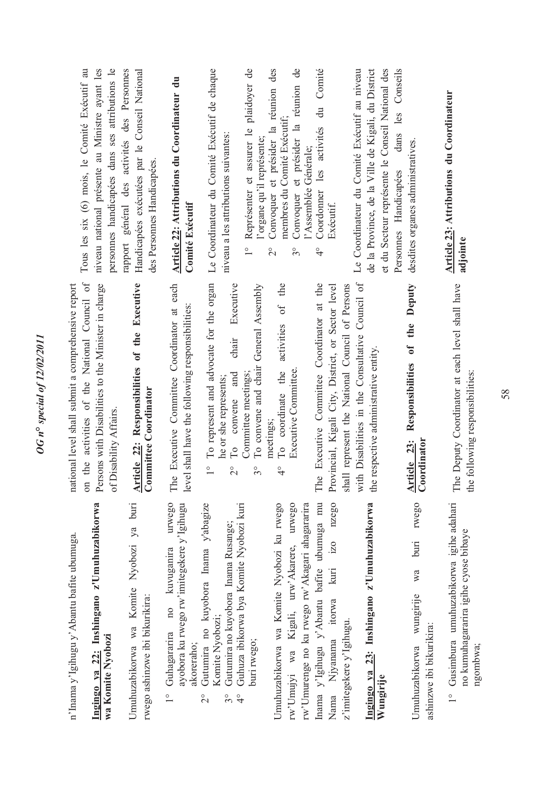| n'Inama y'Igihugu y'Abantu bafite ubumuga.                                                                                                       | national level shall submit a comprehensive report                                                                                                       |                                                                                                                                                      |
|--------------------------------------------------------------------------------------------------------------------------------------------------|----------------------------------------------------------------------------------------------------------------------------------------------------------|------------------------------------------------------------------------------------------------------------------------------------------------------|
| Ingingo ya 22: Inshingano z'Umuhuzabikorwa<br>wa Komite Nyobozi                                                                                  | on the activities of the National Council of<br>Persons with Disabilities to the Minister in charge<br>of Disability Affairs.                            | personnes handicapées dans ses attributions le<br>Tous les six (6) mois, le Comité Exécutif au<br>niveau national présente au Ministre ayant les     |
| Umuhuzabikorwa wa Komite Nyobozi ya buri<br>rwego ashinzwe ibi bikurikira:                                                                       | Article 22: Responsibilities of the Executive<br>Committee Coordinator                                                                                   | rapport général des activités des Personnes<br>Handicapées exécutées par le Conseil National<br>des Personnes Handicapées.                           |
| urwego<br>ayobora ku rwego rw'imitegekere y'Igihugu<br>kuvuganira<br>10 <sub>0</sub><br>Guhagararira<br>akoreraho;<br>$\frac{1}{2}$              | The Executive Committee Coordinator at each<br>level shall have the following responsibilities:                                                          | Article 22: Attributions du Coordinateur du<br>Comité Exécutif                                                                                       |
| Gutumira no kuyobora Inama y'abagize<br>Gutumira no kuyobora Inama Rusange;<br>Komite Nyobozi;<br>$\overline{c}$<br>$3^{\circ}$<br>$\frac{1}{4}$ | To represent and advocate for the organ<br>Executive<br>chair<br>and<br>he or she represents;<br>To convene<br>$\frac{1}{1}$<br>$\overline{\mathcal{C}}$ | Le Coordinateur du Comité Exécutif de chaque<br>niveau a les attributions suivantes:                                                                 |
| Guhuza ibikorwa bya Komite Nyobozi kuri<br>buri rwego;                                                                                           | To convene and chair General Assembly<br>Committee meetings;<br>$\delta^{\circ}$                                                                         | Représenter et assurer le plaidoyer de<br>l'organe qu'il représente;<br>$\frac{1}{\sqrt{2}}$                                                         |
| Umuhuzabikorwa wa Komite Nyobozi ku rwego<br>rw'Umujyi wa Kigali, urw'Akarere, urwego                                                            | the<br>$\sigma f$<br>activities<br>Executive Committee.<br>To coordinate the<br>meetings;<br>₹                                                           | Convoquer et présider la réunion des<br>Convoquer et présider la réunion de<br>membres du Comité Exécutif;<br>$\overset{\circ}{\sim}$<br>$3^{\circ}$ |
| Inama y'Igihugu y'Abantu bafite ubumuga mu<br>rw'Umurenge no ku rwego rw'Akagari ahagararira                                                     | The Executive Committee Coordinator at the                                                                                                               | du Comité<br>les activités<br>l'Assemblée Générale;<br>Coordonner<br>$\frac{1}{4}$                                                                   |
| nzego<br>$i$ zo<br>kuri<br>itorwa<br>Njyanama<br>Nama                                                                                            | Provincial, Kigali City, District, or Sector level                                                                                                       | Exécutif.                                                                                                                                            |
| Ingingo ya 23: Inshingano z'Umuhuzabikorwa<br>z'imitegekere y'Igihugu.                                                                           | with Disabilities in the Consultative Council of<br>shall represent the National Council of Persons<br>the respective administrative entity.             | Le Coordinateur du Comité Exécutif au niveau<br>de la Province, de la Ville de Kigali, du District                                                   |
| rwego<br>buri<br>wa<br>wungirije<br>ashinzwe ibi bikurikira:<br>Umuhuzabikorwa<br>Wungirije                                                      | Deputy<br>the<br>Responsibilities of<br>Article 23:<br>Coordinator                                                                                       | dans les Conseils<br>et du Secteur représente le Conseil National des<br>desdites organes administratives.<br>Personnes Handicapées                  |
| Gusimbura umuhuzabikorwa igihe adahari<br>no kumuhagararira igihe cyose bibaye<br>ngombwa;<br>$\frac{1}{1}$                                      | The Deputy Coordinator at each level shall have<br>the following responsibilities:                                                                       | Article 23: Attributions du Coordinateur<br>adjointe                                                                                                 |

**OG** n° special of 12/02/2011 *OG n***°** *special of 12/02/2011*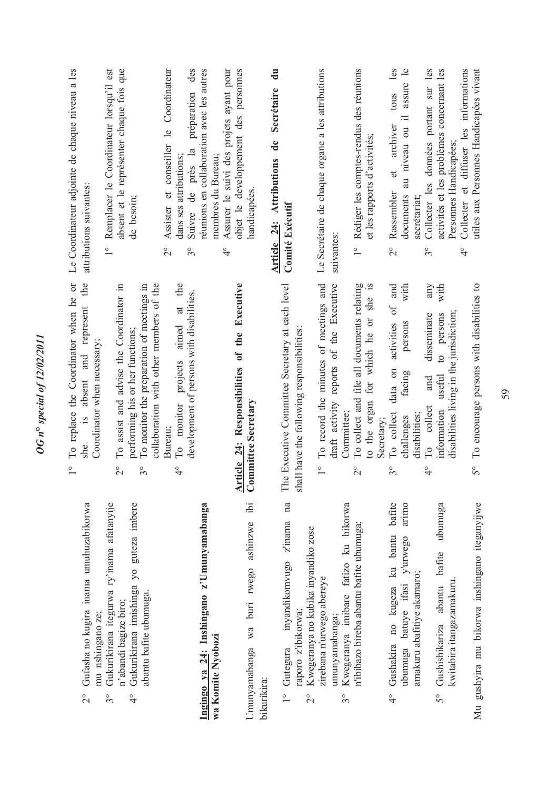| Le Coordinateur adjointe de chaque niveau a les<br>attributions suivantes:                                                                   | Remplacer le Coordinateur lorsqu'il est<br>absent et le représenter chaque fois que<br>de besoin;<br>$\frac{1}{1}$                                                                                             | Assister et conseiller le Coordinateur<br>des<br>réunions en collaboration avec les autres<br>préparation<br>Suivre de près la<br>dans ses attributions;<br>membres du Bureau;<br>$\frac{1}{2}$<br>O<br>3 | objet le developpement des personnes<br>Assurer le suivi des projets ayant pour<br>handicapées<br>$\frac{1}{4}$ | $\mathbf{u}$<br>Secrétaire<br>de<br>Article 24: Attributions<br><b>Comité Exécutif</b>                                                   | Le Secrétaire de chaque organe a les attributions<br>suivantes                                                  | 1° Rédiger les comptes-rendus des réunions<br>et les rapports d'activités;                                        | les<br>Collecter les données portant sur les<br>assure le<br>tous<br>$\equiv$<br>archiver<br>au niveau ou<br>$\sigma$<br>Rassembler<br>documents<br>secrétariat:<br>$\overset{\circ}{\sim}$<br>$3^{\circ}$ | activités et les problèmes concernant les<br>Collecter et diffuser les informations<br>Personnes Handicapées;<br>$\frac{1}{4}$ | utiles aux Personnes Handicapées vivant                  |
|----------------------------------------------------------------------------------------------------------------------------------------------|----------------------------------------------------------------------------------------------------------------------------------------------------------------------------------------------------------------|-----------------------------------------------------------------------------------------------------------------------------------------------------------------------------------------------------------|-----------------------------------------------------------------------------------------------------------------|------------------------------------------------------------------------------------------------------------------------------------------|-----------------------------------------------------------------------------------------------------------------|-------------------------------------------------------------------------------------------------------------------|------------------------------------------------------------------------------------------------------------------------------------------------------------------------------------------------------------|--------------------------------------------------------------------------------------------------------------------------------|----------------------------------------------------------|
| the<br>To replace the Coordinator when he or<br>absent and represent<br>Coordinator when necessary;<br>$\frac{1}{2}$<br>she<br>$\frac{1}{1}$ | collaboration with other members of the<br>To assist and advise the Coordinator in<br>To monitor the preparation of meetings in<br>performing his or her functions;<br>$\overline{\mathcal{C}}$<br>$3^{\circ}$ | the<br>development of persons with disabilities.<br>$\ddot{a}$<br>projects aimed<br>To monitor<br>Bureau;<br>$\frac{1}{4}$                                                                                | Executive<br>Article $24$ : Responsibilities of the Committee Secretary                                         | The Executive Committee Secretary at each level<br>shall have the following responsibilities:                                            | To record the minutes of meetings and<br>draft activity reports of the Executive<br>Committee;<br>$\frac{1}{1}$ | To collect and file all documents relating<br>to the organ for which he or she is<br>Secretary;<br>$\overline{c}$ | and<br>with<br>any<br>$\circ$ f<br>disseminate<br>activities<br>persons<br>data on<br>facing<br>and<br>To collect<br>To collect<br>disabilities;<br>challenges<br>$3^{\circ}$<br>$\frac{1}{4}$             | with<br>disabilities living in the jurisdiction;<br>persons<br>$\circ$<br>useful<br>information                                | To encourage persons with disabilities to<br>$5^{\circ}$ |
| Gufasha no kugira inama umuhuzabikorwa<br>mu nshingano ze;<br>$\overline{C}$                                                                 | Gukurikirana itegurwa ry'inama afatanyije<br>Gukurikirana imishinga yo guteza imbere<br>abantu bafite ubumuga.<br>n'abandi bagize biro;<br>$\frac{1}{4}$<br>$\frac{1}{3}$                                      | Ingingo ya 24: Inshingano z'Umunyamabanga<br>wa Komite Nyobozi                                                                                                                                            | ibi<br>ashinzwe<br>buri rwego<br>Wa<br>Umunyamabanga<br>bikurikira:                                             | na<br>inyandikomvugo z'inama<br>Kwegeranya no kubika inyandiko zose<br>raporo z'ibikorwa;<br>Gutegura<br>$\frac{1}{1}$<br>$\overline{c}$ | Kwegeranya imibare fatizo ku bikorwa<br>zirebana n'urwego abereye<br>umunyamabanga;<br>$3^{\circ}$              | n'ibibazo bireba abantu bafite ubumuga;                                                                           | bafite<br>arimo<br>Gushakira no kugeza ku bantu<br>batuye ifasi y'urwego<br>amakuru abafitiye akamaro;<br>ubumuga<br>$\frac{1}{4}$                                                                         | ubumuga<br>bafite<br>kwitabira itangazamakuru.<br>Gushishikariza abantu<br>$5^{\circ}$                                         | Mu gushyira mu bikorwa inshingano iteganyijwe            |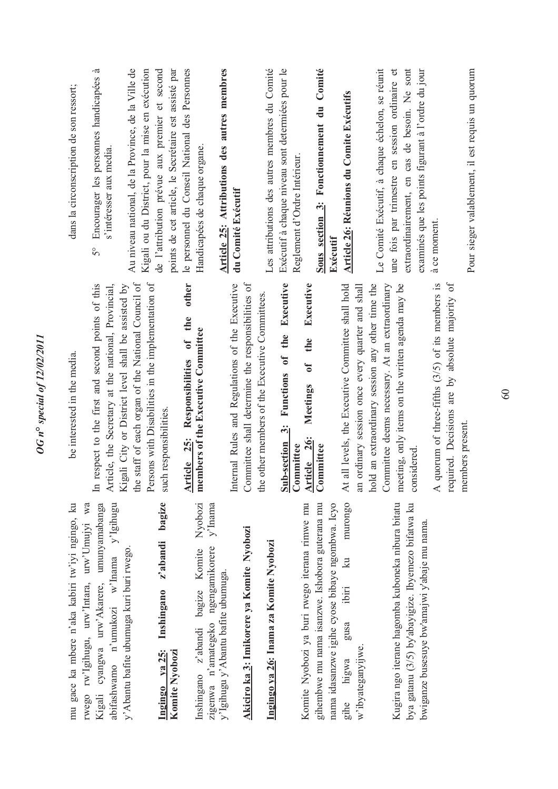| mu gace ka mbere n'aka kabiri tw'iyi ngingo, ku                                                                                     | be interested in the media.                                                                                              | dans la circonscription de son ressort;                                                                |
|-------------------------------------------------------------------------------------------------------------------------------------|--------------------------------------------------------------------------------------------------------------------------|--------------------------------------------------------------------------------------------------------|
| rwego rw'Igihugu, urw'Intara, urw'Umujyi wa<br>abifashwamo n'umukozi w'Inama y'Igihugu<br>Kigali cyangwa urw'Akarere, umunyamabanga | respect to the first and second points of this<br>Article, the Secretary at the national, Provincial,<br>$\mathbb{H}$    | .ದ<br>Encourager les personnes handicapées<br>s'intéresser aux media.<br>$\overline{5}^{\circ}$        |
| y' Abantu bafite ubumuga kuri buri rwego.                                                                                           | the staff of each organ of the National Council of<br>gali City or District level shall be assisted by<br>Κi             | Au niveau national, de la Province, de la Ville de<br>Kigali ou du District, pour la mise en exécution |
| bagize<br>z'abandi<br>Inshingano<br>Ingingo ya 25:<br>Komite Nyobozi                                                                | Persons with Disabilities in the implementation of<br>such responsibilities.                                             | de l'attribution prévue aux premier et second<br>points de cet article, le Secrétaire est assisté par  |
| Nyobozi<br>Inshingano z'abandi bagize Komite                                                                                        | other<br>the<br>members of the Executive Committee<br>$\mathfrak{h}$<br>Responsibilities<br><b>25:</b><br><b>Article</b> | le personnel du Conseil National des Personnes<br>Handicapées de chaque organe.                        |
| $y'$ Inama<br>zigenwa n'amategeko ngengamikorere<br>y'Igihugu y'Abantu bafite ubumuga.                                              | Internal Rules and Regulations of the Executive                                                                          | Article 25: Attributions des autres membres<br>du Comité Exécutif                                      |
| Akiciro ka 3: Imikorere ya Komite Nyobozi                                                                                           | Committee shall determine the responsibilities of                                                                        |                                                                                                        |
| Ingingo ya 26: Inama za Komite Nyobozi                                                                                              | the other members of the Executive Committees                                                                            | Les attributions des autres membres du Comité                                                          |
|                                                                                                                                     | Executive<br>the<br>$\mathbf{d}$<br>$3:$ Functions<br><b>Sub-section</b><br>Committee                                    | Exécutif à chaque niveau sont determiées pour le                                                       |
| Komite Nyobozi ya buri rwego iterana rimwe mu                                                                                       | Executive<br>the<br>$\overline{\mathfrak{h}}$<br>Meetings<br><u>26:</u>                                                  | Reglement d'Ordre Intérieur.                                                                           |
| gihembwe mu nama isanzwe. Ishobora guterana mu                                                                                      | Article 26<br>Committee                                                                                                  | 3: Fonctionnement du Comité<br>Sous section                                                            |
| nama idasanzwe igihe cyose bibaye ngombwa. Icyo                                                                                     |                                                                                                                          | Exécutif                                                                                               |
| murongo<br>$\overline{z}$<br>ibiri<br>gusa<br>higwa<br>gihe                                                                         | all levels, the Executive Committee shall hold<br>$\mathcal{H}$                                                          | Article 26: Réunions du Comite Exécutifs                                                               |
| w'ibyateganyijwe.                                                                                                                   | ordinary session once every quarter and shall<br>an                                                                      |                                                                                                        |
|                                                                                                                                     | hold an extraordinary session any other time the                                                                         | Le Comité Exécutif, à chaque échelon, se réunit                                                        |
| Kugira ngo iterane hagomba kuboneka nibura bitatu                                                                                   | Committee deems necessary. At an extraordinary<br>meeting, only items on the written agenda may be                       | une fois par trimestre en session ordinaire et                                                         |
| bya gatanu (3/5) by'abayigize. Ibyemezo bifatwa ku<br>bwiganze busesuye bw'amajwi y'abaje mu nama.                                  | considered                                                                                                               | extraordinairement, en cas de besoin. Ne sont<br>examinés que les points figurant à l'ordre du jour    |
|                                                                                                                                     | quorum of three-fifths $(3/5)$ of its members is<br>$\prec$                                                              | à ce moment.                                                                                           |
|                                                                                                                                     | required. Decisions are by absolute majority of                                                                          |                                                                                                        |
|                                                                                                                                     | members present.                                                                                                         | Pour sieger valablement, il est requis un quorum                                                       |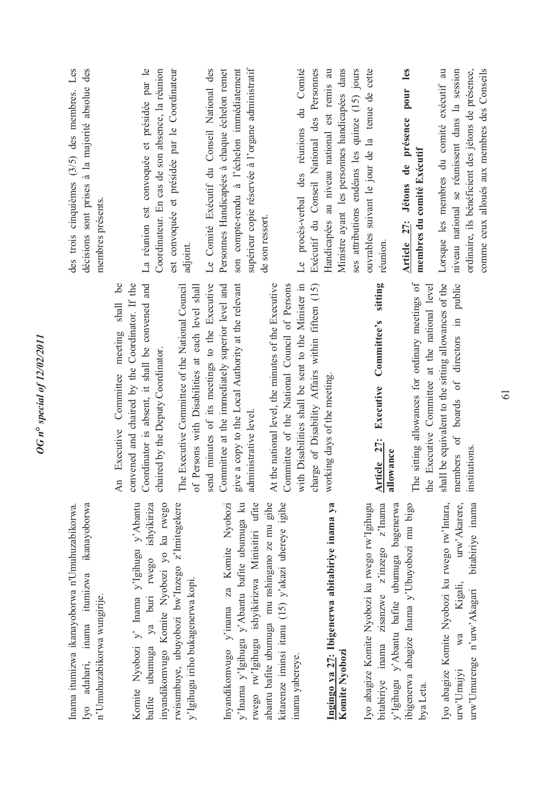membres présents. membres présents. An Executive Committee meeting shall be convened and chaired by the Coordinator. If the An Executive Committee meeting shall be convened and chaired by the Coordinator. If the Inama itumizwa ikanayoborwa n'Umuhuzabikorwa. Iyo adahari, inama itumizwa ikanayoborwa Komite Nyobozi y' Inama y'Igihugu y'Abantu Iyo adahari, inama itumizwa ikanayoborwa Komite Nyobozi y' Inama y'Igilnugu y'Abantu Inama itumizwa ikanayoborwa n'Umuhuzabikorwa. n'Umuhuzabikorwa wungirije. n'Umuhuzabikorwa wungirije.

*OG n***°** *special of 12/02/2011* 

OG n° special of 12/02/2011

ya buri rwego ishyikiriza bafite ubumuga ya buri rwego ishyikiriza inyandikomvugo Komite Nyobozi yo ku rwego rwisumbuye, ubuyobozi bw'lnzego z'lmitegekere rwisumbuye, ubuyobozi bw'Inzego z'Imitegekere inyandikomvugo Komite Nyobozi yo ku rwego y'Igihugu iriho bukagenerwa kopi. y'Igihugu iriho bukagenerwa kopi. bafite ubumuga

abantu bafite ubumuga mu nshingano ze mu gihe Inyandikomvugo y'inama za Komite Nyobozi y'Inama y'Igihugu y'Abantu bafite ubumuga ku rwego rw'lgihugu ishyikirizwa Minisitiri ufite rwego rw'Igihugu ishyikirizwa Minisitiri ufite abantu bafite ubumuga mu nshingano ze mu gihe kitarenze iminsi itanu (15) y'akazi uhereye igihe kitarenze iminsi itanu (15) y'akazi uhereye igihe Inyandikomvugo y'inama za Komite Nyobozi y'Inama y'Igihugu y'Abantu bafite ubumuga ku inama yabereye. inama yabereye.

### Ingingo ya 27: Ibigenerwa abitabiriye inama ya **Ingingo ya 27: Ibigenerwa abitabiriye inama ya Komite Nyobozi**  Komite Nyobozi

Iyo abagize Komite Nyobozi ku rwego rw'Igihugu bitabiriye inama zisanzwe z'inzego z'Inama y'Igihugu y'Abantu bafite ubumuga bagenerwa ibigenerwa abagize Inama y'Ubuyobozi mu bigo ibigenerwa abagize Inama y'Ubuyobozi mu bigo lyo abagize Komite Nyobozi ku rwego rw'lgihugu bitabiriye inama zisanzwe z'inzego z'Inama y'Igihugu y'Abantu bafite ubumuga bagenerwa bya Leta.

bitabiriye inama Iyo abagize Komite Nyobozi ku rwego rw'Intara, Iyo abagize Komite Nyobozi ku rwego rw'Intara, urw'Akarere, urw'Umujyi wa Kigali, urw'Akarere, urw'Umurenge n'urw'Akagari bitabiriye inama Kigali, urw'Umurenge n'urw'Akagari wa urw'Umujyi

Coordinator is absent, it shall be convened and Coordinator is absent, it shall be convened and chaired by the Deputy Coordinator. chaired by the Deputy Coordinator.

send minutes of its meetings to the Executive give a copy to the Local Authority at the relevant The Executive Committee of the National Council of Persons with Disabilities at each level shall send minutes of its meetings to the Executive Committee at the immediately superior level and Committee at the immediately superior level and give a copy to the Local Authority at the relevant The Executive Committee of the National Council of Persons with Disabilities at each level shall administrative level. administrative level.

with Disabilities shall be sent to the Minister in charge of Disability Affairs within fifteen (15) At the national level, the minutes of the Executive Committee of the National Council of Persons with Disabilities shall be sent to the Minister in charge of Disability Affairs within fifteen (15) At the national level, the minutes of the Executive Committee of the National Council of Persons working days of the meeting. working days of the meeting.

### Executive Committee's sitting **Article 27: Executive Committee's sitting**  Article 27: **allowance**

shall be equivalent to the sitting allowances of the members of boards of directors in public The sitting allowances for ordinary meetings of The sitting allowances for ordinary meetings of the Executive Committee at the national level shall be equivalent to the sitting allowances of the members of boards of directors in public the Executive Committee at the national level institutions.

des trois cinquièmes (3/5) des membres. Les décisions sont prises à la majorité absolue des des trois cinquièmes (3/5) des membres. Les décisions sont prises à la majorité absolue des

La réunion est convoquée et présidée par le La réunion est convoquée et présidée par le Coordinateur. En cas de son absence, la réunion Coordinateur. En cas de son absence, la réunion est convoquée et présidée par le Coordinateur est convoquée et présidée par le Coordinateur adjoint.

Le Comité Exécutif du Conseil National des Le Comité Exécutif du Conseil National des Personnes Handicapées à chaque échelon remet Personnes Handicapées à chaque échelon remet son compte-rendu à l'échelon immédiatement supérieur copie réservée à l'organe administratif son compte-rendu à l'échelon immédiatement supérieur copie réservée à l'organe administratif de son ressort. de son ressort.

Exécutif du Conseil National des Personnes Ministre ayant les personnes handicapées dans Le procès-verbal des réunions du Comité Le procès-verbal des réunions du Comité Exécutif du Conseil National des Personnes Handicapées au niveau national est remis au Handicapées au niveau national est remis au Ministre ayant les personnes handicapées dans ses attributions endéans les quinze (15) jours ses attributions endéans les quinze (15) jours ouvrables suivant le jour de la tenue de cette ouvrables suivant le jour de la tenue de cette réunion. Article 27: Jétons de présence pour les **Article 27: Jétons de présence pour les**  membres du comité Exécutif **membres du comité Exécutif** 

Lorsque les membres du comité exécutif au niveau national se réunissent dans la session niveau national se réunissent dans la session ordinaire, ils bénéficient des jétons de présence, comme ceux alloués aux membres des Conseils comme ceux alloués aux membres des Conseils Lorsque les membres du comité exécutif au ordinaire, ils bénéficient des jétons de présence,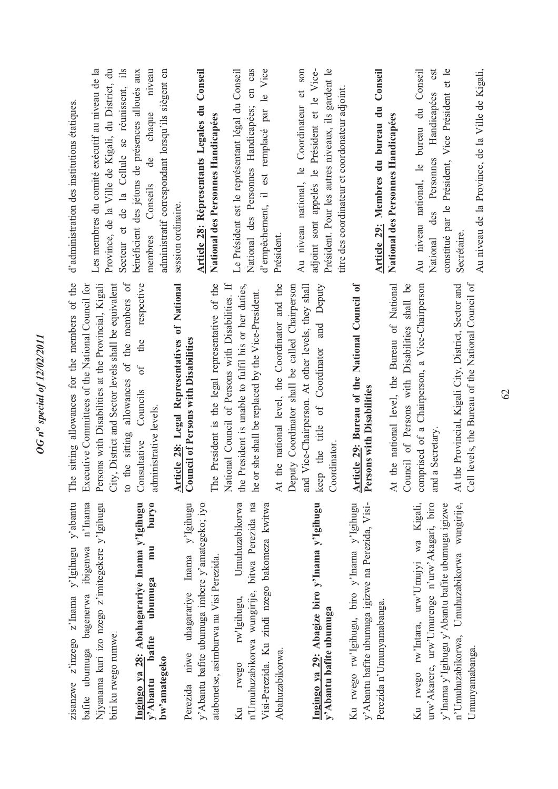bafite ubumuga bagenerwa ibigenwa n'Inama zisanzwe z'inzego z'Inama y'Igihugu y'abantu Njyanama kuri izo nzego z'imitegekere y'Igihugu zisanzwe z'inzego z'Inama y'Igihugu y'abantu bafite ubumuga bagenerwa ibigenwa n'Inama Njyanama kuri izo nzego z'imitegekere y'Igihugu biri ku rwego rumwe. biri ku rwego rumwe.

buryo **Ingingo ya 28: Abahagarariye Inama y'Igihugu y'Abantu bafite ubumuga mu buryo**  Ingingo ya 28: Abahagarariye Inama y'Igihugu y'Abantu bafite ubumuga mu bw'amategeko **bw'amategeko** 

Perezida niwe uhagarariye Inama y'Igihugu y'Abantu bafite ubumuga imbere y'amategeko; iyo Perezida niwe uhagarariye Inama y'Igihugu y'Abantu bafite ubumuga imbere y'amategeko; iyo atabonetse, asimburwa na Visi Perezida. atabonetse, asimburwa na Visi Perezida. Umuhuzabikorwa bitwa Perezida na Ku rwego rw'Igihugu, Umuhuzabikorwa n'Umuhuzabikorwa wungirije, bitwa Perezida na Visi-Perezida. Ku zindi nzego bakomeza kwitwa Visi-Perezida. Ku zindi nzego bakomeza kwitwa n'Umuhuzabikorwa wungirije, rw'Igihugu, Abahuzabikorwa. Abahuzabikorwa. rwego  $Ku$ 

### Ingingo ya 29: Abagize biro y'Inama y'Igihugu **Ingingo ya 29: Abagize biro y'Inama y'Igihugu**  y'Abantu bafite ubumuga **y'Abantu bafite ubumuga**

y' Abantu bafite ubumuga igizwe na Perezida, Visi-Ku rwego rw'lgihugu, biro y'Inama y'Igihugu Ku rwego rw'Igihugu, biro y'Inama y'Igihugu y'Abantu bafite ubumuga igizwe na Perezida, Visi-Perezida n'Umunyamabanga. Perezida n'Umunyamabanga.

urw'Akarere, urw'Umurenge n'urw'Akagari, biro n'Umuhuzabikorwa, Umuhuzabikorwa wungirije, Ku rwego rw'Intara, urw'Umujyi wa Kigali, urw'Akarere, urw'Umurenge n'urw'Akagari, biro y'Inama y'Igihugu y'Abantu bafite ubumuga igizwe n'Umuhuzabikorwa, Umuhuzabikorwa wungirije, Ku rwego rw'Intara, urw'Umujyi wa Kigali, y'Inama y'Igihugu y'Abantu bafite ubumuga igizwe Umunyamabanga. Umunyamabanga.

The sitting allowances for the members of the Persons with Disabilities at the Provincial, Kigali to the sitting allowances of the members of of the respective The sitting allowances for the members of the Executive Committees of the National Council for Persons with Disabilities at the Provincial, Kigali City, District and Sector levels shall be equivalent City, District and Sector levels shall be equivalent to the sitting allowances of the members of Consultative Councils of the respective Executive Committees of the National Council for Councils administrative levels. administrative levels. Consultative

### **Article 28: Legal Representatives of National**<br>Council of Persons with Disabilities **Article 28: Legal Representatives of National Council of Persons with Disabilities**

The President is the legal representative of the the President is unable to fulfil his or her duties, The President is the legal representative of the National Council of Persons with Disabilities. If the President is unable to fulfil his or her duties, National Council of Persons with Disabilities. If he or she shall be replaced by the Vice-President. he or she shall be replaced by the Vice-President. At the national level, the Coordinator and the At the national level, the Coordinator and the Deputy Coordinator shall be called Chairperson and Vice-Chairperson. At other levels, they shall keep the title of Coordinator and Deputy keep the title of Coordinator and Deputy and Vice-Chairperson. At other levels, they shall Deputy Coordinator shall be called Chairperson Coordinator. Coordinator.

### **Article 29: Bureau of the National Council of**  Article 29: Bureau of the National Council of Persons with Disabilities **Persons with Disabilities**

comprised of a Chairperson, a Vice-Chairperson At the national level, the Bureau of National At the national level, the Bureau of National Council of Persons with Disabilities shall be comprised of a Chairperson, a Vice-Chairperson Council of Persons with Disabilities shall be and a Secretary. and a Secretary.

At the Provincial, Kigali City, District, Sector and At the Provincial, Kigali City, District, Sector and Cell levels, the Bureau of the National Council of Cell levels, the Bureau of the National Council of

d'administration des institutions étatiques. d'administration des institutions étatiques.

administratif correspondant lorsqu'ils siègent en Les membres du comité exécutif au niveau de la Les membres du comité exécutif au niveau de la Province, de la Ville de Kigali, du District, du Province, de la Ville de Kigali, du District, du Secteur et de la Cellule se réunissent, ils bénéficient des jétons de présences alloués aux membres Conseils de chaque niveau membres Conseils de chaque niveau Secteur et de la Cellule se réunissent, ils bénéficient des jétons de présences alloués aux administratif correspondant lorsqu'ils siègent en session ordinaire. session ordinaire.

#### **Article 28: Répresentants Legales du Conseil**  Article 28: Répresentants Legales du Conseil National des Personnes Handicapées **National des Personnes Handicapées**

Le Président est le représentant légal du Conseil National des Personnes Handicapées; en cas d'empêchement, il est remplacé par le Vice Le Président est le représentant légal du Conseil National des Personnes Handicapées; en cas le Vice l'empêchement, il est remplacé par Président.

Au niveau national, le Coordinateur et son adjoint sont appelés le Président et le Vice-Président. Pour les autres niveaux, ils gardent le Président. Pour les autres niveaux, ils gardent le Au niveau national, le Coordinateur et son adjoint sont appelés le Président et le Vicetitre des coordinateur et coordonateur adjoint. itre des coordinateur et coordonateur adjoint.

### **Article 29: Membres du bureau du Conseil**  Article 29: Membres du bureau du Conseil National des Personnes Handicapées **National des Personnes Handicapées**

Au niveau national, le bureau du Conseil National des Personnes Handicapées est constitué par le Président, Vice Président et le constitué par le Président, Vice Président et le Au niveau national, le bureau du Conseil National des Personnes Handicapées est Secrétaire.

Au niveau de la Province, de la Ville de Kigali, Au niveau de la Province, de la Ville de Kigali,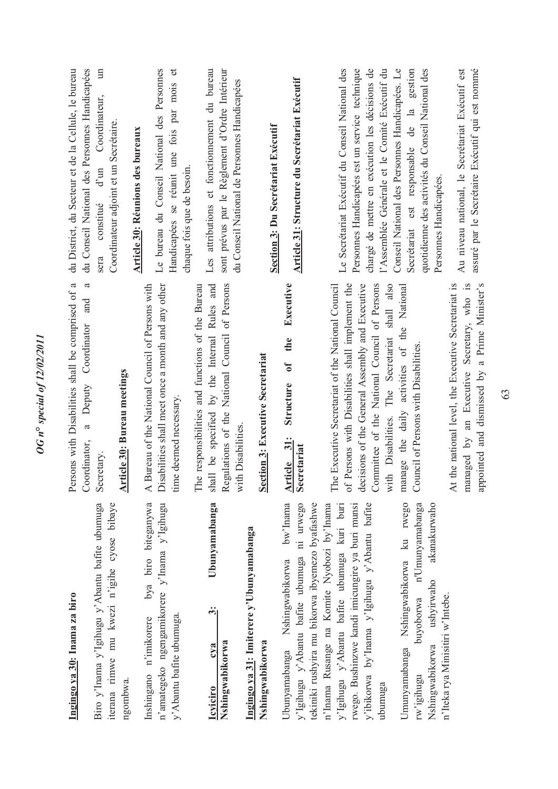| Ingingo ya 30: Inama za biro                                                                                                                 | Persons with Disabilities shall be comprised of a<br>Coordinator                                                                                  | du Conseil National des Personnes Handicapées<br>du District, du Secteur et de la Cellule, le bureau                                                                       |
|----------------------------------------------------------------------------------------------------------------------------------------------|---------------------------------------------------------------------------------------------------------------------------------------------------|----------------------------------------------------------------------------------------------------------------------------------------------------------------------------|
| Biro y'Inama y'Igihugu y'Abantu bafite ubumuga<br>iterana rimwe mu kwezi n'igihe cyose bibaye<br>ngombwa.                                    | a<br>and<br><b>Article 30: Bureau meetings</b><br>Deputy<br>$\mathfrak{a}$<br>Coordinator,<br>Secretary.                                          | $\mathbb{H}$<br>Coordinateur,<br>Coordinateur adjoint et un Secrétaire.<br>$d$ 'un<br>constitué<br>sera                                                                    |
|                                                                                                                                              |                                                                                                                                                   | Article 30: Réunions des bureaux                                                                                                                                           |
| bya biro biteganywa<br>n'amategeko ngengamikorere y'Inama y'Igihugu<br>Inshingano n'imikorere                                                | Disabilities shall meet once a month and any other<br>Bureau of the National Council of Persons with<br>$\overline{A}$ I                          | Le bureau du Conseil National des Personnes                                                                                                                                |
| y' Abantu bafite ubumuga.                                                                                                                    | time deemed necessary.                                                                                                                            | $\sigma$<br>Handicapées se réunit une fois par mois<br>chaque fois que de besoin.                                                                                          |
| Ubunyamabanga<br>$\ddot{\dot{\bf{c}}}$<br><b>Icviciro</b>                                                                                    | shall be specified by the Internal Rules and<br>The responsibilities and functions of the Bureau                                                  | Les attributions et fonctionnement du bureau                                                                                                                               |
| Nshingwabikorwa                                                                                                                              | Regulations of the National Council of Persons                                                                                                    | sont prévus par le Règlement d'Ordre Intérieur                                                                                                                             |
| Ingingo ya 31: Imiterere y'Ubunyamabanga                                                                                                     | with Disabilities                                                                                                                                 | du Conseil National de Personnes Handicapées                                                                                                                               |
| Nshingwabikorwa                                                                                                                              | Section 3: Executive Secretariat                                                                                                                  |                                                                                                                                                                            |
|                                                                                                                                              |                                                                                                                                                   | Section 3: Du Secrétariat Exécutif                                                                                                                                         |
| bw'Inama<br>y'lgihugu y'Abantu bafite ubumuga ni urwego<br>Ubunyamabanga Nshingwabikorwa                                                     | Executive<br>the<br>$\overline{\mathbf{a}}$<br><b>Structure</b><br>31:<br>Secretariat<br><b>Article</b>                                           | Article 31: Structure du Secrétariat Exécutif                                                                                                                              |
| tekiniki rushyira mu bikorwa ibyemezo byafashwe                                                                                              |                                                                                                                                                   |                                                                                                                                                                            |
| rwego. Bushinzwe kandi imicungire ya buri munsi<br>n'Inama Rusange na Komite Nyobozi by'Inama<br>y'Igihugu y'Abantu bafite ubumuga kuri buri | of Persons with Disabilities shall implement the<br>The Executive Secretariat of the National Council                                             | Le Secrétariat Exécutif du Conseil National des<br>Personnes Handicapées est un service technique                                                                          |
| y'ibikorwa by'Inama y'Igihugu y'Abantu bafite<br>ubumuga                                                                                     | with Disabilities. The Secretariat shall also<br>decisions of the General Assembly and Executive<br>Committee of the National Council of Persons  | chargé de mettre en exécution les décisions de<br>l'Assemblée Générale et le Comité Exécutif du                                                                            |
| Umunyamabanga Nshingwabikorwa ku rwego<br>n'Umunyamabanga<br>akanakurwaho<br>ushyirwaho<br>buyoborwa<br>Nshingwabikorwa<br>rw'igihugu        | manage the daily activities of the National<br>Council of Persons with Disabilities.                                                              | quotidienne des activités du Conseil National des<br>Conseil National des Personnes Handicapées. Le<br>Secrétariat est responsable de la gestion<br>Personnes Handicapées. |
| n'Iteka rya Minisitiri w'Intebe.                                                                                                             | appointed and dismissed by a Prime Minister's<br>At the national level, the Executive Secretariat is<br>managed by an Executive Secretary, who is | Au niveau national, le Secrétariat Exécutif est<br>assuré par le Secrétaire Exécutif qui est nommé                                                                         |

*OG n***°** *special of 12/02/2011* 

**OG** n° special of 12/02/2011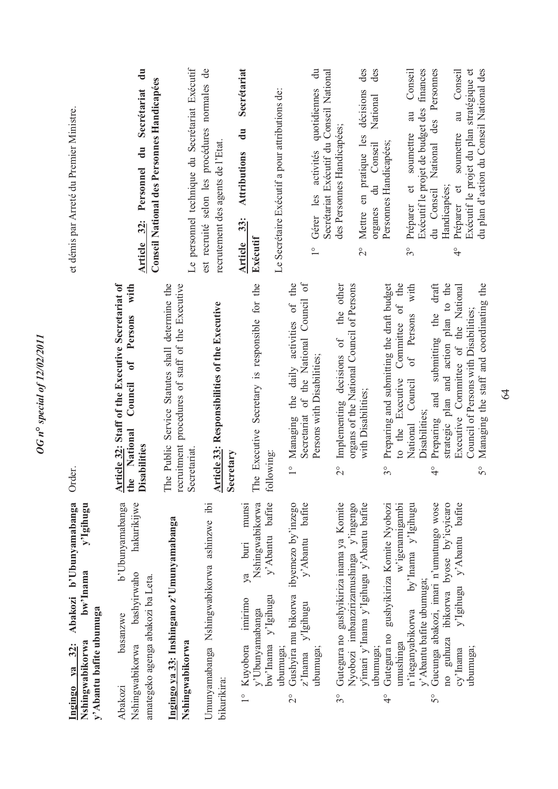| et démis par Arreté du Premier Ministre.                                                                                   | $\frac{1}{2}$<br>Conseil National des Personnes Handicapées<br>Secrétariat<br>$\ddot{a}$<br>Personnel<br>Article 32:         | Le personnel technique du Secrétariat Exécutif                                                                     | est recruité selon les procédures normales de<br>recrutement des agents de l'Etat. | Secrétariat<br>Le Secrétaire Exécutif a pour attributions de:<br>$\ddot{a}$<br><b>Attributions</b><br>33:<br>Exécutif<br>Article                          | $\ddot{a}$<br>Secrétariat Exécutif du Conseil National<br>Gérer les activités quotidiennes<br>$\frac{1}{1}$                   | des<br>des<br>Mettre en pratique les décisions<br>National<br>des Personnes Handicapées;<br>du Conseil<br>organes<br>$\frac{1}{2}$                                              | Conseil<br>Exécutif le projet de budget des finances<br>au<br>soumettre<br>Personnes Handicapées;<br>$\sigma$<br>Préparer<br>$3^{\circ}$<br>with<br>the            | Personnes<br>du plan d'action du Conseil National des<br>soumettre au Conseil<br>Exécutif le projet du plan stratégique et<br>National des<br>$\sigma$<br>Handicapées;<br>du Conseil<br>Préparer<br>$\frac{1}{4}$<br>draft          |
|----------------------------------------------------------------------------------------------------------------------------|------------------------------------------------------------------------------------------------------------------------------|--------------------------------------------------------------------------------------------------------------------|------------------------------------------------------------------------------------|-----------------------------------------------------------------------------------------------------------------------------------------------------------|-------------------------------------------------------------------------------------------------------------------------------|---------------------------------------------------------------------------------------------------------------------------------------------------------------------------------|--------------------------------------------------------------------------------------------------------------------------------------------------------------------|-------------------------------------------------------------------------------------------------------------------------------------------------------------------------------------------------------------------------------------|
| Order.                                                                                                                     | Article 32: Staff of the Executive Secretariat of<br>the National Council of $\overline{P}$<br>isabilities<br>Ä              | The Public Service Statutes shall determine the<br>recruitment procedures of staff of the Executive<br>Secretariat | <b>Article 33: Responsibilities of the Executive</b><br>Secretary                  | The Executive Secretary is responsible for the<br>following:                                                                                              | Secretariat of the National Council of<br>Managing the daily activities of the<br>Persons with Disabilities;<br>$\frac{1}{1}$ | the other<br>organs of the National Council of Persons<br>Implementing decisions of<br>with Disabilities;<br>$\frac{1}{2}$                                                      | Preparing and submitting the draft budget<br>Committee of<br>Persons<br>$\sigma f$<br>Executive<br>Council<br>Disabilities;<br>National<br>to the<br>$3^{\circ}$   | strategic plan and action plan to the<br>Managing the staff and coordinating the<br>Executive Committee of the National<br>and submitting the<br>Council of Persons with Disabilities;<br>Preparing<br>$5^{\circ}$<br>$\frac{1}{4}$ |
| Abakozi b'Ubunyamabanga<br>y'Igihugu<br>bw'Inama<br>y'Abantu bafite ubumuga<br>Nshingwabikorwa<br>$\ddot{3}$<br>Ingingo ya | hakurikijwe<br>b'Ubunyamabanga<br>bashvirwaho<br>amategeko agenga abakozi ba Leta.<br>basanzwe<br>Nshingwabikorwa<br>Abakozi | Ingingo ya 33: Inshingano z'Umunyamabanga<br>Nshingwabikorwa                                                       | Umunyamabanga Nshingwabikorwa ashinzwe ibi<br>bikurikira:                          | y'Abantu bafite<br>Nshingwabikorwa<br>munsi<br>buti<br>ya<br>y'Igihugu<br>imirimo<br>y'Ubunyamabanga<br>Kuyobora<br>bw'Inama<br>ubumuga;<br>$\frac{1}{2}$ | y'Abantu bafite<br>Gushyira mu bikorwa ibyemezo by'inzego<br>z'Inama y'Igihugu<br>ubumuga;<br>$\overline{\mathcal{C}}$        | Gutegura no gushyikiriza inama ya Komite<br>y'imari y'Inama y'Igihugu y'Abantu bafite<br>Nyobozi imbanzirizamushinga y'ingengo<br>ubumuga;<br>$\widetilde{\mathcal{S}}^{\circ}$ | by'Inama y'Igihugu<br>w'igenamigambi<br>gushyikiriza Komite Nyobozi<br>y' Abantu bafite ubumuga;<br>n'iteganyabikorwa<br>Gutegura no<br>umushinga<br>$\frac{6}{4}$ | Gucunga abakozi, imari n'umutungo wose<br>no guhuza ibikorwa byose by'icyicaro<br>y'Igihugu y'Abantu bafite<br>ubumuga;<br>cy'Inama<br>So                                                                                           |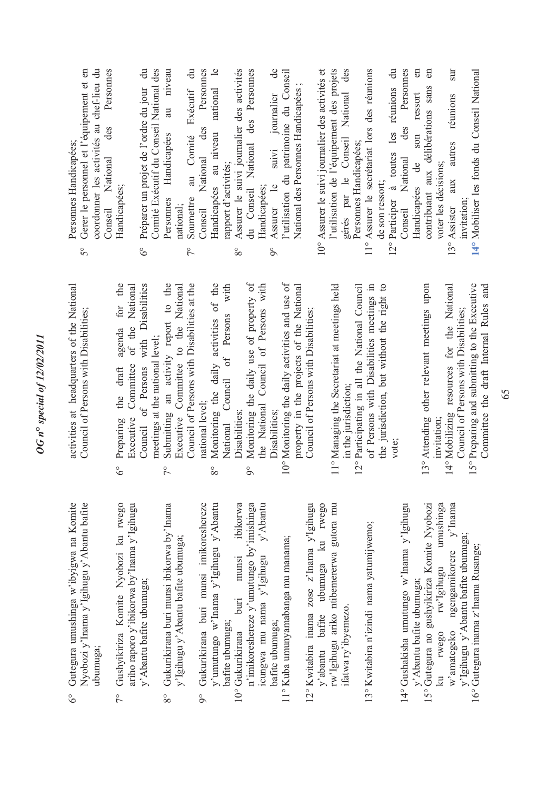| tu bafite<br>Komite                | activities at headquarters of the National<br>Council of Persons with Disabilities;        | coordonner les activités au chef-lieu du<br>Gerer le personnel et l'équipement et en<br>Personnes<br>des<br>Personnes Handicapées;<br>Conseil National<br>$\mathcal{S}^{\circ}$ |
|------------------------------------|--------------------------------------------------------------------------------------------|---------------------------------------------------------------------------------------------------------------------------------------------------------------------------------|
| <b>IWC<sub>80</sub></b><br>Igihugu | Preparing the draft agenda for the<br>Committee of the National<br>Executive<br>$\delta$   | Handicapées;                                                                                                                                                                    |
|                                    | Council of Persons with Disabilities<br>meetings at the national level;                    | Comité Exécutif du Conseil National des<br>Préparer un projet de l'ordre du jour du<br>$\delta^{\circ}$                                                                         |
| $v^2$ Inama                        | Submitting an activity report to the<br>Executive Committee to the National<br>$\tilde{7}$ | au niveau<br>Handicapées<br>Personnes<br>national:                                                                                                                              |
|                                    | Council of Persons with Disabilities at the                                                | au Comité Exécutif du<br>Soumettre<br>$\zeta$                                                                                                                                   |
| eshereze<br>'Abantu                | Monitoring the daily activities of the<br>national level;<br>$8^{\circ}$                   | des Personnes<br>Handicapées au niveau national le<br>Conseil National                                                                                                          |
|                                    | Council of Persons with<br>National                                                        | rapport d'activités;                                                                                                                                                            |
| bikorwa                            | Disabilities:                                                                              | Assurer le suivi journalier des activités<br>$8^{\circ}$                                                                                                                        |
| nishinga                           | Monitoring the daily use of property of<br>$\delta$                                        | du Conseil National des Personnes                                                                                                                                               |
| 'Abantu                            | the National Council of Persons with<br>Disabilities;                                      | $\theta$<br>suivi journalier<br>Assurer le<br>Handicapées;<br>$\infty$                                                                                                          |
|                                    | 10° Monitoring the daily activities and use of                                             | l'utilisation du patrimoine du Conseil                                                                                                                                          |
|                                    | property in the projects of the National                                                   | National des Personnes Handicapées;                                                                                                                                             |
| Igihugu                            | Council of Persons with Disabilities;                                                      |                                                                                                                                                                                 |
| rwego                              |                                                                                            | 10° Assurer le suivi journalier des activités et                                                                                                                                |
| tora mu                            | 11° Managing the Secretariat at meetings held                                              | l'utilisation de l'équipement des projets                                                                                                                                       |
|                                    | in the jurisdiction;                                                                       | gérés par le Conseil National des                                                                                                                                               |
|                                    | 12° Participating in all the National Council                                              | Personnes Handicapées;                                                                                                                                                          |
| mo;                                | of Persons with Disabilities meetings in                                                   | 11° Assurer le secrétariat lors des réunions                                                                                                                                    |
|                                    | the jurisdiction, but without the right to                                                 | de son ressort;                                                                                                                                                                 |
|                                    | vote:                                                                                      | $\ddot{=}$<br>12° Participer à toutes les réunions                                                                                                                              |
| Igihugu                            |                                                                                            | Personnes<br>des<br>Conseil National                                                                                                                                            |
|                                    |                                                                                            | $\mathbb{E}$<br>ressort<br>son<br>Handicapées de                                                                                                                                |
| Nyobozi                            | 13° Attending other relevant meetings upon                                                 | $\epsilon$<br>contribuant aux délibérations sans                                                                                                                                |
| nushinga                           | invitation;                                                                                | voter les décisions;                                                                                                                                                            |
| $y'$ Inama                         | 14° Mobilizing resources for the National                                                  | sur<br>aux autres réunions<br>13° Assister                                                                                                                                      |
|                                    | Council of Persons with Disabilities;                                                      | invitation;                                                                                                                                                                     |
|                                    | 15° Preparing and submitting to the Executive                                              | 14° Mobiliser les fonds du Conseil National                                                                                                                                     |

*OG n***°** *special of 12/02/2011* 

OG n° special of 12/02/2011

- 7° Gushyikiriza Komite Nyobozi ku rwego ariho raporo y'ibikorwa by'Inama y'Igihugu Gushyikiriza Komite Nyobozi ku ariho raporo y'ibikorwa by'Inama y' y' Abantu bafite ubumuga; y'Abantu bafite ubumuga;  $\tilde{7}^{\circ}$
- 8° Gukurikirana buri munsi ibikorwa by'Inama Gukurikirana buri munsi ibikorwa by y'Igihugu y'Abantu bafite ubumuga; y'Igihugu y'Abantu bafite ubumuga  $8^{\circ}$
- 9° Gukurikirana buri munsi imikoreshereze y'umutungo w'Inama y'Igihugu y'Abantu Gukurikirana buri munsi imikore y'umutungo w'Inama y'Igihugu yi bafite ubumuga; bafite ubumuga;  $\delta$ 
	- 10° Gukurikirana buri munsi ibikorwa n'imikoreshereze y'umutungo by'imishinga icungwa mu nama y'Igihugu y'Abantu n'imikoreshereze y'umutungo by'im icungwa mu nama y'Igihugu 10° Gukurikirana buri munsi bafite ubumuga; bafite ubumuga;
		- 11° Kuba umunyamabanga mu manama; 11° Kuba umunyamabanga mu manama;
- 12° Kwitabira inama zose z'Inama y'Igihugu y'abantu bafite ubumuga ku rwego rw'Igihugu ariko ntibemererwa gutora mu  $12^{\circ}$  Kwitabira inama zose z'Inama y' rw'Igihugu ariko ntibemererwa gu  $\mathbf{k}$ y'abantu bafite ubumuga ifatwa ry'ibyemezo. ifatwa ry'ibyemezo.
- 13° Kwitabira n'izindi nama yatumijwemo; 13° Kwitabira n'izindi nama yatumijwe
- 14° Gushakisha umutungo w'Inama y'Igihugu 14° Gushakisha umutungo w'Inama y' y'Abantu bafite ubumuga; y'Abantu bafite ubumuga;
- 15° Gutegura no gushyikiriza Komite Nyobozi ku rwego rw'Igihugu umushinga w'amategeko ngengamikorere y'Inama y'Igihugu y'Abantu bafite ubumuga;  $\mathop{\mathrm{mm}}$ w'amategeko ngengamikorere y<br/> $y'$ Igihugu y'Abantu bafte ubumuga 15° Gutegura no gushyikiriza Komite 16° Gutegura inama z'Inama Rusange; 16° Gutegura inama z'Inama Rusange; rw'Igihugu ku rwego

Committee the draft Internal Rules and

Committee the draft Internal Rules and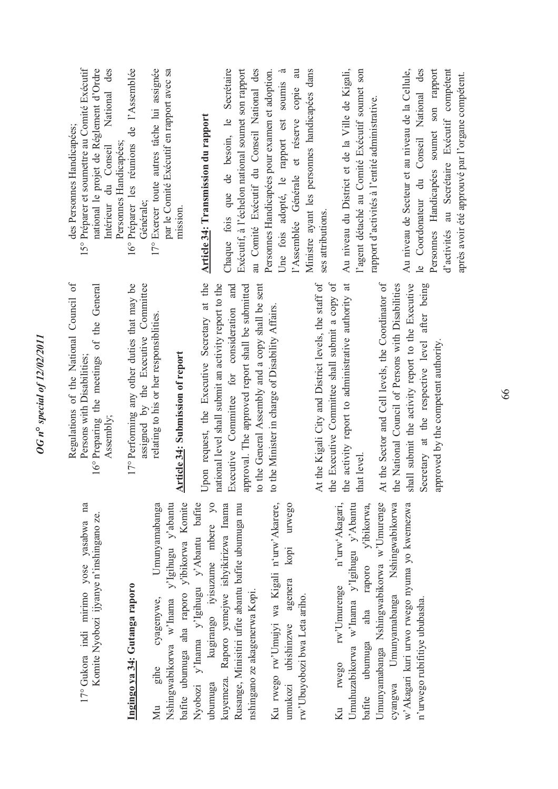| ۹                             |
|-------------------------------|
| ¢                             |
| ۵<br>Ù                        |
| $\tilde{\zeta}$<br>ì          |
| s<br>$\overline{\phantom{0}}$ |
| $\frac{1}{3}$<br>ì            |
| ۹                             |
| ¢<br>$\tilde{\bm{c}}$<br>℩    |
| 4                             |
| о<br>z                        |
| Ì                             |
|                               |

17° Gukora indi mirimo yose yasabwa na 17° Gukora indi mirimo yose yasabwa na Komite Nyobozi ijyanye n'inshingano ze. Komite Nyobozi ijyanye n'inshingano ze.

### **Ingingo ya 34: Gutanga raporo**  Ingingo ya 34: Gutanga raporo

Mu gihe cyagenywe, Umunyamabanga Nshingwabikorwa w'Inama y'Igihugu y'abantu pafite ubumuga aha raporo y'ibikorwa Komite bafite ubumuga aha raporo y'ibikorwa Komite Nyobozi y'Inama y'Igihugu y'Abantu bafite ubumuga kugirango iyisuzume mbere yo kuyemeza. Raporo yemejwe ishyikirizwa Inama Rusange, Minisitiri ufite abantu bafite ubumuga mu Nshingwabikorwa w'Inama y'Igihugu y'abantu Nyobozi y'Inama y'Igihugu y'Abantu bafite kugirango iyisuzume mbere yo kuyemeza. Raporo yemejwe ishyikirizwa Inama Rusange, Minisitiri ufite abantu bafite ubumuga mu Umunyamabanga nshingano ze akagenerwa Kopi. nshingano ze akagenerwa Kopi. cyagenywe, gihe ubumuga Mu

Ku rwego rw'Umujyi wa Kigali n'urw'Akarere, umukozi ubishinzwe agenera kopi urwego Ku rwego rw'Umujyi wa Kigali n'urw'Akarere, kopi urwego umukozi ubishinzwe agenera rw'Ubuyobozi bwa Leta ariho. rw'Ubuyobozi bwa Leta ariho.

cyangwa Umunyamabanga Nshingwabikorwa Ku rwego rw'Umurenge n'urw'Akagari, Umuhuzabikorwa w'Inama y'Igihugu y'Abantu bafite ubumuga aha raporo y'ibikorwa, Umunyamabanga Nshingwabikorwa w'Umurenge Umunyamabanga Nshingwabikorwa w'Umurenge cyangwa Umunyamabanga Nshingwabikorwa w'Akagari kuri urwo rwego nyuma yo kwemezwa w'Akagari kuri urwo rwego nyuma yo kwemezwa rwego rw'Umurenge n'urw'Akagari, Umuhuzabikorwa w'Inama y'Igihugu y'Abantu raporo y'ibikorwa, n'urwego rubifitiye ububasha. n'urwego rubifitiye ububasha. bafite ubumuga aha Ku

Regulations of the National Council of Regulations of the National Council of Persons with Disabilities; Persons with Disabilities;

16° Preparing the meetings of the General 16° Preparing the meetings of the General Assembly;

17° Performing any other duties that may be assigned by the Executive Committee 17° Performing any other duties that may be assigned by the Executive Committee relating to his or her responsiblities. relating to his or her responsibilities.

### **Article 34: Submission of report**  Article 34: Submission of report

Upon request, the Executive Secretary at the Upon request, the Executive Secretary at the national level shall submit an activity report to the Executive Committee for consideration and approval. The approved report shall be submitted to the General Assembly and a copy shall be sent national level shall submit an activity report to the Executive Committee for consideration and approval. The approved report shall be submitted to the General Assembly and a copy shall be sent to the Minister in charge of Disability Affairs. to the Minister in charge of Disability Affairs.

the activity report to administrative authority at At the Kigali City and District levels, the staff of At the Kigali City and District levels, the staff of the Executive Committee shall submit a copy of the Executive Committee shall submit a copy of the activity report to administrative authority at that level.

At the Sector and Cell levels, the Coordinator of shall submit the activity report to the Executive At the Sector and Cell levels, the Coordinator of the National Council of Persons with Disabilities shall submit the activity report to the Executive Secretary at the respective level after being the National Council of Persons with Disabilities Secretary at the respective level after being approved by the competent authority. approved by the competent authority.

des Personnes Handicapées; des Personnes Handicapées;

- 15° Préparer et soumettre au Comité Exécutif national le projet de Réglement d'Ordre national le projet de Réglement d'Ordre Intérieur du Conseil National des 15° Préparer et soumettre au Comité Exécutif National des Personnes Handicapées; Personnes Handicapées; Intérieur du Conseil
- 16° Préparer les réunions de l'Assemblée 16° Préparer les réunions de l'Assemblée Générale;
- par le Comité Exécutif en rapport avec sa 17° Exercer toute autres tâche lui assignée 17° Exercer toute autres tâche lui assignée par le Comité Exécutif en rapport avec sa mission.

# **Article 34: Transmission du rapport**  Article 34: Transmission du rapport

Chaque fois que de besoin, le Secrétaire Exécutif, à l'échelon national soumet son rapport au Comité Exécutif du Conseil National des Personnes Handicapées pour examen et adoption. Une fois adopté, le rapport est soumis à Une fois adopté, le rapport est soumis à l'Assemblée Générale et réserve copie au Ministre ayant les personnes handicapées dans Chaque fois que de besoin, le Secrétaire Exécutif, à l'échelon national soumet son rapport au Comité Exécutif du Conseil National des Personnes Handicapées pour examen et adoption. l'Assemblée Générale et réserve copie au Ministre ayant les personnes handicapées dans ses attributions. ses attributions.

Au niveau du District et de la Ville de Kigali, l'agent détaché au Comité Exécutif soumet son Au niveau du District et de la Ville de Kigali, l'agent détaché au Comité Exécutif soumet son rapport d'activités à l'entité administrative. rapport d'activités à l'entité administrative.

Au niveau de Secteur et au niveau de la Cellule, le Coordonateur du Conseil National des Personnes Handicapées soumet son rapport d'activités au Secrétaire Exécutif compétent Au niveau de Secteur et au niveau de la Cellule, le Coordonateur du Conseil National des Personnes Handicapées soumet son rapport d'activités au Secrétaire Exécutif compétent après avoir été approuvé par l'organe compétent. après avoir été approuvé par l'organe compétent.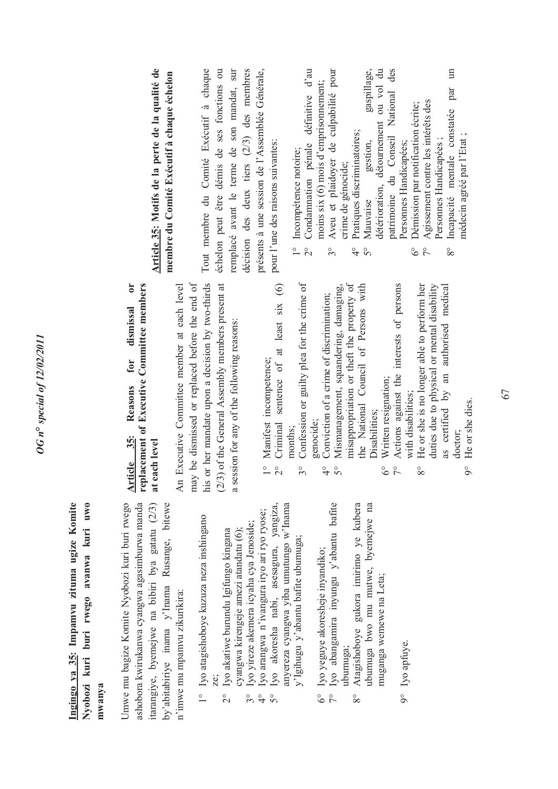#### **Ingingo ya 35: Impamvu zituma ugize Komite Nyobozi kuri buri rwego avanwa kuri uwo**  Ingingo ya 35: Impamvu zituma ugize Komite Nyobozi kuri buri rwego avanwa kuri uwo **mwanya**  mwanya

Umwe mu bagize Komite Nyobozi kuri buri rwego Umwe mu bagize Komite Nyobozi kuri buri rwego ashobora kwirukanwa cyangwa agasimburwa manda ashobora kwirukanwa cyangwa agasimburwa manda itarangiye, byemejwe na bibiri bya gatatu (2/3) by'abitabiriye inama y'Inama Rusange, bitewe tarangiye, byemejwe na bibiri bya gatatu (2/3) by'abitabiriye inama y'Inama Rusange, bitewe n'imwe mu mpamvu zikurikira: n'imwe mu mpamvu zikurikira:

- 1° Iyo atagishoboye kuzuza neza inshingano Iyo atagishoboye kuzuza neza inshingano ze;  $\frac{1}{1}$ 
	- cyangwa kirengeje amezi atandatu (6); Iyo akatiwe burundu Igifungo kingana 2° Iyo akatiwe burundu Igifungo kingana cyangwa kirengeje amezi atandatu (6);  $\beta$
- Iyo yireze akemera icyaha cya Jenoside; 3° Iyo yireze akemera icyaha cya Jenoside;  $3^\circ$
- Iyo arangwa n'ivangura iryo ari ryo ryose; 4° Iyo arangwa n'ivangura iryo ari ryo ryose;  $\frac{1}{4}$  $5^\circ$
- 5° Iyo akoresha nabi, asesagura, yangiza, anyereza cyangwa yiba umutungo w'Inama Iyo akoresha nabi, asesagura, yangiza, anyereza cyangwa yiba umutungo w'Inama y'Igihugu y'abantu bafite ubumuga; y'Igihugu y'abantu bafite ubumuga;
- Iyo yeguye akoresheje inyandiko; 6° Iyo yeguye akoresheje inyandiko;  $6^{\circ}$
- 7° Iyo abangamira inyungu y'abantu bafite Atagishoboye gukora imirimo ye kubera Iyo abangamira inyungu y'abantu bafite ubumuga;<br>Atagishoboye gukora imirimo ye kubera 8°
- ubumuga bwo mu mutwe, byemejwe na ubumuga bwo mu mutwe, byemejwe na muganga wemewe na Leta; muganga wemewe na Leta;
- 9° Iyo apfuye. Iyo apfuye.  $9^\circ$

#### **Article 35: Reasons for dismissal or replacement of Executive Committee members**  replacement of Executive Committee members for dismissal or Reasons Article 35: at each level **at each level**

his or her mandate upon a decision by two-thirds (2/3) of the General Assembly members present at An Executive Committee member at each level may be dismissed or replaced before the end of his or her mandate upon a decision by two-thirds (2/3) of the General Assembly members present at may be dismissed or replaced before the end of An Executive Committee member at each level a session for any of the following reasons: a session for any of the following reasons:

- 1° Manifest incompetence; Manifest incompetence;  $\frac{1}{1}$
- 2° Criminal sentence of at least six (6) Criminal sentence of at least six (6)  $2^{\circ}$ 
	- months;<br>Confession or guilty plea for the crime of 3° Confession or guilty plea for the crime of  $3^{\circ}$ 
		- genocide;<br>Conviction of a crime of discrimination; 4° Conviction of a crime of discrimination;  $rac{6}{5}$
- 5° Mismanagement, squandering, damaging, misappropriation or theft the property of the National Council of Persons with misappropriation or theft the property of the National Council of Persons with Mismanagement, squandering, damaging, Disabilities: Disabilities;
	- 6° Written resignation; Written resignation;  $6^{\circ}$
- 7° Actions against the interests of persons Actions against the interests of persons with disabilities; with disabilities:
	- 8° He or she is no longer able to perform her duties due to physical or mental disability as certified by an authorised medical He or she is no longer able to perform her duties due to physical or mental disability as certified by an authorised medical doctor;  $8^{\circ}$ 
		- 9° He or she dies. He or she dies.  $\delta$

### Article 35: Motifs de la perte de la qualité de **Article 35: Motifs de la perte de la qualité de membre du Comité Exécutif à chaque échelon**  membre du Comité Exécutif à chaque échelon

Tout membre du Comité Exécutif à chaque échelon peut être démis de ses fonctions ou remplacé avant le terme de son mandat, sur décision des deux tiers (2/3) des membres présents à une session de l'Assemblée Générale, Tout membre du Comité Exécutif à chaque échelon peut être démis de ses fonctions ou remplacé avant le terme de son mandat, sur décision des deux tiers  $(2/3)$  des membres présents à une session de l'Assemblée Générale, pour l'une des raisons suivantes: pour l'une des raisons suivantes:

- 1° Incompétence notoire;<br>2° Condamnation pénale 1° Incompétence notoire;
- 2° Condamnation pénale définitive d'au Condamnation pénale définitive d'au moins six (6) mois d'emprisonnement;
	- Aveu et plaidoyer de culpabilité pour Aveu et plaidoyer de culpabilité pour moins six (6) mois d'emprisonnement; crime de génocide; crime de génocide; 3°
		- 4° Pratiques discriminatoires; Pratiques discriminatoires;
		- 5° Mauvaise gestion, gaspillage, détérioration, détournement ou vol du patrimoine du Conseil National des gaspillage, ou vol du patrimoine du Conseil National des détérioration, détournement gestion, Personnes Handicapées; Personnes Handicapées; Mauvaise  $\frac{1}{9}$   $\frac{1}{9}$ 
			- 6° Démission par notification écrite; Démission par notification écrite;  $rac{6}{7}$
- 7° Agissement contre les intérêts des Agissement contre les intérêts des Personnes Handicapées; Personnes Handicapées ;
- 8° Incapacité mentale constatée par un  $\mathbf{m}$ par Incapacité mentale constatée médecin agréé par l'Etat; médecin agréé par l'Etat ;  $\frac{8}{3}$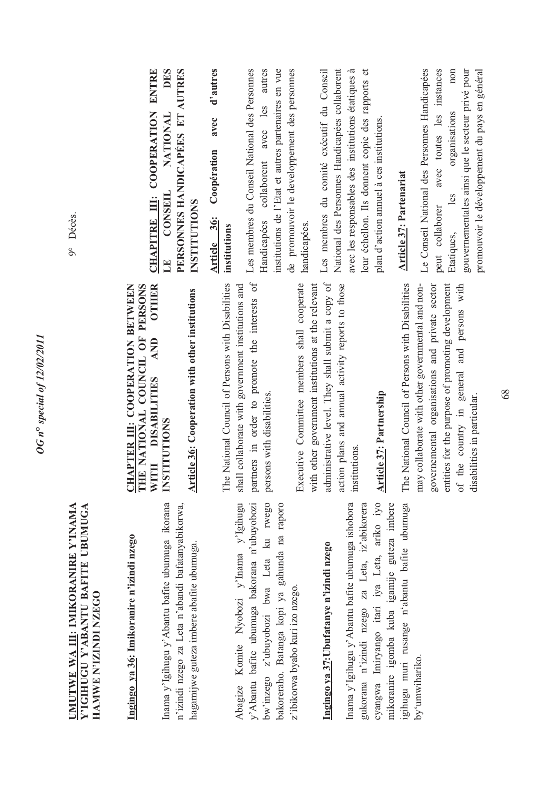9° Décès.

#### **UMUTWE WA III: IMIKORANIRE Y'INAMA Y'IGIHUGU Y'ABANTU BAFITE UBUMUGA**  UMUTWE WA III: IMIKORANIRE Y'INAMA Y'IGIHUGU Y'ABANTU BAFITE UBUMUGA HAMWE N'IZINDI NZEGO **HAMWE N'IZINDI NZEGO**

**Ingingo ya 36: Imikoranire n'izindi nzego**  Ingingo ya 36: Imikoranire n'izindi nzego

Inama y'Igihugu y'Abantu bafite ubumuga ikorana Inama y'Igihugu y'Abantu bafite ubumuga ikorana n'izindi nzego za Leta n'abandi bafatanyabikorwa, n'izindi nzego za Leta n'abandi bafatanyabikorwa, hagamijwe guteza imbere abafite ubumuga. hagamijwe guteza imbere abafite ubumuga. Komite Nyobozi y'Inama y'Igihugu Abagize Komite Nyobozi y'Inama y'Igihugu y'Abantu bafite ubumuga bakorana n'ubuyobozi bw'inzego z'ubuyobozi bwa Leta ku rwego bakoreraho. Batanga kopi ya gahunda na raporo y'Abantu bafite ubumuga bakorana n'ubuyobozi bw'inzego z'ubuyobozi bwa Leta ku rwego bakoreraho. Batanga kopi ya gahunda na raporo z'ibikorwa byabo kuri izo nzego. z'ibikorwa byabo kuri izo nzego. Abagize

# **Ingingo ya 37:Ubufatanye n'izindi nzego**  Ingingo ya 37: Ubufatanye n'izindi nzego

gihugu muri rusange n'abantu bafite ubumuga Inama y'Igihugu y'Abantu bafite ubumuga ishobora gukorana n'izindi nzego za Leta, iz'abikorera cyangwa Imiryango itari iya Leta, ariko iyo mikoranire igomba kuba igamije guteza imbere igihugu muri rusange n'abantu bafite ubumuga Inama y'Igihugu y'Abantu bafite ubumuga ishobora gukorana n'izindi nzego za Leta, iz'abikorera cyangwa Imiryango itari iya Leta, ariko iyo mikoranire igomba kuba igamije guteza imbere by'umwihariko. by'umwihariko.

#### **OTHER CHAPTER III: COOPERATION BETWEEN THE NATIONAL COUNCIL OF PERSONS WITH DISABILITIES AND OTHER**  CHAPTER III: COOPERATION BETWEEN THE NATIONAL COUNCIL OF PERSONS **AND** WITH DISABILITIES **INSTITUTIONS INSTITUTIONS**

Article 36: Cooperation with other institutions **Article 36: Cooperation with other institutions** 

partners in order to promote the interests of The National Council of Persons with Disabilities shall collaborate with government institutions and partners in order to promote the interests of The National Council of Persons with Disabilities shall collaborate with government institutions and persons with disabilities. persons with disabilities.

administrative level. They shall submit a copy of action plans and annual activity reports to those Executive Committee members shall cooperate with other government institutions at the relevant administrative level. They shall submit a copy of action plans and annual activity reports to those Executive Committee members shall cooperate with other government institutions at the relevant institutions. institutions.

### **Article 37: Partnership Article 37: Partnership**

The National Council of Persons with Disabilities The National Council of Persons with Disabilities governemental organisations and private sector entities for the purpose of promoting development of the country in general and persons with may collaborate with other governmental and nongovernemental organisations and private sector entities for the purpose of promoting development of the country in general and persons with may collaborate with other governmental and nondisabilities in particular. disabilities in particular.

**CHAPITRE III: COOPERATION ENTRE DES LE CONSEIL NATIONAL DES PERSONNES HANDICAPÉES ET AUTRES**  CHAPITRE III: COOPERATION ENTRE PERSONNES HANDICAPÉES ET AUTRES **NATIONAL CONSEIL INSTITUTIONS INSTITUTIONS**  $\mathbf{E}$ 

**Article 36: Coopération avec d'autres**  Coopération avec d'autres Article 36: **institutions**  institutions

Les membres du Conseil National des Personnes Handicapées collaborent avec les autres institutions de l'Etat et autres partenaires en vue de promouvoir le developpement des personnes Les membres du Conseil National des Personnes Handicapées collaborent avec les autres institutions de l'Etat et autres partenaires en vue de promouvoir le developpement des personnes handicapées. handicapées.

Les membres du comité exécutif du Conseil National des Personnes Handicapées collaborent avec les responsables des institutions étatiques à avec les responsables des institutions étatiques à leur échellon. Ils donnent copie des rapports et Les membres du comité exécutif du Conseil National des Personnes Handicapées collaborent eur échellon. Ils donnent copie des rapports et olan d'action annuel à ces institutions. plan d'action annuel à ces institutions.

### **Article 37: Partenariat Article 37: Partenariat**

Le Conseil National des Personnes Handicapées Le Conseil National des Personnes Handicapées peut collaborer avec toutes les instances Etatiques, les organisations non non gouvernementales ainsi que le secteur privé pour promouvoir le développement du pays en général avec toutes les instances gouvernementales ainsi que le secteur privé pour promouvoir le développement du pays en général organisations les peut collaborer Etatiques,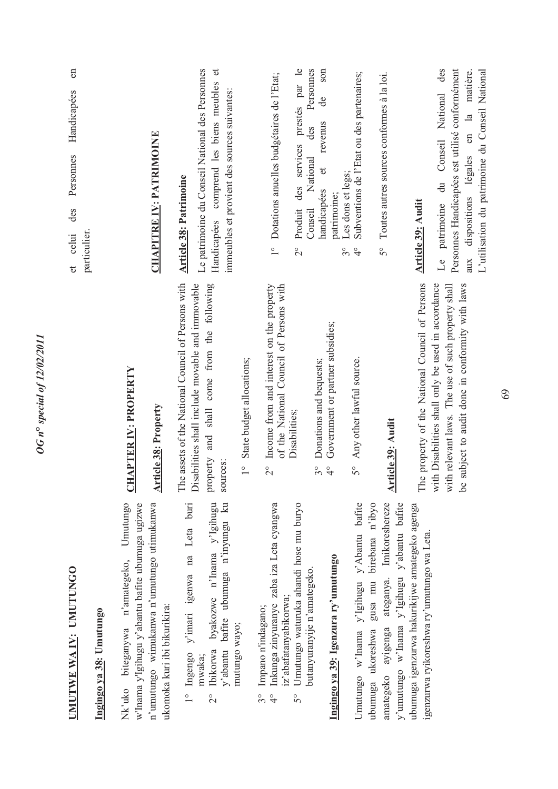| UMUTWE WA IV: UMUTUNGO                                                                                                                                                       |                                                                                                                                                                      | en<br>Handicapées<br>Personnes<br>des<br>particulier<br>celui<br>$\sigma$                                                                                                                 |
|------------------------------------------------------------------------------------------------------------------------------------------------------------------------------|----------------------------------------------------------------------------------------------------------------------------------------------------------------------|-------------------------------------------------------------------------------------------------------------------------------------------------------------------------------------------|
| Ingingo ya 38: Umutungo                                                                                                                                                      |                                                                                                                                                                      |                                                                                                                                                                                           |
| w'lnama y'lgihugu y'abantu bafite ubumuga ugizwe<br>Umutungo<br>biteganywa n'amategeko,<br>Nk'uko                                                                            | <b>CHAPTER IV: PROPERTY</b>                                                                                                                                          |                                                                                                                                                                                           |
| n'umutungo wimukanwa n'umutungo utimukanwa<br>ukomoka kuri ibi bikurikira:                                                                                                   | <b>Article 38: Property</b>                                                                                                                                          | <b>CHAPITRE IV: PATRIMOINE</b>                                                                                                                                                            |
| y'abantu bafite ubumuga n'inyungu ku<br>byakozwe n'Inama y'Igihugu<br>1° Ingengo y'imari igenwa na Leta buri<br>mutungo wayo;<br><b>Ibikorwa</b><br>mwaka;<br>$\overline{c}$ | The assets of the National Council of Persons with<br>property and shall come from the following<br>isabilities shall include movable and immovable<br>sources:<br>Ä | Le patrimoine du Conseil National des Personnes<br>$\sigma$<br>comprend les biens meubles<br>immeubles et provient des sources suivantes:<br><b>Article 38: Patrimoine</b><br>Handicapées |
|                                                                                                                                                                              | State budget allocations;<br>$\frac{1}{1}$                                                                                                                           |                                                                                                                                                                                           |
| Inkunga zinyuranye zaba iza Leta cyangwa<br>z'abafatanyabikorwa;<br>Impano n'indagano;<br>$\frac{1}{2}$<br>$\frac{1}{4}$                                                     | of the National Council of Persons with<br>Income from and interest on the property<br>$\frac{1}{2}$                                                                 | Dotations anuelles budgétaires de l'Etat;<br>$\overline{1}$                                                                                                                               |
| Umutungo waturuka ahandi hose mu buryo<br>$\overline{5}^{\circ}$                                                                                                             | Disabilities;                                                                                                                                                        | services prestés par le<br>des<br>Produit<br>$\frac{1}{2}$                                                                                                                                |
| Ingingo ya 39: Igenzura ry'umutungo<br>butanyuranyije n'amategeko.                                                                                                           | Government or partner subsidies;<br>Donations and bequests;<br>$3^{\circ}$<br>$\frac{1}{4}$                                                                          | son<br>Personnes<br>de<br>revenus<br>des<br>National<br>$\sigma$<br>handicapées<br>patrimoine;<br>Conseil                                                                                 |
| Umutungo w'Inama y'Igihugu y'Abantu bafite                                                                                                                                   | Any other lawful source.<br>$\mathcal{S}^{\circ}$                                                                                                                    | Subventions de l'Etat ou des partenaires;<br>Les dons et legs;<br>$\frac{1}{3}$<br>$\frac{1}{4}$                                                                                          |
| Imikoreshereze<br>birebana n'ibyo<br>ateganya.<br>gusa mu<br>ayigenga<br>ubumuga ukoreshwa<br>amategeko                                                                      |                                                                                                                                                                      | Toutes autres sources conformes à la loi.<br>$5^{\circ}$                                                                                                                                  |
| y'umutungo w'lnama y'lgihugu y'abantu bafite                                                                                                                                 | Article 39: Audit                                                                                                                                                    |                                                                                                                                                                                           |
| ubumuga igenzurwa hakurikijwe amategeko agenga<br>igenzurwa ryikoreshwa ry'umutungo wa Leta                                                                                  | The property of the National Council of Persons                                                                                                                      | <b>Article 39: Audit</b>                                                                                                                                                                  |
|                                                                                                                                                                              | with Disabilities shall only be used in accordance<br>with relevant laws. The use of such property shall<br>subject to audit done in conformity with laws<br>Le      | Personnes Handicapées est utilisé conformément<br>des<br>matière.<br>Conseil National<br>$\frac{a}{b}$<br>aux dispositions légales en<br>ਰੇ<br>ਚ<br>patrimoine<br>$\mathbb{E}$            |
|                                                                                                                                                                              |                                                                                                                                                                      | L'utilisation du patrimoine du Conseil National                                                                                                                                           |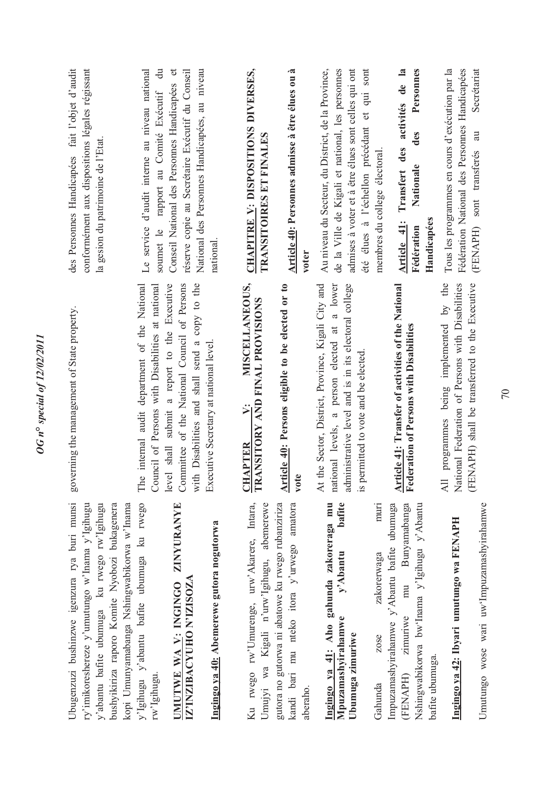| Ubugenzuzi bushinzwe igenzura rya buri munsi<br>ry'imikoreshereze y'umutungo w'Inama y'Igihugu<br>kopi Umunyamabanga Nshingwabikorwa w'Inama<br>y'abantu bafite ubumuga ku rwego rw'lgihugu<br>bushyikiriza raporo Komite Nyobozi bukagenera | governing the management of State property.                                                                                                                                                           | conformément aux dispositions légales régissant<br>des Personnes Handicapées fait l'objet d'audit<br>la gesion du patrimoine de l'Etat.                                                                       |
|----------------------------------------------------------------------------------------------------------------------------------------------------------------------------------------------------------------------------------------------|-------------------------------------------------------------------------------------------------------------------------------------------------------------------------------------------------------|---------------------------------------------------------------------------------------------------------------------------------------------------------------------------------------------------------------|
| y'Igihugu y'abantu bafite ubumuga ku rwego                                                                                                                                                                                                   | The internal audit department of the National<br>Council of Persons with Disabilities at national                                                                                                     | Le service d'audit interne au niveau national<br>$\ddot{a}$<br>rapport au Comité Exécutif<br>soumet le                                                                                                        |
| ZINYURANYE<br>IZ'INZIBACYUHO N'IZISOZA<br>UMUTWE WA V: INGINGO                                                                                                                                                                               | with Disabilities and shall send a copy to the<br>level shall submit a report to the Executive<br>Committee of the National Council of Persons                                                        | Conseil National des Personnes Handicapées et<br>réserve copie au Secrétaire Exécutif du Conseil<br>National des Personnes Handicapées, au niveau                                                             |
| Ingingo ya 40: Abemerewe gutora nogutorwa                                                                                                                                                                                                    | Executive Secretary at national level.                                                                                                                                                                | national                                                                                                                                                                                                      |
| Ku rwego rw'Umurenge, urw'Akarere, Intara,<br>Umujyi wa Kigali n'urw'Igihugu, abemerewe                                                                                                                                                      | MISCELLANEOUS,<br><b>CHAPTER V: MISCELLANEOUR</b><br>TRANSITORY AND FINAL PROVISIONS                                                                                                                  | CHAPITRE V: DISPOSITIONS DIVERSES,<br>TRANSITOIRES ET FINALES                                                                                                                                                 |
| kandi bari mu nteko itora y'urwego amatora<br>gutora no gutorwa ni abatowe ku rwego rubanziriza                                                                                                                                              | Article 40: Persons eligible to be elected or to<br>vote                                                                                                                                              | Article 40: Personnes admisse à être élues ou à<br>voter                                                                                                                                                      |
| Ingingo ya 41: Aho gahunda zakoreraga mu<br>bafite<br>y'Abantu<br>Mpuzamashyirahamwe                                                                                                                                                         | national levels, a person elected at a lower<br>At the Sector, District, Province, Kigali City and<br>administrative level and is in its electoral college<br>permitted to vote and be elected.<br>S. | été élues à l'échellon précédant et qui sont<br>de la Ville de Kigali et national, les personnes<br>admises à voter et à être élues sont celles qui ont<br>Au niveau du Secteur, du District, de la Province, |
| muri<br>zakorerwaga                                                                                                                                                                                                                          |                                                                                                                                                                                                       | membres du college électoral.                                                                                                                                                                                 |
| Impuzamashyirahamwe y'Abantu bafite ubumuga<br>Bunyamabanga<br>Nshingwabikorwa bw'Inama y'Igihugu y'Abantu<br>mu                                                                                                                             | <b>Article 41: Transfer of activities of the National Federation of Persons with Disabilities</b>                                                                                                     | des activités de la<br>Personnes<br>des<br>Nationale<br>Transfert<br>Handicapées<br>Article 41:<br>Fédération                                                                                                 |
| Ingingo ya 42: Ibyari umutungo wa FENAPH                                                                                                                                                                                                     | programmes being implemented by the<br>National Federation of Persons with Disabilities<br>$\overline{AB}$                                                                                            | Tous les programmes en cours d'exécution par la<br>Fédération National des Personnes Handicapées                                                                                                              |
| Umutungo wose wari uw'Impuzamashyirahamwe                                                                                                                                                                                                    | (FENAPH) shall be transferred to the Executive                                                                                                                                                        | Secrétariat<br>sont transferés au<br>(FENAPH)                                                                                                                                                                 |

**OG** n° special of 12/02/2011 *OG n***°** *special of 12/02/2011*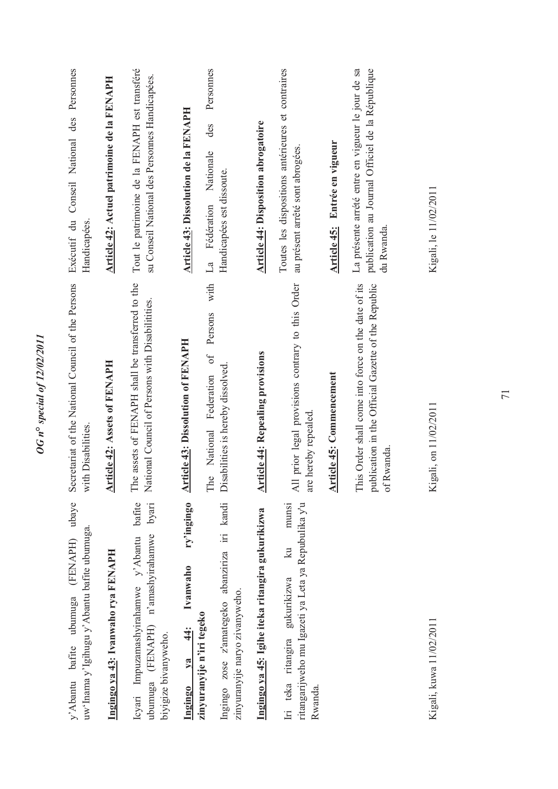| (FENAPH) ubaye<br>uw'Inama y'Igihugu y'Abantu bafite ubumuga.<br>y'Abantu bafite ubumuga                                  | Secretariat of the National Council of the Persons<br>with Disabilities.                                                   | Exécutif du Conseil National des Personnes<br>Handicapées                                                           |
|---------------------------------------------------------------------------------------------------------------------------|----------------------------------------------------------------------------------------------------------------------------|---------------------------------------------------------------------------------------------------------------------|
| Ingingo ya 43: Ivanwaho rya FENAPH                                                                                        | <b>Article 42: Assets of FENAPH</b>                                                                                        | Article 42: Actuel patrimoine de la FENAPH                                                                          |
| bafite<br>byari<br>ubumuga (FENAPH) n'amashyirahamwe<br>Icyari Impuzamashyirahamwe y'Abantu<br>biyigize bivanyweho.       | The assets of FENAPH shall be transferred to the<br>National Council of Persons with Disabilitities.                       | Tout le patrimoine de la FENAPH est transféré<br>su Conseil National des Personnes Handicapées.                     |
| ry'ingingo<br>Ivanwaho<br>zinyuranyije n'iri tegeko<br>$\frac{4}{4}$<br>$va$<br>Ingingo                                   | <b>Article 43: Dissolution of FENAPH</b>                                                                                   | Article 43: Dissolution de la FENAPH                                                                                |
| Ingingo zose z'amategeko abanziriza iri kandi<br>zinyuranyije naryo zivanyweho.                                           | with<br>Persons<br>$\sigma$<br>Disabilities is hereby dissolved.<br>National Federation<br>The                             | Personnes<br>des<br>Nationale<br>Handicapées est dissoute.<br>Fédération<br>$\mathbb{Z}$                            |
| Ingingo ya 45: Igihe iteka ritangira gukurikizwa                                                                          | <b>Article 44: Repealing provisions</b>                                                                                    | <b>Article 44: Disposition abrogatoire</b>                                                                          |
| munsi<br>ritangarijweho mu Igazeti ya Leta ya Repubulika y'u<br>$\mathbb{R}$<br>Iri teka ritangira gukurikizwa<br>Rwanda. | All prior legal provisions contrary to this Order<br>are hereby repealed                                                   | Toutes les dispositions antérieures et contraires<br>au présent arrêté sont abrogées.                               |
|                                                                                                                           | <b>Article 45: Commencement</b>                                                                                            | Entrée en vigueur<br><b>Article 45:</b>                                                                             |
|                                                                                                                           | This Order shall come into force on the date of its<br>publication in the Official Gazette of the Republic<br>Rwanda.<br>ð | La présente arrété entre en vigueur le jour de sa<br>publication au Journal Officiel de la République<br>du Rwanda. |
| Kigali, kuwa 11/02/2011                                                                                                   | gali, on 11/02/2011<br>Ÿ                                                                                                   | Kigali, le 11/02/2011                                                                                               |